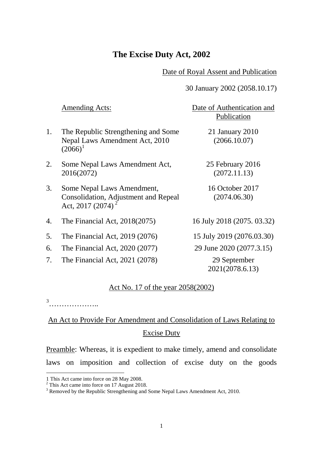## **The Excise Duty Act, 2002**

#### Date of Royal Assent and Publication

### 30 January 2002 (2058.10.17)

|    | <b>Amending Acts:</b>                                                                               | Date of Authentication and<br>Publication |
|----|-----------------------------------------------------------------------------------------------------|-------------------------------------------|
| 1. | The Republic Strengthening and Some<br>Nepal Laws Amendment Act, 2010<br>$(2066)^1$                 | 21 January 2010<br>(2066.10.07)           |
| 2. | Some Nepal Laws Amendment Act,<br>2016(2072)                                                        | 25 February 2016<br>(2072.11.13)          |
| 3. | Some Nepal Laws Amendment,<br>Consolidation, Adjustment and Repeal<br>Act, 2017 (2074) <sup>2</sup> | 16 October 2017<br>(2074.06.30)           |
| 4. | The Financial Act, $2018(2075)$                                                                     | 16 July 2018 (2075, 03.32)                |
| 5. | The Financial Act, 2019 (2076)                                                                      | 15 July 2019 (2076.03.30)                 |
| 6. | The Financial Act, 2020 (2077)                                                                      | 29 June 2020 (2077.3.15)                  |
| 7. | The Financial Act, 2021 (2078)                                                                      | 29 September<br>2021(2078.6.13)           |

#### Act No. 17 of the year 2058(2002)

[3](#page-0-2)<br>……………………

 $\overline{a}$ 

# An Act to Provide For Amendment and Consolidation of Laws Relating to Excise Duty

Preamble: Whereas, it is expedient to make timely, amend and consolidate laws on imposition and collection of excise duty on the goods

<span id="page-0-1"></span><span id="page-0-0"></span><sup>1</sup> This Act came into force on 28 May 2008. <sup>2</sup> This Act came into force on 17 August 2018.

<span id="page-0-2"></span><sup>&</sup>lt;sup>3</sup> Removed by the Republic Strengthening and Some Nepal Laws Amendment Act, 2010.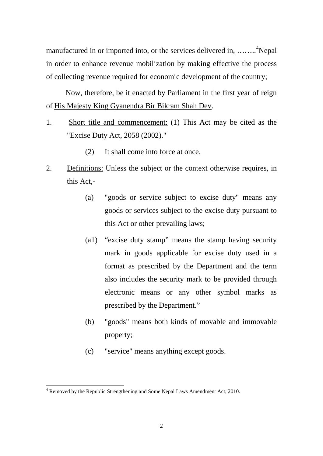manufactured in or imported into, or the services delivered in, ........<sup>[4](#page-1-0)</sup>Nepal in order to enhance revenue mobilization by making effective the process of collecting revenue required for economic development of the country;

Now, therefore, be it enacted by Parliament in the first year of reign of His Majesty King Gyanendra Bir Bikram Shah Dev.

- 1. Short title and commencement: (1) This Act may be cited as the "Excise Duty Act, 2058 (2002)."
	- (2) It shall come into force at once.
- 2. Definitions: Unless the subject or the context otherwise requires, in this Act,-
	- (a) "goods or service subject to excise duty" means any goods or services subject to the excise duty pursuant to this Act or other prevailing laws;
	- (a1) "excise duty stamp" means the stamp having security mark in goods applicable for excise duty used in a format as prescribed by the Department and the term also includes the security mark to be provided through electronic means or any other symbol marks as prescribed by the Department."
	- (b) "goods" means both kinds of movable and immovable property;
	- (c) "service" means anything except goods.

<span id="page-1-0"></span> $4$  Removed by the Republic Strengthening and Some Nepal Laws Amendment Act, 2010. **.**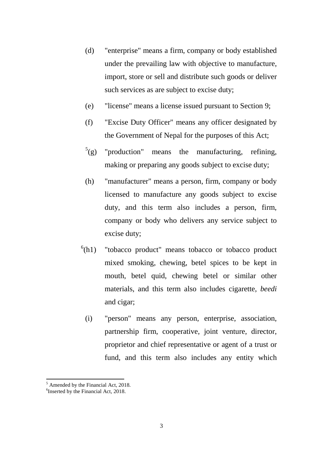- (d) "enterprise" means a firm, company or body established under the prevailing law with objective to manufacture, import, store or sell and distribute such goods or deliver such services as are subject to excise duty;
- (e) "license" means a license issued pursuant to Section 9;
- (f) "Excise Duty Officer" means any officer designated by the Government of Nepal for the purposes of this Act;
- $<sup>5</sup>(g)$  $<sup>5</sup>(g)$  $<sup>5</sup>(g)$ </sup> "production" means the manufacturing, refining, making or preparing any goods subject to excise duty;
- (h) "manufacturer" means a person, firm, company or body licensed to manufacture any goods subject to excise duty, and this term also includes a person, firm, company or body who delivers any service subject to excise duty;
- $^{6}$  $^{6}$  $^{6}$ (h1) "tobacco product" means tobacco or tobacco product mixed smoking, chewing, betel spices to be kept in mouth, betel quid, chewing betel or similar other materials, and this term also includes cigarette, *beedi* and cigar;
	- (i) "person" means any person, enterprise, association, partnership firm, cooperative, joint venture, director, proprietor and chief representative or agent of a trust or fund, and this term also includes any entity which

<sup>5</sup> Amended by the Financial Act, 2018. 1

<span id="page-2-1"></span><span id="page-2-0"></span><sup>&</sup>lt;sup>6</sup>Inserted by the Financial Act, 2018.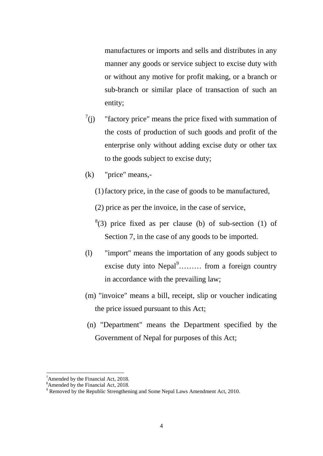manufactures or imports and sells and distributes in any manner any goods or service subject to excise duty with or without any motive for profit making, or a branch or sub-branch or similar place of transaction of such an entity;

- $^7$  $^7$ (j) "factory price" means the price fixed with summation of the costs of production of such goods and profit of the enterprise only without adding excise duty or other tax to the goods subject to excise duty;
- (k) "price" means,-
	- (1)factory price, in the case of goods to be manufactured,
	- (2) price as per the invoice, in the case of service,
	- $(3)$  price fixed as per clause (b) of sub-section (1) of Section 7, in the case of any goods to be imported.
- (l) "import" means the importation of any goods subject to excise duty into  $Nepal<sup>9</sup>$  $Nepal<sup>9</sup>$  $Nepal<sup>9</sup>$ ........ from a foreign country in accordance with the prevailing law;
- (m) "invoice" means a bill, receipt, slip or voucher indicating the price issued pursuant to this Act;
- (n) "Department" means the Department specified by the Government of Nepal for purposes of this Act;

 $\overline{a}$ 

<span id="page-3-0"></span><sup>&</sup>lt;sup>7</sup> Amended by the Financial Act, 2018.

<sup>&</sup>lt;sup>8</sup> Amended by the Financial Act, 2018.

<span id="page-3-2"></span><span id="page-3-1"></span><sup>&</sup>lt;sup>9</sup> Removed by the Republic Strengthening and Some Nepal Laws Amendment Act, 2010.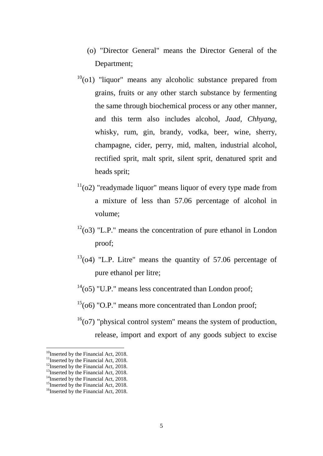- (o) "Director General" means the Director General of the Department;
- $10$ <sup>10</sup>(o1) "liquor" means any alcoholic substance prepared from grains, fruits or any other starch substance by fermenting the same through biochemical process or any other manner, and this term also includes alcohol, *Jaad*, *Chhyang*, whisky, rum, gin, brandy, vodka, beer, wine, sherry, champagne, cider, perry, mid, malten, industrial alcohol, rectified sprit, malt sprit, silent sprit, denatured sprit and heads sprit;
- $11(02)$  $11(02)$  "readymade liquor" means liquor of every type made from a mixture of less than 57.06 percentage of alcohol in volume;
- $12(03)$  $12(03)$  "L.P." means the concentration of pure ethanol in London proof;
- $13(04)$  $13(04)$  "L.P. Litre" means the quantity of 57.06 percentage of pure ethanol per litre;
- $14(05)$  $14(05)$  "U.P." means less concentrated than London proof;
- $15(06)$  $15(06)$  "O.P." means more concentrated than London proof;
- $16(07)$  $16(07)$  "physical control system" means the system of production, release, import and export of any goods subject to excise

<span id="page-4-0"></span> $10$ Inserted by the Financial Act, 2018.

<span id="page-4-1"></span> $11$ Inserted by the Financial Act, 2018.

<span id="page-4-2"></span><sup>&</sup>lt;sup>12</sup>Inserted by the Financial Act, 2018.

<span id="page-4-3"></span> $13$ Inserted by the Financial Act, 2018.

<span id="page-4-4"></span><sup>&</sup>lt;sup>14</sup>Inserted by the Financial Act, 2018.<br><sup>15</sup>Inserted by the Financial Act, 2018.

<span id="page-4-5"></span>

<span id="page-4-6"></span><sup>&</sup>lt;sup>16</sup>Inserted by the Financial Act, 2018.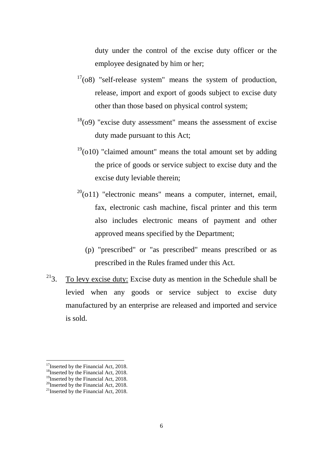duty under the control of the excise duty officer or the employee designated by him or her;

- $17(08)$  $17(08)$  "self-release system" means the system of production, release, import and export of goods subject to excise duty other than those based on physical control system;
- $18(09)$  $18(09)$  "excise duty assessment" means the assessment of excise duty made pursuant to this Act;
- $19(010)$  $19(010)$  "claimed amount" means the total amount set by adding the price of goods or service subject to excise duty and the excise duty leviable therein;
- $^{20}$  $^{20}$  $^{20}$ (o11) "electronic means" means a computer, internet, email, fax, electronic cash machine, fiscal printer and this term also includes electronic means of payment and other approved means specified by the Department;
	- (p) "prescribed" or "as prescribed" means prescribed or as prescribed in the Rules framed under this Act.
- $2^{21}$ 3. To levy excise duty: Excise duty as mention in the Schedule shall be levied when any goods or service subject to excise duty manufactured by an enterprise are released and imported and service is sold.

<span id="page-5-0"></span> $17$ Inserted by the Financial Act, 2018.

<span id="page-5-1"></span><sup>&</sup>lt;sup>18</sup>Inserted by the Financial Act, 2018.

<sup>&</sup>lt;sup>19</sup>Inserted by the Financial Act, 2018.

<span id="page-5-3"></span><span id="page-5-2"></span><sup>&</sup>lt;sup>20</sup>Inserted by the Financial Act, 2018.

<span id="page-5-4"></span><sup>&</sup>lt;sup>21</sup>Inserted by the Financial Act, 2018.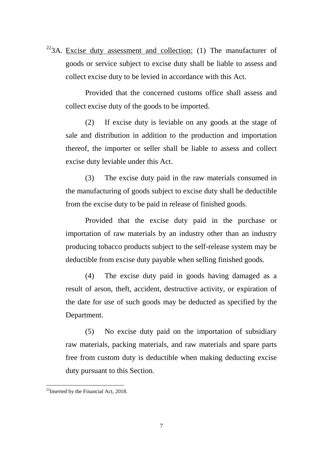$22$ 3A. Excise duty assessment and collection: (1) The manufacturer of goods or service subject to excise duty shall be liable to assess and collect excise duty to be levied in accordance with this Act.

Provided that the concerned customs office shall assess and collect excise duty of the goods to be imported.

(2) If excise duty is leviable on any goods at the stage of sale and distribution in addition to the production and importation thereof, the importer or seller shall be liable to assess and collect excise duty leviable under this Act.

(3) The excise duty paid in the raw materials consumed in the manufacturing of goods subject to excise duty shall be deductible from the excise duty to be paid in release of finished goods.

Provided that the excise duty paid in the purchase or importation of raw materials by an industry other than an industry producing tobacco products subject to the self-release system may be deductible from excise duty payable when selling finished goods.

(4) The excise duty paid in goods having damaged as a result of arson, theft, accident, destructive activity, or expiration of the date for use of such goods may be deducted as specified by the Department.

(5) No excise duty paid on the importation of subsidiary raw materials, packing materials, and raw materials and spare parts free from custom duty is deductible when making deducting excise duty pursuant to this Section.

<span id="page-6-0"></span> $^{22}$ Inserted by the Financial Act, 2018.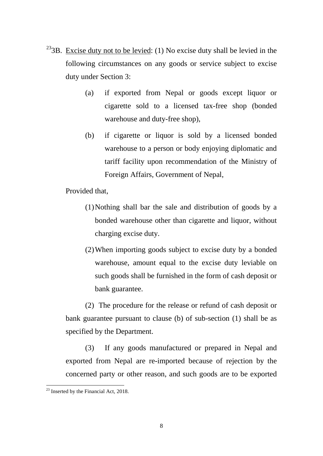- <sup>23</sup>3B. Excise duty not to be levied: (1) No excise duty shall be levied in the following circumstances on any goods or service subject to excise duty under Section 3:
	- (a) if exported from Nepal or goods except liquor or cigarette sold to a licensed tax-free shop (bonded warehouse and duty-free shop),
	- (b) if cigarette or liquor is sold by a licensed bonded warehouse to a person or body enjoying diplomatic and tariff facility upon recommendation of the Ministry of Foreign Affairs, Government of Nepal,

Provided that,

- (1)Nothing shall bar the sale and distribution of goods by a bonded warehouse other than cigarette and liquor, without charging excise duty.
- (2)When importing goods subject to excise duty by a bonded warehouse, amount equal to the excise duty leviable on such goods shall be furnished in the form of cash deposit or bank guarantee.

(2) The procedure for the release or refund of cash deposit or bank guarantee pursuant to clause (b) of sub-section (1) shall be as specified by the Department.

(3) If any goods manufactured or prepared in Nepal and exported from Nepal are re-imported because of rejection by the concerned party or other reason, and such goods are to be exported

<span id="page-7-0"></span> $23$  Inserted by the Financial Act, 2018. **.**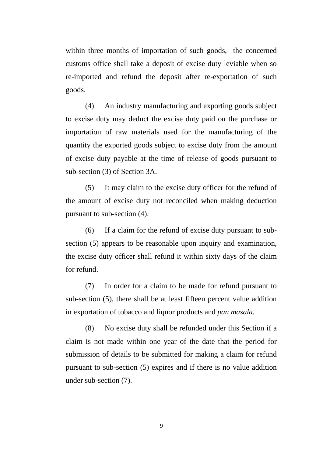within three months of importation of such goods, the concerned customs office shall take a deposit of excise duty leviable when so re-imported and refund the deposit after re-exportation of such goods.

(4) An industry manufacturing and exporting goods subject to excise duty may deduct the excise duty paid on the purchase or importation of raw materials used for the manufacturing of the quantity the exported goods subject to excise duty from the amount of excise duty payable at the time of release of goods pursuant to sub-section (3) of Section 3A.

(5) It may claim to the excise duty officer for the refund of the amount of excise duty not reconciled when making deduction pursuant to sub-section (4).

(6) If a claim for the refund of excise duty pursuant to subsection (5) appears to be reasonable upon inquiry and examination, the excise duty officer shall refund it within sixty days of the claim for refund.

(7) In order for a claim to be made for refund pursuant to sub-section (5), there shall be at least fifteen percent value addition in exportation of tobacco and liquor products and *pan masala.*

(8) No excise duty shall be refunded under this Section if a claim is not made within one year of the date that the period for submission of details to be submitted for making a claim for refund pursuant to sub-section (5) expires and if there is no value addition under sub-section (7).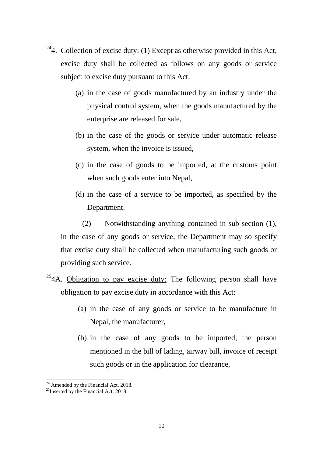- <sup>24</sup>4. Collection of excise duty: (1) Except as otherwise provided in this Act, excise duty shall be collected as follows on any goods or service subject to excise duty pursuant to this Act:
	- (a) in the case of goods manufactured by an industry under the physical control system, when the goods manufactured by the enterprise are released for sale,
	- (b) in the case of the goods or service under automatic release system, when the invoice is issued,
	- (c) in the case of goods to be imported, at the customs point when such goods enter into Nepal,
	- (d) in the case of a service to be imported, as specified by the Department.

(2) Notwithstanding anything contained in sub-section (1), in the case of any goods or service, the Department may so specify that excise duty shall be collected when manufacturing such goods or providing such service.

- $254A$  $254A$ . Obligation to pay excise duty: The following person shall have obligation to pay excise duty in accordance with this Act:
	- (a) in the case of any goods or service to be manufacture in Nepal, the manufacturer,
	- (b) in the case of any goods to be imported, the person mentioned in the bill of lading, airway bill, invoice of receipt such goods or in the application for clearance,

<sup>1</sup> 

<span id="page-9-1"></span><span id="page-9-0"></span><sup>&</sup>lt;sup>24</sup> Amended by the Financial Act, 2018.<br><sup>25</sup>Inserted by the Financial Act, 2018.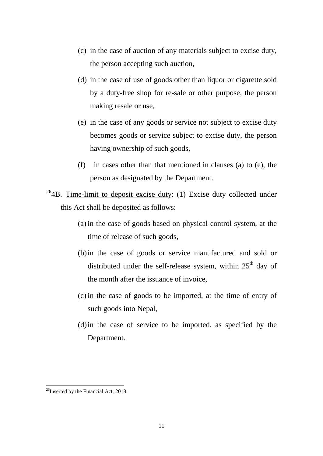- (c) in the case of auction of any materials subject to excise duty, the person accepting such auction,
- (d) in the case of use of goods other than liquor or cigarette sold by a duty-free shop for re-sale or other purpose, the person making resale or use,
- (e) in the case of any goods or service not subject to excise duty becomes goods or service subject to excise duty, the person having ownership of such goods,
- (f) in cases other than that mentioned in clauses (a) to (e), the person as designated by the Department.
- $264B$  $264B$ . Time-limit to deposit excise duty: (1) Excise duty collected under this Act shall be deposited as follows:
	- (a) in the case of goods based on physical control system, at the time of release of such goods,
	- (b)in the case of goods or service manufactured and sold or distributed under the self-release system, within  $25<sup>th</sup>$  day of the month after the issuance of invoice,
	- (c) in the case of goods to be imported, at the time of entry of such goods into Nepal,
	- (d)in the case of service to be imported, as specified by the Department.

<span id="page-10-0"></span> $^{26}$ Inserted by the Financial Act, 2018.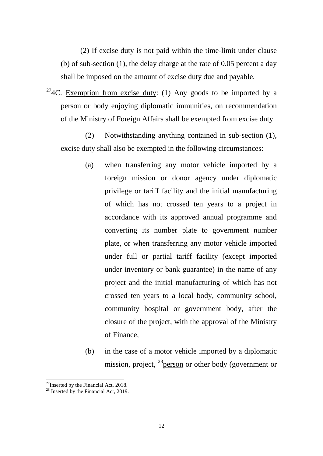(2) If excise duty is not paid within the time-limit under clause (b) of sub-section (1), the delay charge at the rate of 0.05 percent a day shall be imposed on the amount of excise duty due and payable.

 $274C$  $274C$ . Exemption from excise duty: (1) Any goods to be imported by a person or body enjoying diplomatic immunities, on recommendation of the Ministry of Foreign Affairs shall be exempted from excise duty.

(2) Notwithstanding anything contained in sub-section (1), excise duty shall also be exempted in the following circumstances:

- (a) when transferring any motor vehicle imported by a foreign mission or donor agency under diplomatic privilege or tariff facility and the initial manufacturing of which has not crossed ten years to a project in accordance with its approved annual programme and converting its number plate to government number plate, or when transferring any motor vehicle imported under full or partial tariff facility (except imported under inventory or bank guarantee) in the name of any project and the initial manufacturing of which has not crossed ten years to a local body, community school, community hospital or government body, after the closure of the project, with the approval of the Ministry of Finance,
- (b) in the case of a motor vehicle imported by a diplomatic mission, project,  $^{28}$  person or other body (government or

<span id="page-11-0"></span> $^{27}$ Inserted by the Financial Act, 2018.

<span id="page-11-1"></span><sup>&</sup>lt;sup>28</sup> Inserted by the Financial Act, 2019.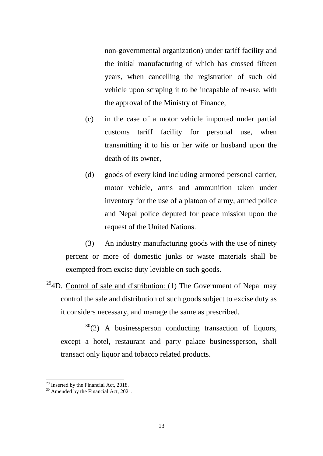non-governmental organization) under tariff facility and the initial manufacturing of which has crossed fifteen years, when cancelling the registration of such old vehicle upon scraping it to be incapable of re-use, with the approval of the Ministry of Finance,

- (c) in the case of a motor vehicle imported under partial customs tariff facility for personal use, when transmitting it to his or her wife or husband upon the death of its owner,
- (d) goods of every kind including armored personal carrier, motor vehicle, arms and ammunition taken under inventory for the use of a platoon of army, armed police and Nepal police deputed for peace mission upon the request of the United Nations.

(3) An industry manufacturing goods with the use of ninety percent or more of domestic junks or waste materials shall be exempted from excise duty leviable on such goods.

<sup>29</sup>4D. Control of sale and distribution: (1) The Government of Nepal may control the sale and distribution of such goods subject to excise duty as it considers necessary, and manage the same as prescribed.

 $30(2)$  $30(2)$  A businessperson conducting transaction of liquors, except a hotel, restaurant and party palace businessperson, shall transact only liquor and tobacco related products.

<span id="page-12-0"></span><sup>&</sup>lt;sup>29</sup> Inserted by the Financial Act, 2018.<br><sup>30</sup> Amended by the Financial Act, 2021.

<span id="page-12-1"></span>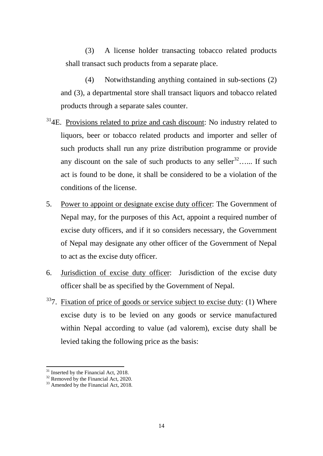(3) A license holder transacting tobacco related products shall transact such products from a separate place.

(4) Notwithstanding anything contained in sub-sections (2) and (3), a departmental store shall transact liquors and tobacco related products through a separate sales counter.

- $314E$  $314E$ . Provisions related to prize and cash discount: No industry related to liquors, beer or tobacco related products and importer and seller of such products shall run any prize distribution programme or provide any discount on the sale of such products to any seller<sup>32</sup>…... If such act is found to be done, it shall be considered to be a violation of the conditions of the license.
- 5. Power to appoint or designate excise duty officer: The Government of Nepal may, for the purposes of this Act, appoint a required number of excise duty officers, and if it so considers necessary, the Government of Nepal may designate any other officer of the Government of Nepal to act as the excise duty officer.
- 6. Jurisdiction of excise duty officer: Jurisdiction of the excise duty officer shall be as specified by the Government of Nepal.
- $337.$  $337.$  Fixation of price of goods or service subject to excise duty: (1) Where excise duty is to be levied on any goods or service manufactured within Nepal according to value (ad valorem), excise duty shall be levied taking the following price as the basis:

 $31$  Inserted by the Financial Act, 2018.

<span id="page-13-2"></span>

<span id="page-13-1"></span><span id="page-13-0"></span><sup>&</sup>lt;sup>32</sup> Removed by the Financial Act, 2020.<br><sup>33</sup> Amended by the Financial Act, 2018.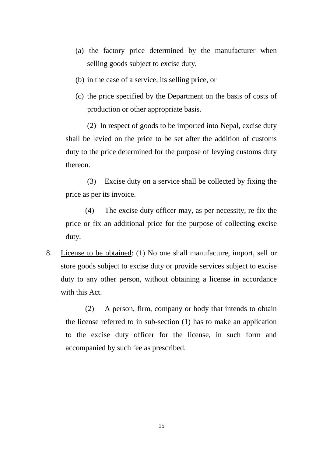- (a) the factory price determined by the manufacturer when selling goods subject to excise duty,
- (b) in the case of a service, its selling price, or
- (c) the price specified by the Department on the basis of costs of production or other appropriate basis.

(2) In respect of goods to be imported into Nepal, excise duty shall be levied on the price to be set after the addition of customs duty to the price determined for the purpose of levying customs duty thereon.

(3) Excise duty on a service shall be collected by fixing the price as per its invoice.

(4) The excise duty officer may, as per necessity, re-fix the price or fix an additional price for the purpose of collecting excise duty.

8. License to be obtained: (1) No one shall manufacture, import, sell or store goods subject to excise duty or provide services subject to excise duty to any other person, without obtaining a license in accordance with this Act.

(2) A person, firm, company or body that intends to obtain the license referred to in sub-section (1) has to make an application to the excise duty officer for the license, in such form and accompanied by such fee as prescribed.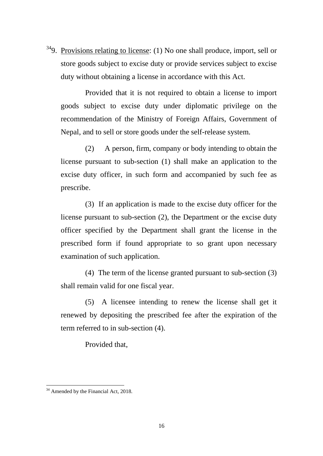$349.$  $349.$  Provisions relating to license: (1) No one shall produce, import, sell or store goods subject to excise duty or provide services subject to excise duty without obtaining a license in accordance with this Act.

Provided that it is not required to obtain a license to import goods subject to excise duty under diplomatic privilege on the recommendation of the Ministry of Foreign Affairs, Government of Nepal, and to sell or store goods under the self-release system.

(2) A person, firm, company or body intending to obtain the license pursuant to sub-section (1) shall make an application to the excise duty officer, in such form and accompanied by such fee as prescribe.

(3) If an application is made to the excise duty officer for the license pursuant to sub-section (2), the Department or the excise duty officer specified by the Department shall grant the license in the prescribed form if found appropriate to so grant upon necessary examination of such application.

(4) The term of the license granted pursuant to sub-section (3) shall remain valid for one fiscal year.

(5) A licensee intending to renew the license shall get it renewed by depositing the prescribed fee after the expiration of the term referred to in sub-section (4).

Provided that,

<span id="page-15-0"></span><sup>&</sup>lt;sup>34</sup> Amended by the Financial Act, 2018. **.**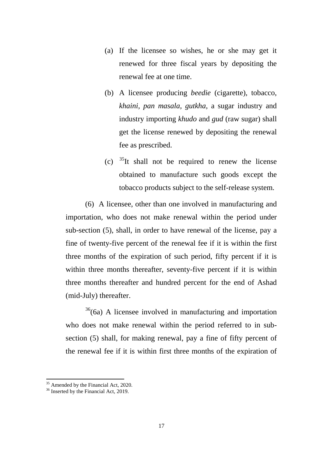- (a) If the licensee so wishes, he or she may get it renewed for three fiscal years by depositing the renewal fee at one time.
- (b) A licensee producing *beedie* (cigarette), tobacco, *khaini, pan masala, gutkha*, a sugar industry and industry importing *khudo* and *gud* (raw sugar) shall get the license renewed by depositing the renewal fee as prescribed.
- (c)  $35$ It shall not be required to renew the license obtained to manufacture such goods except the tobacco products subject to the self-release system.

(6) A licensee, other than one involved in manufacturing and importation, who does not make renewal within the period under sub-section (5), shall, in order to have renewal of the license, pay a fine of twenty-five percent of the renewal fee if it is within the first three months of the expiration of such period, fifty percent if it is within three months thereafter, seventy-five percent if it is within three months thereafter and hundred percent for the end of Ashad (mid-July) thereafter.

 $36(6a)$  $36(6a)$  A licensee involved in manufacturing and importation who does not make renewal within the period referred to in subsection (5) shall, for making renewal, pay a fine of fifty percent of the renewal fee if it is within first three months of the expiration of

<sup>1</sup> 

<span id="page-16-1"></span><span id="page-16-0"></span> $35$  Amended by the Financial Act, 2020.<br> $36$  Inserted by the Financial Act, 2019.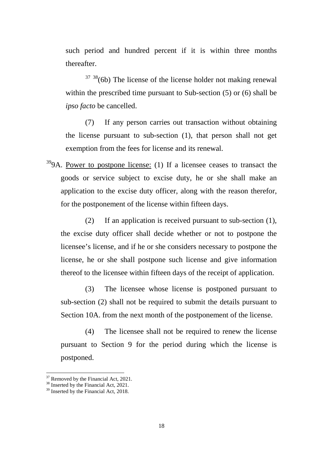such period and hundred percent if it is within three months thereafter.

 $37 \frac{38}{100}$  $37 \frac{38}{100}$  The license of the license holder not making renewal within the prescribed time pursuant to Sub-section (5) or (6) shall be *ipso facto* be cancelled.

(7) If any person carries out transaction without obtaining the license pursuant to sub-section (1), that person shall not get exemption from the fees for license and its renewal.

 $399A$  $399A$ . Power to postpone license: (1) If a licensee ceases to transact the goods or service subject to excise duty, he or she shall make an application to the excise duty officer, along with the reason therefor, for the postponement of the license within fifteen days.

(2) If an application is received pursuant to sub-section (1), the excise duty officer shall decide whether or not to postpone the licensee's license, and if he or she considers necessary to postpone the license, he or she shall postpone such license and give information thereof to the licensee within fifteen days of the receipt of application.

(3) The licensee whose license is postponed pursuant to sub-section (2) shall not be required to submit the details pursuant to Section 10A. from the next month of the postponement of the license.

(4) The licensee shall not be required to renew the license pursuant to Section 9 for the period during which the license is postponed.

 $\overline{a}$ 

<span id="page-17-0"></span><sup>&</sup>lt;sup>37</sup> Removed by the Financial Act, 2021.<br><sup>38</sup> Inserted by the Financial Act, 2021.

<span id="page-17-1"></span>

<span id="page-17-2"></span><sup>&</sup>lt;sup>39</sup> Inserted by the Financial Act, 2018.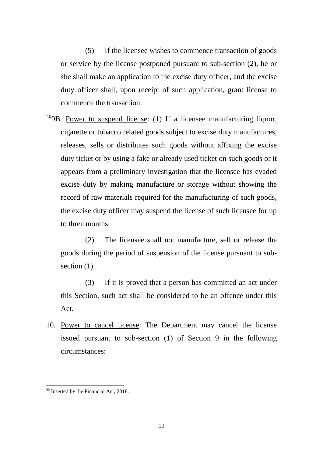(5) If the licensee wishes to commence transaction of goods or service by the license postponed pursuant to sub-section (2), he or she shall make an application to the excise duty officer, and the excise duty officer shall, upon receipt of such application, grant license to commence the transaction.

 $409B$  $409B$ . Power to suspend license: (1) If a licensee manufacturing liquor, cigarette or tobacco related goods subject to excise duty manufactures, releases, sells or distributes such goods without affixing the excise duty ticket or by using a fake or already used ticket on such goods or it appears from a preliminary investigation that the licensee has evaded excise duty by making manufacture or storage without showing the record of raw materials required for the manufacturing of such goods, the excise duty officer may suspend the license of such licensee for up to three months.

(2) The licensee shall not manufacture, sell or release the goods during the period of suspension of the license pursuant to subsection  $(1)$ .

(3) If it is proved that a person has committed an act under this Section, such act shall be considered to be an offence under this Act.

10. Power to cancel license: The Department may cancel the license issued pursuant to sub-section (1) of Section 9 in the following circumstances:

<span id="page-18-0"></span><sup>&</sup>lt;sup>40</sup> Inserted by the Financial Act, 2018.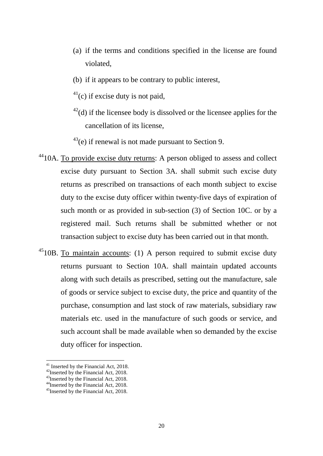- (a) if the terms and conditions specified in the license are found violated,
- (b) if it appears to be contrary to public interest,
- $41$ (c) if excise duty is not paid,
- $^{42}$  $^{42}$  $^{42}$ (d) if the licensee body is dissolved or the licensee applies for the cancellation of its license,
- $43$ (e) if renewal is not made pursuant to Section 9.
- <sup>44</sup>10A. To provide excise duty returns: A person obliged to assess and collect excise duty pursuant to Section 3A. shall submit such excise duty returns as prescribed on transactions of each month subject to excise duty to the excise duty officer within twenty-five days of expiration of such month or as provided in sub-section (3) of Section 10C. or by a registered mail. Such returns shall be submitted whether or not transaction subject to excise duty has been carried out in that month.
- $4510B$  $4510B$ . To maintain accounts: (1) A person required to submit excise duty returns pursuant to Section 10A. shall maintain updated accounts along with such details as prescribed, setting out the manufacture, sale of goods or service subject to excise duty, the price and quantity of the purchase, consumption and last stock of raw materials, subsidiary raw materials etc. used in the manufacture of such goods or service, and such account shall be made available when so demanded by the excise duty officer for inspection.

 $41$  Inserted by the Financial Act, 2018.

<span id="page-19-1"></span><span id="page-19-0"></span><sup>&</sup>lt;sup>42</sup> Inserted by the Financial Act, 2018.  $43$  Inserted by the Financial Act, 2018.

<span id="page-19-2"></span>

<span id="page-19-3"></span><sup>&</sup>lt;sup>44</sup>Inserted by the Financial Act, 2018.

<span id="page-19-4"></span><sup>&</sup>lt;sup>45</sup>Inserted by the Financial Act, 2018.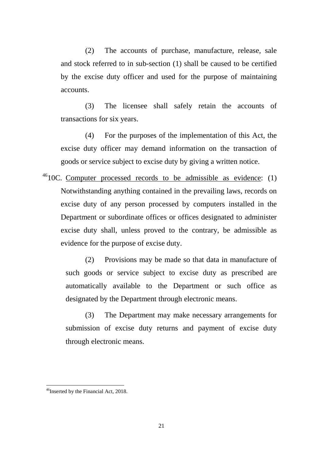(2) The accounts of purchase, manufacture, release, sale and stock referred to in sub-section (1) shall be caused to be certified by the excise duty officer and used for the purpose of maintaining accounts.

(3) The licensee shall safely retain the accounts of transactions for six years.

(4) For the purposes of the implementation of this Act, the excise duty officer may demand information on the transaction of goods or service subject to excise duty by giving a written notice.

 $^{46}$ 10C. Computer processed records to be admissible as evidence: (1) Notwithstanding anything contained in the prevailing laws, records on excise duty of any person processed by computers installed in the Department or subordinate offices or offices designated to administer excise duty shall, unless proved to the contrary, be admissible as evidence for the purpose of excise duty.

(2) Provisions may be made so that data in manufacture of such goods or service subject to excise duty as prescribed are automatically available to the Department or such office as designated by the Department through electronic means.

(3) The Department may make necessary arrangements for submission of excise duty returns and payment of excise duty through electronic means.

<span id="page-20-0"></span><sup>&</sup>lt;sup>46</sup>Inserted by the Financial Act, 2018.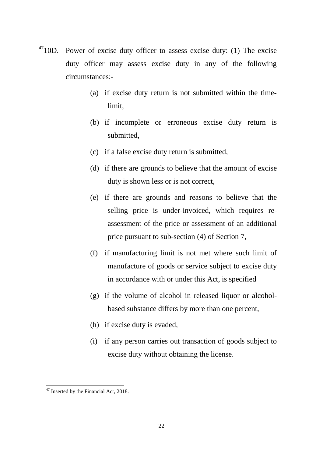- $4710D$  $4710D$ . Power of excise duty officer to assess excise duty: (1) The excise duty officer may assess excise duty in any of the following circumstances:-
	- (a) if excise duty return is not submitted within the timelimit,
	- (b) if incomplete or erroneous excise duty return is submitted,
	- (c) if a false excise duty return is submitted,
	- (d) if there are grounds to believe that the amount of excise duty is shown less or is not correct,
	- (e) if there are grounds and reasons to believe that the selling price is under-invoiced, which requires reassessment of the price or assessment of an additional price pursuant to sub-section (4) of Section 7,
	- (f) if manufacturing limit is not met where such limit of manufacture of goods or service subject to excise duty in accordance with or under this Act, is specified
	- (g) if the volume of alcohol in released liquor or alcoholbased substance differs by more than one percent,
	- (h) if excise duty is evaded,
	- (i) if any person carries out transaction of goods subject to excise duty without obtaining the license.

<span id="page-21-0"></span><sup>&</sup>lt;sup>47</sup> Inserted by the Financial Act, 2018. **.**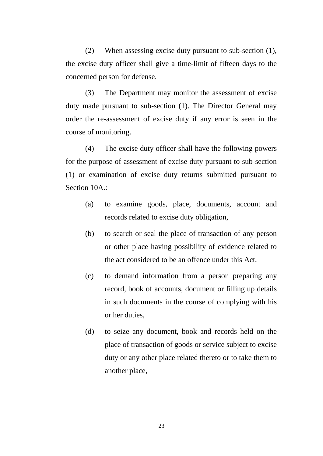(2) When assessing excise duty pursuant to sub-section (1), the excise duty officer shall give a time-limit of fifteen days to the concerned person for defense.

(3) The Department may monitor the assessment of excise duty made pursuant to sub-section (1). The Director General may order the re-assessment of excise duty if any error is seen in the course of monitoring.

(4) The excise duty officer shall have the following powers for the purpose of assessment of excise duty pursuant to sub-section (1) or examination of excise duty returns submitted pursuant to Section 10A.:

- (a) to examine goods, place, documents, account and records related to excise duty obligation,
- (b) to search or seal the place of transaction of any person or other place having possibility of evidence related to the act considered to be an offence under this Act,
- (c) to demand information from a person preparing any record, book of accounts, document or filling up details in such documents in the course of complying with his or her duties,
- (d) to seize any document, book and records held on the place of transaction of goods or service subject to excise duty or any other place related thereto or to take them to another place,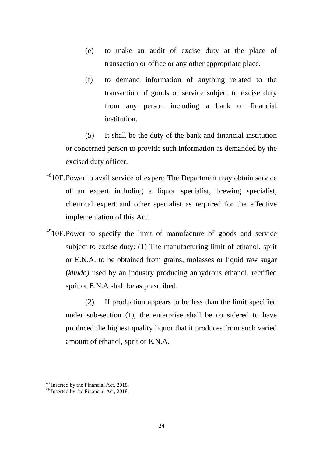- (e) to make an audit of excise duty at the place of transaction or office or any other appropriate place,
- (f) to demand information of anything related to the transaction of goods or service subject to excise duty from any person including a bank or financial institution.

(5) It shall be the duty of the bank and financial institution or concerned person to provide such information as demanded by the excised duty officer.

- <sup>48</sup>10E.Power to avail service of expert: The Department may obtain service of an expert including a liquor specialist, brewing specialist, chemical expert and other specialist as required for the effective implementation of this Act.
- <sup>49</sup>10F. Power to specify the limit of manufacture of goods and service subject to excise duty: (1) The manufacturing limit of ethanol, sprit or E.N.A. to be obtained from grains, molasses or liquid raw sugar (*khudo)* used by an industry producing anhydrous ethanol, rectified sprit or E.N.A shall be as prescribed.

(2) If production appears to be less than the limit specified under sub-section (1), the enterprise shall be considered to have produced the highest quality liquor that it produces from such varied amount of ethanol, sprit or E.N.A.

<span id="page-23-0"></span><sup>&</sup>lt;sup>48</sup> Inserted by the Financial Act, 2018.

<span id="page-23-1"></span><sup>&</sup>lt;sup>49</sup> Inserted by the Financial Act, 2018.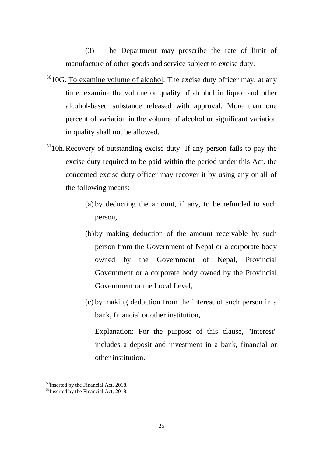(3) The Department may prescribe the rate of limit of manufacture of other goods and service subject to excise duty.

- $5010G$  $5010G$ . To examine volume of alcohol: The excise duty officer may, at any time, examine the volume or quality of alcohol in liquor and other alcohol-based substance released with approval. More than one percent of variation in the volume of alcohol or significant variation in quality shall not be allowed.
- $51$ 10h. Recovery of outstanding excise duty: If any person fails to pay the excise duty required to be paid within the period under this Act, the concerned excise duty officer may recover it by using any or all of the following means:-
	- (a) by deducting the amount, if any, to be refunded to such person,
	- (b)by making deduction of the amount receivable by such person from the Government of Nepal or a corporate body owned by the Government of Nepal, Provincial Government or a corporate body owned by the Provincial Government or the Local Level,
	- (c) by making deduction from the interest of such person in a bank, financial or other institution,

Explanation: For the purpose of this clause, "interest" includes a deposit and investment in a bank, financial or other institution.

<span id="page-24-0"></span><sup>&</sup>lt;sup>50</sup>Inserted by the Financial Act, 2018.

<span id="page-24-1"></span> $51$ Inserted by the Financial Act, 2018.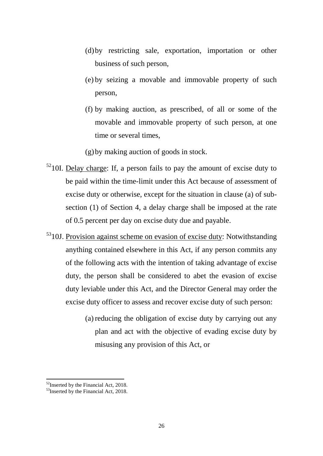- (d)by restricting sale, exportation, importation or other business of such person,
- (e) by seizing a movable and immovable property of such person,
- (f) by making auction, as prescribed, of all or some of the movable and immovable property of such person, at one time or several times,
- (g)by making auction of goods in stock.
- $5210$  $5210$ I. Delay charge: If, a person fails to pay the amount of excise duty to be paid within the time-limit under this Act because of assessment of excise duty or otherwise, except for the situation in clause (a) of subsection (1) of Section 4, a delay charge shall be imposed at the rate of 0.5 percent per day on excise duty due and payable.
- <sup>53</sup>10J. Provision against scheme on evasion of excise duty: Notwithstanding anything contained elsewhere in this Act, if any person commits any of the following acts with the intention of taking advantage of excise duty, the person shall be considered to abet the evasion of excise duty leviable under this Act, and the Director General may order the excise duty officer to assess and recover excise duty of such person:
	- (a) reducing the obligation of excise duty by carrying out any plan and act with the objective of evading excise duty by misusing any provision of this Act, or

<span id="page-25-0"></span><sup>&</sup>lt;sup>52</sup>Inserted by the Financial Act, 2018.

<span id="page-25-1"></span> $53$ Inserted by the Financial Act, 2018.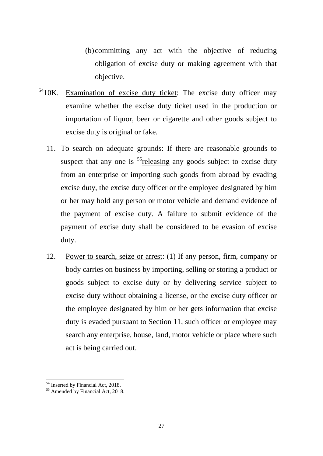(b) committing any act with the objective of reducing obligation of excise duty or making agreement with that objective.

- <sup>54</sup>10K. Examination of excise duty ticket: The excise duty officer may examine whether the excise duty ticket used in the production or importation of liquor, beer or cigarette and other goods subject to excise duty is original or fake.
	- 11. To search on adequate grounds: If there are reasonable grounds to suspect that any one is  $<sup>55</sup>$  releasing any goods subject to excise duty</sup> from an enterprise or importing such goods from abroad by evading excise duty, the excise duty officer or the employee designated by him or her may hold any person or motor vehicle and demand evidence of the payment of excise duty. A failure to submit evidence of the payment of excise duty shall be considered to be evasion of excise duty.
	- 12. Power to search, seize or arrest: (1) If any person, firm, company or body carries on business by importing, selling or storing a product or goods subject to excise duty or by delivering service subject to excise duty without obtaining a license, or the excise duty officer or the employee designated by him or her gets information that excise duty is evaded pursuant to Section 11, such officer or employee may search any enterprise, house, land, motor vehicle or place where such act is being carried out.

<span id="page-26-1"></span><span id="page-26-0"></span>

 $54 \text{ Inserted by Financial Act, } 2018.$ <br> $55 \text{ Amenteded by Financial Act, } 2018.$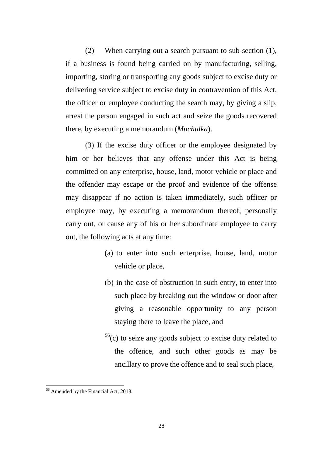(2) When carrying out a search pursuant to sub-section (1), if a business is found being carried on by manufacturing, selling, importing, storing or transporting any goods subject to excise duty or delivering service subject to excise duty in contravention of this Act, the officer or employee conducting the search may, by giving a slip, arrest the person engaged in such act and seize the goods recovered there, by executing a memorandum (*Muchulka*).

(3) If the excise duty officer or the employee designated by him or her believes that any offense under this Act is being committed on any enterprise, house, land, motor vehicle or place and the offender may escape or the proof and evidence of the offense may disappear if no action is taken immediately, such officer or employee may, by executing a memorandum thereof, personally carry out, or cause any of his or her subordinate employee to carry out, the following acts at any time:

- (a) to enter into such enterprise, house, land, motor vehicle or place,
- (b) in the case of obstruction in such entry, to enter into such place by breaking out the window or door after giving a reasonable opportunity to any person staying there to leave the place, and
- $56$ (c) to seize any goods subject to excise duty related to the offence, and such other goods as may be ancillary to prove the offence and to seal such place,

<span id="page-27-0"></span><sup>&</sup>lt;sup>56</sup> Amended by the Financial Act, 2018.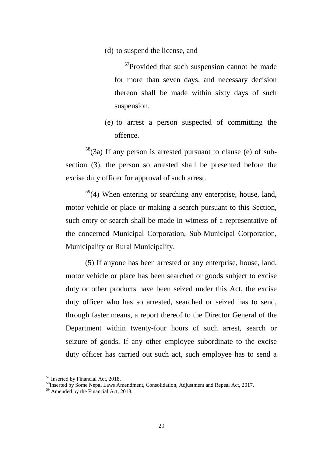(d) to suspend the license, and

<sup>57</sup>Provided that such suspension cannot be made for more than seven days, and necessary decision thereon shall be made within sixty days of such suspension.

(e) to arrest a person suspected of committing the offence.

 $58$ (3a) If any person is arrested pursuant to clause (e) of subsection (3), the person so arrested shall be presented before the excise duty officer for approval of such arrest.

 $59(4)$  $59(4)$  When entering or searching any enterprise, house, land, motor vehicle or place or making a search pursuant to this Section, such entry or search shall be made in witness of a representative of the concerned Municipal Corporation, Sub-Municipal Corporation, Municipality or Rural Municipality.

(5) If anyone has been arrested or any enterprise, house, land, motor vehicle or place has been searched or goods subject to excise duty or other products have been seized under this Act, the excise duty officer who has so arrested, searched or seized has to send, through faster means, a report thereof to the Director General of the Department within twenty-four hours of such arrest, search or seizure of goods. If any other employee subordinate to the excise duty officer has carried out such act, such employee has to send a

 $\overline{a}$ 

<span id="page-28-0"></span> $57$  Inserted by Financial Act, 2018.<br> $58$ Inserted by Some Nepal Laws Amendment, Consolidation, Adjustment and Repeal Act, 2017.

<span id="page-28-2"></span><span id="page-28-1"></span><sup>&</sup>lt;sup>59</sup> Amended by the Financial Act, 2018.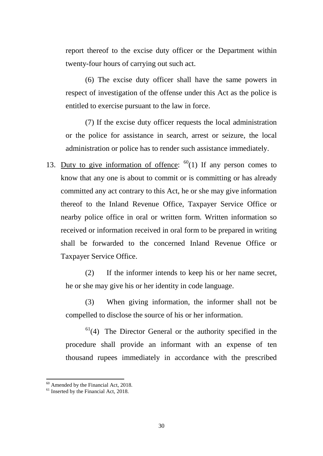report thereof to the excise duty officer or the Department within twenty-four hours of carrying out such act.

(6) The excise duty officer shall have the same powers in respect of investigation of the offense under this Act as the police is entitled to exercise pursuant to the law in force.

(7) If the excise duty officer requests the local administration or the police for assistance in search, arrest or seizure, the local administration or police has to render such assistance immediately.

13. Duty to give information of offence:  $60(1)$  $60(1)$  If any person comes to know that any one is about to commit or is committing or has already committed any act contrary to this Act, he or she may give information thereof to the Inland Revenue Office, Taxpayer Service Office or nearby police office in oral or written form. Written information so received or information received in oral form to be prepared in writing shall be forwarded to the concerned Inland Revenue Office or Taxpayer Service Office.

(2) If the informer intends to keep his or her name secret, he or she may give his or her identity in code language.

(3) When giving information, the informer shall not be compelled to disclose the source of his or her information.

 $61(4)$  $61(4)$  The Director General or the authority specified in the procedure shall provide an informant with an expense of ten thousand rupees immediately in accordance with the prescribed

<span id="page-29-0"></span> $^{60}$  Amended by the Financial Act, 2018.<br><sup>61</sup> Inserted by the Financial Act, 2018.

<span id="page-29-1"></span>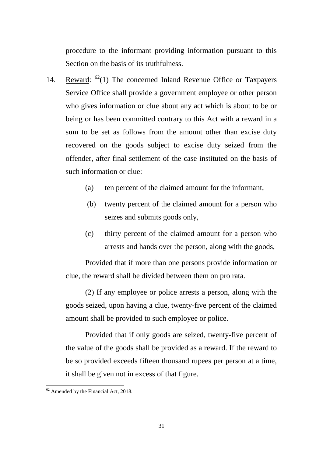procedure to the informant providing information pursuant to this Section on the basis of its truthfulness.

- 14. Reward:  $^{62}(1)$  The concerned Inland Revenue Office or Taxpayers Service Office shall provide a government employee or other person who gives information or clue about any act which is about to be or being or has been committed contrary to this Act with a reward in a sum to be set as follows from the amount other than excise duty recovered on the goods subject to excise duty seized from the offender, after final settlement of the case instituted on the basis of such information or clue:
	- (a) ten percent of the claimed amount for the informant,
	- (b) twenty percent of the claimed amount for a person who seizes and submits goods only,
	- (c) thirty percent of the claimed amount for a person who arrests and hands over the person, along with the goods,

Provided that if more than one persons provide information or clue, the reward shall be divided between them on pro rata.

(2) If any employee or police arrests a person, along with the goods seized, upon having a clue, twenty-five percent of the claimed amount shall be provided to such employee or police.

Provided that if only goods are seized, twenty-five percent of the value of the goods shall be provided as a reward. If the reward to be so provided exceeds fifteen thousand rupees per person at a time, it shall be given not in excess of that figure.

<span id="page-30-0"></span> $62$  Amended by the Financial Act, 2018.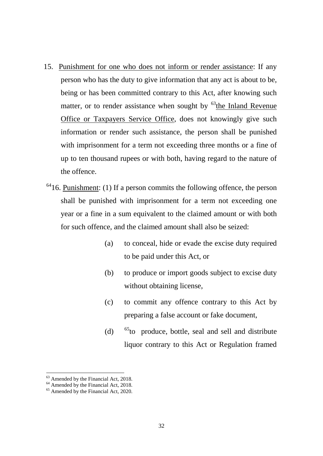- 15. Punishment for one who does not inform or render assistance: If any person who has the duty to give information that any act is about to be, being or has been committed contrary to this Act, after knowing such matter, or to render assistance when sought by  $<sup>63</sup>$  $<sup>63</sup>$  $<sup>63</sup>$ the Inland Revenue</sup> Office or Taxpayers Service Office, does not knowingly give such information or render such assistance, the person shall be punished with imprisonment for a term not exceeding three months or a fine of up to ten thousand rupees or with both, having regard to the nature of the offence.
- $6416$  $6416$ . Punishment: (1) If a person commits the following offence, the person shall be punished with imprisonment for a term not exceeding one year or a fine in a sum equivalent to the claimed amount or with both for such offence, and the claimed amount shall also be seized:
	- (a) to conceal, hide or evade the excise duty required to be paid under this Act, or
	- (b) to produce or import goods subject to excise duty without obtaining license,
	- (c) to commit any offence contrary to this Act by preparing a false account or fake document,
	- (d)  $65$  to produce, bottle, seal and sell and distribute liquor contrary to this Act or Regulation framed

 $\overline{a}$ 

<span id="page-31-0"></span><sup>&</sup>lt;sup>63</sup> Amended by the Financial Act, 2018.<br><sup>64</sup> Amended by the Financial Act, 2018.<br><sup>65</sup> Amended by the Financial Act, 2020.

<span id="page-31-1"></span>

<span id="page-31-2"></span>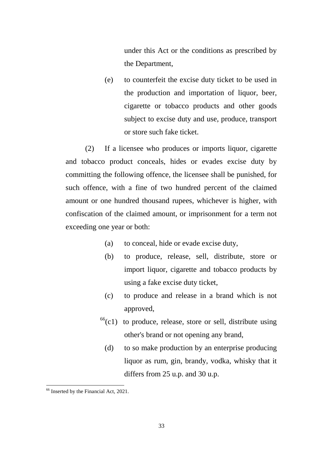under this Act or the conditions as prescribed by the Department,

(e) to counterfeit the excise duty ticket to be used in the production and importation of liquor, beer, cigarette or tobacco products and other goods subject to excise duty and use, produce, transport or store such fake ticket.

(2) If a licensee who produces or imports liquor, cigarette and tobacco product conceals, hides or evades excise duty by committing the following offence, the licensee shall be punished, for such offence, with a fine of two hundred percent of the claimed amount or one hundred thousand rupees, whichever is higher, with confiscation of the claimed amount, or imprisonment for a term not exceeding one year or both:

- (a) to conceal, hide or evade excise duty,
- (b) to produce, release, sell, distribute, store or import liquor, cigarette and tobacco products by using a fake excise duty ticket,
- (c) to produce and release in a brand which is not approved,
- $^{66}$ (c1) to produce, release, store or sell, distribute using other's brand or not opening any brand,
	- (d) to so make production by an enterprise producing liquor as rum, gin, brandy, vodka, whisky that it differs from 25 u.p. and 30 u.p.

<span id="page-32-0"></span><sup>66</sup> Inserted by the Financial Act, 2021.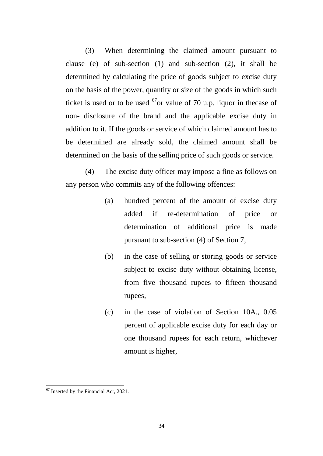(3) When determining the claimed amount pursuant to clause (e) of sub-section (1) and sub-section (2), it shall be determined by calculating the price of goods subject to excise duty on the basis of the power, quantity or size of the goods in which such ticket is used or to be used  $^{67}$  $^{67}$  $^{67}$  or value of 70 u.p. liquor in the case of non- disclosure of the brand and the applicable excise duty in addition to it. If the goods or service of which claimed amount has to be determined are already sold, the claimed amount shall be determined on the basis of the selling price of such goods or service.

(4) The excise duty officer may impose a fine as follows on any person who commits any of the following offences:

- (a) hundred percent of the amount of excise duty added if re-determination of price or determination of additional price is made pursuant to sub-section (4) of Section 7,
- (b) in the case of selling or storing goods or service subject to excise duty without obtaining license, from five thousand rupees to fifteen thousand rupees,
- (c) in the case of violation of Section 10A., 0.05 percent of applicable excise duty for each day or one thousand rupees for each return, whichever amount is higher,

<span id="page-33-0"></span><sup>&</sup>lt;sup>67</sup> Inserted by the Financial Act, 2021. **.**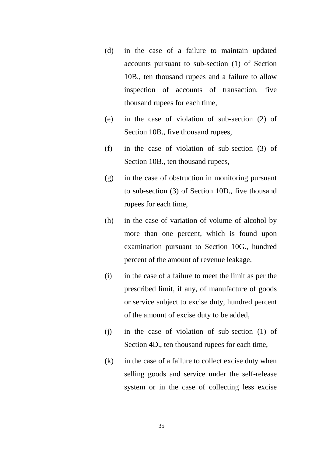- (d) in the case of a failure to maintain updated accounts pursuant to sub-section (1) of Section 10B., ten thousand rupees and a failure to allow inspection of accounts of transaction, five thousand rupees for each time,
- (e) in the case of violation of sub-section (2) of Section 10B., five thousand rupees,
- (f) in the case of violation of sub-section (3) of Section 10B., ten thousand rupees,
- (g) in the case of obstruction in monitoring pursuant to sub-section (3) of Section 10D., five thousand rupees for each time,
- (h) in the case of variation of volume of alcohol by more than one percent, which is found upon examination pursuant to Section 10G., hundred percent of the amount of revenue leakage,
- (i) in the case of a failure to meet the limit as per the prescribed limit, if any, of manufacture of goods or service subject to excise duty, hundred percent of the amount of excise duty to be added,
- (j) in the case of violation of sub-section (1) of Section 4D., ten thousand rupees for each time,
- (k) in the case of a failure to collect excise duty when selling goods and service under the self-release system or in the case of collecting less excise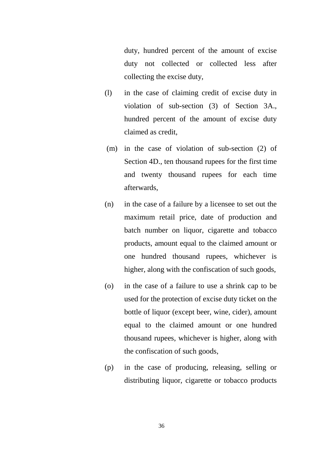duty, hundred percent of the amount of excise duty not collected or collected less after collecting the excise duty,

- (l) in the case of claiming credit of excise duty in violation of sub-section (3) of Section 3A., hundred percent of the amount of excise duty claimed as credit,
- (m) in the case of violation of sub-section (2) of Section 4D., ten thousand rupees for the first time and twenty thousand rupees for each time afterwards,
- (n) in the case of a failure by a licensee to set out the maximum retail price, date of production and batch number on liquor, cigarette and tobacco products, amount equal to the claimed amount or one hundred thousand rupees, whichever is higher, along with the confiscation of such goods,
- (o) in the case of a failure to use a shrink cap to be used for the protection of excise duty ticket on the bottle of liquor (except beer, wine, cider), amount equal to the claimed amount or one hundred thousand rupees, whichever is higher, along with the confiscation of such goods,
- (p) in the case of producing, releasing, selling or distributing liquor, cigarette or tobacco products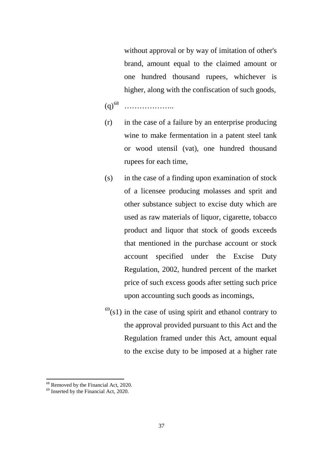without approval or by way of imitation of other's brand, amount equal to the claimed amount or one hundred thousand rupees, whichever is higher, along with the confiscation of such goods,

(q)[68](#page-36-0) ………………..

- (r) in the case of a failure by an enterprise producing wine to make fermentation in a patent steel tank or wood utensil (vat), one hundred thousand rupees for each time,
- (s) in the case of a finding upon examination of stock of a licensee producing molasses and sprit and other substance subject to excise duty which are used as raw materials of liquor, cigarette, tobacco product and liquor that stock of goods exceeds that mentioned in the purchase account or stock account specified under the Excise Duty Regulation, 2002, hundred percent of the market price of such excess goods after setting such price upon accounting such goods as incomings,
- $^{69}$ (s1) in the case of using spirit and ethanol contrary to the approval provided pursuant to this Act and the Regulation framed under this Act, amount equal to the excise duty to be imposed at a higher rate

<span id="page-36-0"></span> $^{68}$  Removed by the Financial Act, 2020.<br> $^{69}$  Inserted by the Financial Act, 2020.

<span id="page-36-1"></span>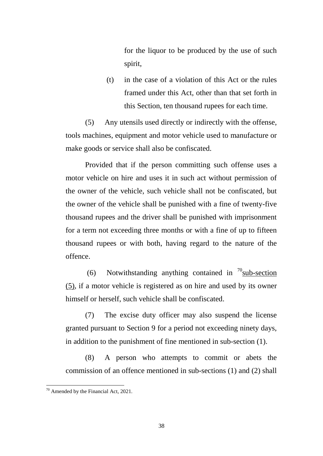for the liquor to be produced by the use of such spirit,

(t) in the case of a violation of this Act or the rules framed under this Act, other than that set forth in this Section, ten thousand rupees for each time.

(5) Any utensils used directly or indirectly with the offense, tools machines, equipment and motor vehicle used to manufacture or make goods or service shall also be confiscated.

Provided that if the person committing such offense uses a motor vehicle on hire and uses it in such act without permission of the owner of the vehicle, such vehicle shall not be confiscated, but the owner of the vehicle shall be punished with a fine of twenty-five thousand rupees and the driver shall be punished with imprisonment for a term not exceeding three months or with a fine of up to fifteen thousand rupees or with both, having regard to the nature of the offence.

(6) Notwithstanding anything contained in  $\frac{70}{\text{sub-section}}$ (5), if a motor vehicle is registered as on hire and used by its owner himself or herself, such vehicle shall be confiscated.

(7) The excise duty officer may also suspend the license granted pursuant to Section 9 for a period not exceeding ninety days, in addition to the punishment of fine mentioned in sub-section (1).

(8) A person who attempts to commit or abets the commission of an offence mentioned in sub-sections (1) and (2) shall

**.** 

<span id="page-37-0"></span> $70$  Amended by the Financial Act, 2021.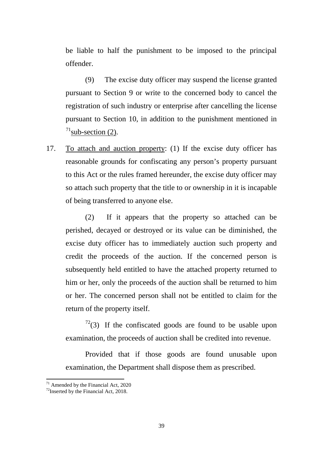be liable to half the punishment to be imposed to the principal offender.

(9) The excise duty officer may suspend the license granted pursuant to Section 9 or write to the concerned body to cancel the registration of such industry or enterprise after cancelling the license pursuant to Section 10, in addition to the punishment mentioned in  $^{71}$ sub-section (2).

17. To attach and auction property: (1) If the excise duty officer has reasonable grounds for confiscating any person's property pursuant to this Act or the rules framed hereunder, the excise duty officer may so attach such property that the title to or ownership in it is incapable of being transferred to anyone else.

(2) If it appears that the property so attached can be perished, decayed or destroyed or its value can be diminished, the excise duty officer has to immediately auction such property and credit the proceeds of the auction. If the concerned person is subsequently held entitled to have the attached property returned to him or her, only the proceeds of the auction shall be returned to him or her. The concerned person shall not be entitled to claim for the return of the property itself.

 $72$ (3) If the confiscated goods are found to be usable upon examination, the proceeds of auction shall be credited into revenue.

Provided that if those goods are found unusable upon examination, the Department shall dispose them as prescribed.

<span id="page-38-0"></span> $71$  Amended by the Financial Act, 2020

<span id="page-38-1"></span> $72$ Inserted by the Financial Act, 2018.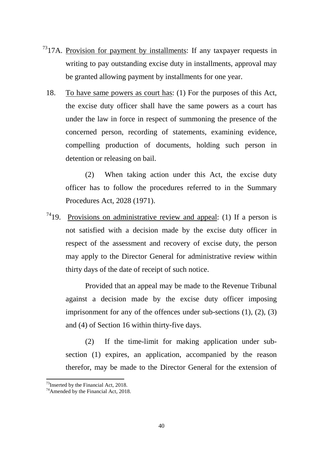- $7317A$  $7317A$ . Provision for payment by installments: If any taxpayer requests in writing to pay outstanding excise duty in installments, approval may be granted allowing payment by installments for one year.
	- 18. To have same powers as court has: (1) For the purposes of this Act, the excise duty officer shall have the same powers as a court has under the law in force in respect of summoning the presence of the concerned person, recording of statements, examining evidence, compelling production of documents, holding such person in detention or releasing on bail.

(2) When taking action under this Act, the excise duty officer has to follow the procedures referred to in the Summary Procedures Act, 2028 (1971).

 $7419$  $7419$ . Provisions on administrative review and appeal: (1) If a person is not satisfied with a decision made by the excise duty officer in respect of the assessment and recovery of excise duty, the person may apply to the Director General for administrative review within thirty days of the date of receipt of such notice.

Provided that an appeal may be made to the Revenue Tribunal against a decision made by the excise duty officer imposing imprisonment for any of the offences under sub-sections (1), (2), (3) and (4) of Section 16 within thirty-five days.

(2) If the time-limit for making application under subsection (1) expires, an application, accompanied by the reason therefor, may be made to the Director General for the extension of

<span id="page-39-0"></span> $73$ Inserted by the Financial Act, 2018.

<span id="page-39-1"></span> $74$ Amended by the Financial Act, 2018.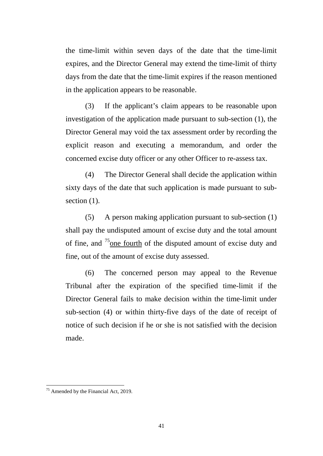the time-limit within seven days of the date that the time-limit expires, and the Director General may extend the time-limit of thirty days from the date that the time-limit expires if the reason mentioned in the application appears to be reasonable.

(3) If the applicant's claim appears to be reasonable upon investigation of the application made pursuant to sub-section (1), the Director General may void the tax assessment order by recording the explicit reason and executing a memorandum, and order the concerned excise duty officer or any other Officer to re-assess tax.

(4) The Director General shall decide the application within sixty days of the date that such application is made pursuant to subsection  $(1)$ .

(5) A person making application pursuant to sub-section (1) shall pay the undisputed amount of excise duty and the total amount of fine, and <sup>[75](#page-40-0)</sup> one fourth of the disputed amount of excise duty and fine, out of the amount of excise duty assessed.

(6) The concerned person may appeal to the Revenue Tribunal after the expiration of the specified time-limit if the Director General fails to make decision within the time-limit under sub-section (4) or within thirty-five days of the date of receipt of notice of such decision if he or she is not satisfied with the decision made.

**.** 

<span id="page-40-0"></span><sup>&</sup>lt;sup>75</sup> Amended by the Financial Act, 2019.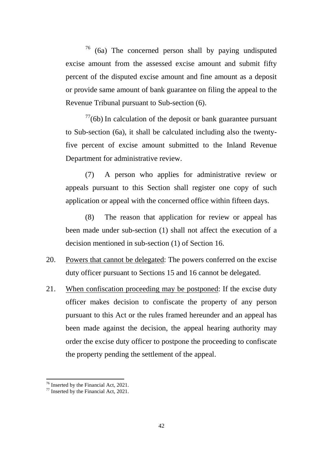$76$  (6a) The concerned person shall by paying undisputed excise amount from the assessed excise amount and submit fifty percent of the disputed excise amount and fine amount as a deposit or provide same amount of bank guarantee on filing the appeal to the Revenue Tribunal pursuant to Sub-section (6).

 $77(6b)$  $77(6b)$  In calculation of the deposit or bank guarantee pursuant to Sub-section (6a), it shall be calculated including also the twentyfive percent of excise amount submitted to the Inland Revenue Department for administrative review.

(7) A person who applies for administrative review or appeals pursuant to this Section shall register one copy of such application or appeal with the concerned office within fifteen days.

(8) The reason that application for review or appeal has been made under sub-section (1) shall not affect the execution of a decision mentioned in sub-section (1) of Section 16.

- 20. Powers that cannot be delegated: The powers conferred on the excise duty officer pursuant to Sections 15 and 16 cannot be delegated.
- 21. When confiscation proceeding may be postponed: If the excise duty officer makes decision to confiscate the property of any person pursuant to this Act or the rules framed hereunder and an appeal has been made against the decision, the appeal hearing authority may order the excise duty officer to postpone the proceeding to confiscate the property pending the settlement of the appeal.

<span id="page-41-1"></span><span id="page-41-0"></span>

<sup>&</sup>lt;sup>76</sup> Inserted by the Financial Act, 2021.<br><sup>77</sup> Inserted by the Financial Act, 2021.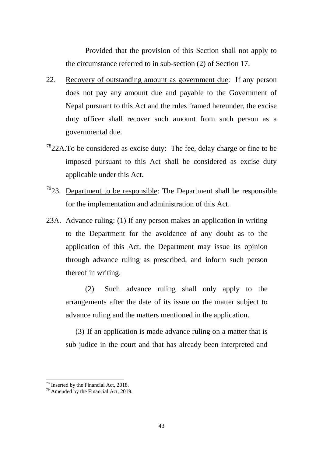Provided that the provision of this Section shall not apply to the circumstance referred to in sub-section (2) of Section 17.

- 22. Recovery of outstanding amount as government due: If any person does not pay any amount due and payable to the Government of Nepal pursuant to this Act and the rules framed hereunder, the excise duty officer shall recover such amount from such person as a governmental due.
- $7822A$  $7822A$ . To be considered as excise duty: The fee, delay charge or fine to be imposed pursuant to this Act shall be considered as excise duty applicable under this Act.
- $7923.$  $7923.$  Department to be responsible: The Department shall be responsible for the implementation and administration of this Act.
- 23A. Advance ruling: (1) If any person makes an application in writing to the Department for the avoidance of any doubt as to the application of this Act, the Department may issue its opinion through advance ruling as prescribed, and inform such person thereof in writing.

(2) Such advance ruling shall only apply to the arrangements after the date of its issue on the matter subject to advance ruling and the matters mentioned in the application.

(3) If an application is made advance ruling on a matter that is sub judice in the court and that has already been interpreted and

<span id="page-42-1"></span><span id="page-42-0"></span>

<sup>&</sup>lt;sup>78</sup> Inserted by the Financial Act, 2018.<br><sup>79</sup> Amended by the Financial Act, 2019.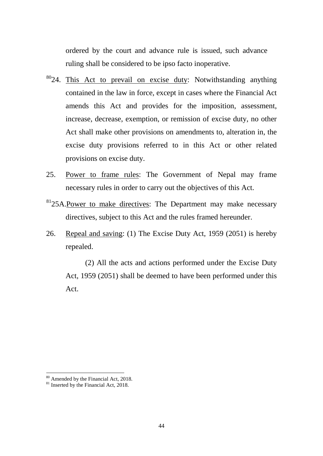ordered by the court and advance rule is issued, such advance ruling shall be considered to be ipso facto inoperative.

- <sup>80</sup>24. This Act to prevail on excise duty: Notwithstanding anything contained in the law in force, except in cases where the Financial Act amends this Act and provides for the imposition, assessment, increase, decrease, exemption, or remission of excise duty, no other Act shall make other provisions on amendments to, alteration in, the excise duty provisions referred to in this Act or other related provisions on excise duty.
- 25. Power to frame rules: The Government of Nepal may frame necessary rules in order to carry out the objectives of this Act.
- <sup>81</sup>25A.Power to make directives: The Department may make necessary directives, subject to this Act and the rules framed hereunder.
- 26. Repeal and saving: (1) The Excise Duty Act, 1959 (2051) is hereby repealed.

(2) All the acts and actions performed under the Excise Duty Act, 1959 (2051) shall be deemed to have been performed under this Act.

 $\overline{\phantom{a}}$ 

<span id="page-43-1"></span><span id="page-43-0"></span> $80$  Amended by the Financial Act, 2018.<br><sup>81</sup> Inserted by the Financial Act, 2018.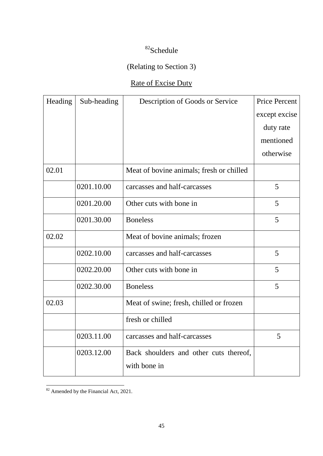## [82S](#page-44-0)chedule

## (Relating to Section 3)

## Rate of Excise Duty

| Heading | Sub-heading | Description of Goods or Service          | <b>Price Percent</b> |
|---------|-------------|------------------------------------------|----------------------|
|         |             |                                          | except excise        |
|         |             |                                          | duty rate            |
|         |             |                                          | mentioned            |
|         |             |                                          | otherwise            |
| 02.01   |             | Meat of bovine animals; fresh or chilled |                      |
|         | 0201.10.00  | carcasses and half-carcasses             | 5                    |
|         | 0201.20.00  | Other cuts with bone in                  | 5                    |
|         | 0201.30.00  | <b>Boneless</b>                          | 5                    |
| 02.02   |             | Meat of bovine animals; frozen           |                      |
|         | 0202.10.00  | carcasses and half-carcasses             | 5                    |
|         | 0202.20.00  | Other cuts with bone in                  | 5                    |
|         | 0202.30.00  | <b>Boneless</b>                          | 5                    |
| 02.03   |             | Meat of swine; fresh, chilled or frozen  |                      |
|         |             | fresh or chilled                         |                      |
|         | 0203.11.00  | carcasses and half-carcasses             | 5                    |
|         | 0203.12.00  | Back shoulders and other cuts thereof,   |                      |
|         |             | with bone in                             |                      |

<span id="page-44-0"></span><sup>&</sup>lt;sup>82</sup> Amended by the Financial Act, 2021. **.**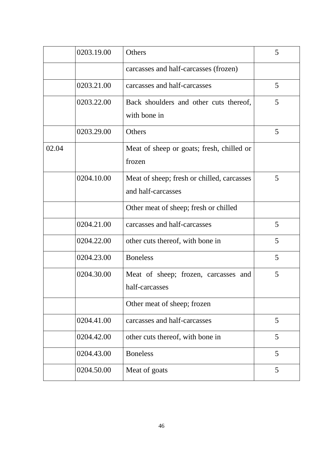|       | 0203.19.00 | Others                                                           | 5 |
|-------|------------|------------------------------------------------------------------|---|
|       |            | carcasses and half-carcasses (frozen)                            |   |
|       | 0203.21.00 | carcasses and half-carcasses                                     | 5 |
|       | 0203.22.00 | Back shoulders and other cuts thereof,<br>with bone in           | 5 |
|       | 0203.29.00 | Others                                                           | 5 |
| 02.04 |            | Meat of sheep or goats; fresh, chilled or<br>frozen              |   |
|       | 0204.10.00 | Meat of sheep; fresh or chilled, carcasses<br>and half-carcasses | 5 |
|       |            | Other meat of sheep; fresh or chilled                            |   |
|       | 0204.21.00 | carcasses and half-carcasses                                     | 5 |
|       | 0204.22.00 | other cuts thereof, with bone in                                 | 5 |
|       | 0204.23.00 | <b>Boneless</b>                                                  | 5 |
|       | 0204.30.00 | Meat of sheep; frozen, carcasses and<br>half-carcasses           | 5 |
|       |            | Other meat of sheep; frozen                                      |   |
|       | 0204.41.00 | carcasses and half-carcasses                                     | 5 |
|       | 0204.42.00 | other cuts thereof, with bone in                                 | 5 |
|       | 0204.43.00 | <b>Boneless</b>                                                  | 5 |
|       | 0204.50.00 | Meat of goats                                                    | 5 |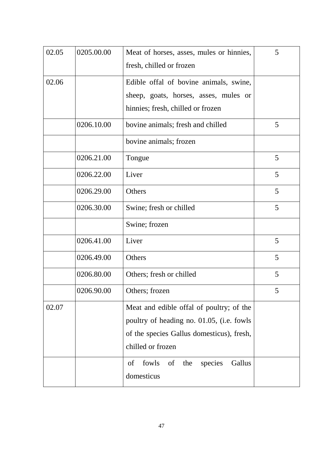| 02.05 | 0205.00.00 | Meat of horses, asses, mules or hinnies,      | 5 |
|-------|------------|-----------------------------------------------|---|
|       |            | fresh, chilled or frozen                      |   |
| 02.06 |            | Edible offal of bovine animals, swine,        |   |
|       |            | sheep, goats, horses, asses, mules or         |   |
|       |            | hinnies; fresh, chilled or frozen             |   |
|       | 0206.10.00 | bovine animals; fresh and chilled             | 5 |
|       |            | bovine animals; frozen                        |   |
|       | 0206.21.00 | Tongue                                        | 5 |
|       | 0206.22.00 | Liver                                         | 5 |
|       | 0206.29.00 | Others                                        | 5 |
|       | 0206.30.00 | Swine; fresh or chilled                       | 5 |
|       |            | Swine; frozen                                 |   |
|       | 0206.41.00 | Liver                                         | 5 |
|       | 0206.49.00 | Others                                        | 5 |
|       | 0206.80.00 | Others; fresh or chilled                      | 5 |
|       | 0206.90.00 | Others; frozen                                | 5 |
| 02.07 |            | Meat and edible offal of poultry; of the      |   |
|       |            | poultry of heading no. 01.05, (i.e. fowls     |   |
|       |            | of the species Gallus domesticus), fresh,     |   |
|       |            | chilled or frozen                             |   |
|       |            | fowls<br>species<br>Gallus<br>of<br>of<br>the |   |
|       |            | domesticus                                    |   |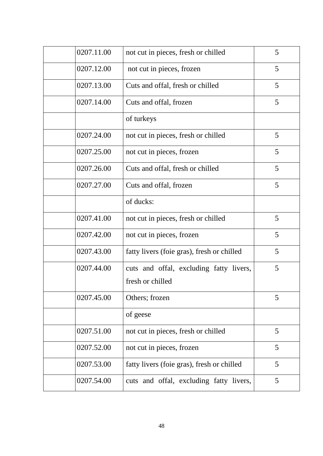| 0207.11.00 | not cut in pieces, fresh or chilled        | 5 |
|------------|--------------------------------------------|---|
| 0207.12.00 | not cut in pieces, frozen                  | 5 |
| 0207.13.00 | Cuts and offal, fresh or chilled           | 5 |
| 0207.14.00 | Cuts and offal, frozen                     | 5 |
|            | of turkeys                                 |   |
| 0207.24.00 | not cut in pieces, fresh or chilled        | 5 |
| 0207.25.00 | not cut in pieces, frozen                  | 5 |
| 0207.26.00 | Cuts and offal, fresh or chilled           | 5 |
| 0207.27.00 | Cuts and offal, frozen                     | 5 |
|            | of ducks:                                  |   |
| 0207.41.00 | not cut in pieces, fresh or chilled        | 5 |
| 0207.42.00 | not cut in pieces, frozen                  | 5 |
| 0207.43.00 | fatty livers (foie gras), fresh or chilled | 5 |
| 0207.44.00 | cuts and offal, excluding fatty livers,    | 5 |
|            | fresh or chilled                           |   |
| 0207.45.00 | Others; frozen                             | 5 |
|            | of geese                                   |   |
| 0207.51.00 | not cut in pieces, fresh or chilled        | 5 |
| 0207.52.00 | not cut in pieces, frozen                  | 5 |
| 0207.53.00 | fatty livers (foie gras), fresh or chilled | 5 |
| 0207.54.00 | cuts and offal, excluding fatty livers,    | 5 |
|            |                                            |   |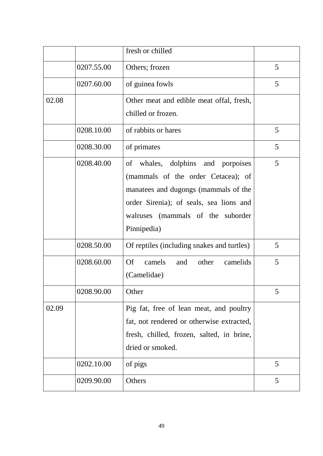|       |            | fresh or chilled                                |   |
|-------|------------|-------------------------------------------------|---|
|       | 0207.55.00 | Others; frozen                                  | 5 |
|       | 0207.60.00 | of guinea fowls                                 | 5 |
| 02.08 |            | Other meat and edible meat offal, fresh,        |   |
|       |            | chilled or frozen.                              |   |
|       | 0208.10.00 | of rabbits or hares                             | 5 |
|       | 0208.30.00 | of primates                                     | 5 |
|       | 0208.40.00 | of whales, dolphins and porpoises               | 5 |
|       |            | (mammals of the order Cetacea); of              |   |
|       |            | manatees and dugongs (mammals of the            |   |
|       |            | order Sirenia); of seals, sea lions and         |   |
|       |            | walruses (mammals of the suborder               |   |
|       |            | Pinnipedia)                                     |   |
|       | 0208.50.00 | Of reptiles (including snakes and turtles)      | 5 |
|       | 0208.60.00 | <b>Of</b><br>camels<br>and<br>other<br>camelids | 5 |
|       |            | (Camelidae)                                     |   |
|       | 0208.90.00 | Other                                           | 5 |
| 02.09 |            | Pig fat, free of lean meat, and poultry         |   |
|       |            | fat, not rendered or otherwise extracted,       |   |
|       |            | fresh, chilled, frozen, salted, in brine,       |   |
|       |            | dried or smoked.                                |   |
|       | 0202.10.00 | of pigs                                         | 5 |
|       | 0209.90.00 | Others                                          | 5 |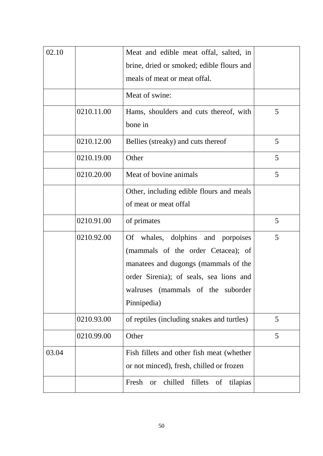| 02.10 |            | Meat and edible meat offal, salted, in<br>brine, dried or smoked; edible flours and<br>meals of meat or meat offal.                                                                                               |   |
|-------|------------|-------------------------------------------------------------------------------------------------------------------------------------------------------------------------------------------------------------------|---|
|       |            | Meat of swine:                                                                                                                                                                                                    |   |
|       | 0210.11.00 | Hams, shoulders and cuts thereof, with<br>bone in                                                                                                                                                                 | 5 |
|       | 0210.12.00 | Bellies (streaky) and cuts thereof                                                                                                                                                                                | 5 |
|       | 0210.19.00 | Other                                                                                                                                                                                                             | 5 |
|       | 0210.20.00 | Meat of bovine animals                                                                                                                                                                                            | 5 |
|       |            | Other, including edible flours and meals<br>of meat or meat offal                                                                                                                                                 |   |
|       | 0210.91.00 | of primates                                                                                                                                                                                                       | 5 |
|       | 0210.92.00 | Of whales, dolphins and porpoises<br>(mammals of the order Cetacea); of<br>manatees and dugongs (mammals of the<br>order Sirenia); of seals, sea lions and<br>(mammals of the suborder<br>walruses<br>Pinnipedia) | 5 |
|       | 0210.93.00 | of reptiles (including snakes and turtles)                                                                                                                                                                        | 5 |
|       | 0210.99.00 | Other                                                                                                                                                                                                             | 5 |
| 03.04 |            | Fish fillets and other fish meat (whether<br>or not minced), fresh, chilled or frozen                                                                                                                             |   |
|       |            | Fresh<br>chilled<br>fillets of<br>tilapias<br><b>or</b>                                                                                                                                                           |   |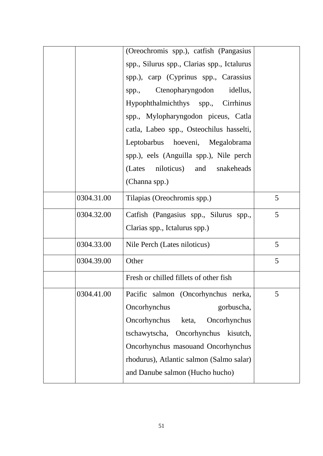|            | (Oreochromis spp.), catfish (Pangasius      |   |
|------------|---------------------------------------------|---|
|            | spp., Silurus spp., Clarias spp., Ictalurus |   |
|            | spp.), carp (Cyprinus spp., Carassius       |   |
|            | spp., Ctenopharyngodon idellus,             |   |
|            | Hypophthalmichthys spp., Cirrhinus          |   |
|            | spp., Mylopharyngodon piceus, Catla         |   |
|            | catla, Labeo spp., Osteochilus hasselti,    |   |
|            | Leptobarbus hoeveni, Megalobrama            |   |
|            | spp.), eels (Anguilla spp.), Nile perch     |   |
|            | (Lates niloticus) and snakeheads            |   |
|            | (Channa spp.)                               |   |
| 0304.31.00 | Tilapias (Oreochromis spp.)                 | 5 |
| 0304.32.00 | Catfish (Pangasius spp., Silurus spp.,      | 5 |
|            | Clarias spp., Ictalurus spp.)               |   |
| 0304.33.00 | Nile Perch (Lates niloticus)                | 5 |
| 0304.39.00 | Other                                       | 5 |
|            | Fresh or chilled fillets of other fish      |   |
| 0304.41.00 | Pacific salmon (Oncorhynchus nerka,         | 5 |
|            | Oncorhynchus<br>gorbuscha,                  |   |
|            | Oncorhynchus<br>Oncorhynchus<br>keta,       |   |
|            | tschawytscha,<br>Oncorhynchus<br>kisutch,   |   |
|            | Oncorhynchus masouand Oncorhynchus          |   |
|            | rhodurus), Atlantic salmon (Salmo salar)    |   |
|            | and Danube salmon (Hucho hucho)             |   |
|            |                                             |   |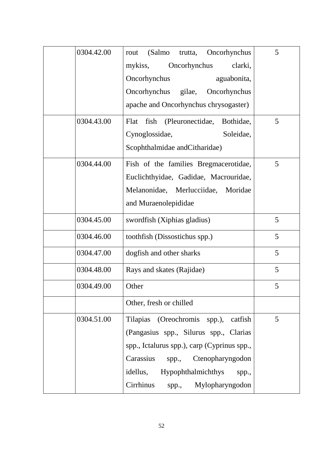| 0304.42.00 | (Salmo<br>Oncorhynchus<br>trutta,<br>rout     | 5 |
|------------|-----------------------------------------------|---|
|            | Oncorhynchus<br>clarki,<br>mykiss,            |   |
|            | Oncorhynchus<br>aguabonita,                   |   |
|            | Oncorhynchus<br>gilae,<br>Oncorhynchus        |   |
|            | apache and Oncorhynchus chrysogaster)         |   |
| 0304.43.00 | (Pleuronectidae,<br>Flat<br>fish<br>Bothidae, | 5 |
|            | Cynoglossidae,<br>Soleidae,                   |   |
|            | Scophthalmidae and Citharidae)                |   |
| 0304.44.00 | Fish of the families Bregmacerotidae,         | 5 |
|            | Euclichthyidae, Gadidae, Macrouridae,         |   |
|            | Melanonidae, Merlucciidae, Moridae            |   |
|            | and Muraenolepididae                          |   |
| 0304.45.00 | swordfish (Xiphias gladius)                   | 5 |
| 0304.46.00 | toothfish (Dissostichus spp.)                 | 5 |
| 0304.47.00 | dogfish and other sharks                      | 5 |
| 0304.48.00 | Rays and skates (Rajidae)                     | 5 |
| 0304.49.00 | Other                                         | 5 |
|            | Other, fresh or chilled                       |   |
| 0304.51.00 | Tilapias (Oreochromis spp.),<br>catfish       | 5 |
|            | (Pangasius spp., Silurus spp., Clarias        |   |
|            | spp., Ictalurus spp.), carp (Cyprinus spp.,   |   |
|            | Carassius<br>spp., Ctenopharyngodon           |   |
|            | Hypophthalmichthys<br>idellus,<br>spp.,       |   |
|            | Cirrhinus<br>Mylopharyngodon<br>spp.,         |   |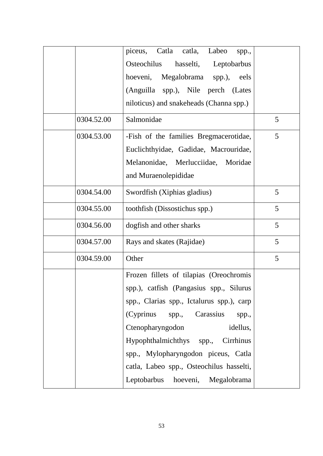|            | Catla catla,<br>Labeo<br>piceus,<br>spp., |   |
|------------|-------------------------------------------|---|
|            | hasselti, Leptobarbus<br>Osteochilus      |   |
|            | hoeveni, Megalobrama spp.),<br>eels       |   |
|            | (Anguilla spp.), Nile perch (Lates        |   |
|            | niloticus) and snakeheads (Channa spp.)   |   |
| 0304.52.00 | Salmonidae                                | 5 |
| 0304.53.00 | -Fish of the families Bregmacerotidae,    | 5 |
|            | Euclichthyidae, Gadidae, Macrouridae,     |   |
|            | Melanonidae, Merlucciidae, Moridae        |   |
|            | and Muraenolepididae                      |   |
| 0304.54.00 | Swordfish (Xiphias gladius)               | 5 |
| 0304.55.00 | toothfish (Dissostichus spp.)             | 5 |
| 0304.56.00 | dogfish and other sharks                  | 5 |
| 0304.57.00 | Rays and skates (Rajidae)                 | 5 |
| 0304.59.00 | Other                                     | 5 |
|            | Frozen fillets of tilapias (Oreochromis   |   |
|            | spp.), catfish (Pangasius spp., Silurus   |   |
|            | spp., Clarias spp., Ictalurus spp.), carp |   |
|            | (Cyprinus spp., Carassius<br>spp.,        |   |
|            | Ctenopharyngodon<br>idellus,              |   |
|            | Hypophthalmichthys spp., Cirrhinus        |   |
|            | spp., Mylopharyngodon piceus, Catla       |   |
|            | catla, Labeo spp., Osteochilus hasselti,  |   |
|            | Leptobarbus hoeveni, Megalobrama          |   |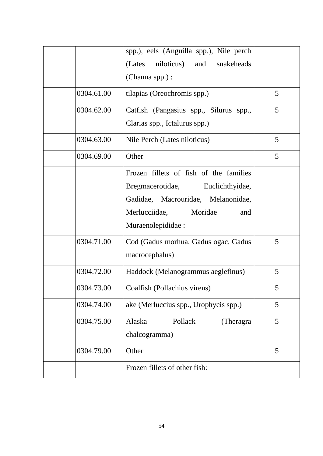|            | spp.), eels (Anguilla spp.), Nile perch<br>niloticus) and<br>snakeheads<br>(Lates                                                                                         |   |
|------------|---------------------------------------------------------------------------------------------------------------------------------------------------------------------------|---|
|            | (Channa spp.) :                                                                                                                                                           |   |
| 0304.61.00 | tilapias (Oreochromis spp.)                                                                                                                                               | 5 |
| 0304.62.00 | Catfish (Pangasius spp., Silurus spp.,<br>Clarias spp., Ictalurus spp.)                                                                                                   | 5 |
| 0304.63.00 | Nile Perch (Lates niloticus)                                                                                                                                              | 5 |
| 0304.69.00 | Other                                                                                                                                                                     | 5 |
|            | Frozen fillets of fish of the families<br>Bregmacerotidae, Euclichthyidae,<br>Gadidae, Macrouridae, Melanonidae,<br>Merlucciidae,<br>Moridae<br>and<br>Muraenolepididae : |   |
| 0304.71.00 | Cod (Gadus morhua, Gadus ogac, Gadus<br>macrocephalus)                                                                                                                    | 5 |
| 0304.72.00 | Haddock (Melanogrammus aeglefinus)                                                                                                                                        | 5 |
| 0304.73.00 | Coalfish (Pollachius virens)                                                                                                                                              | 5 |
| 0304.74.00 | ake (Merluccius spp., Urophycis spp.)                                                                                                                                     | 5 |
| 0304.75.00 | Alaska<br>Pollack<br>(Theragra)<br>chalcogramma)                                                                                                                          | 5 |
| 0304.79.00 | Other                                                                                                                                                                     | 5 |
|            | Frozen fillets of other fish:                                                                                                                                             |   |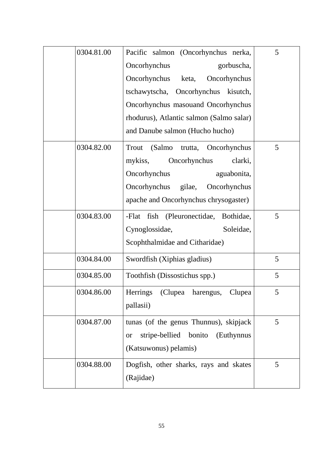| 0304.81.00 | Pacific salmon (Oncorhynchus nerka,                  | 5 |
|------------|------------------------------------------------------|---|
|            | Oncorhynchus<br>gorbuscha,                           |   |
|            | Oncorhynchus<br>keta,<br>Oncorhynchus                |   |
|            | tschawytscha, Oncorhynchus kisutch,                  |   |
|            | Oncorhynchus masouand Oncorhynchus                   |   |
|            | rhodurus), Atlantic salmon (Salmo salar)             |   |
|            | and Danube salmon (Hucho hucho)                      |   |
| 0304.82.00 | (Salmo trutta, Oncorhynchus<br>Trout                 | 5 |
|            | mykiss, Oncorhynchus<br>clarki,                      |   |
|            | Oncorhynchus<br>aguabonita,                          |   |
|            | Oncorhynchus gilae,<br>Oncorhynchus                  |   |
|            | apache and Oncorhynchus chrysogaster)                |   |
| 0304.83.00 | -Flat fish (Pleuronectidae, Bothidae,                | 5 |
|            | Cynoglossidae,<br>Soleidae,                          |   |
|            | Scophthalmidae and Citharidae)                       |   |
| 0304.84.00 | Swordfish (Xiphias gladius)                          | 5 |
| 0304.85.00 | Toothfish (Dissostichus spp.)                        | 5 |
| 0304.86.00 | (Clupea harengus,<br>Herrings<br>Clupea              | 5 |
|            | pallasii)                                            |   |
| 0304.87.00 | tunas (of the genus Thunnus), skipjack               | 5 |
|            | stripe-bellied<br>bonito<br>(Euthynnus)<br><b>or</b> |   |
|            | (Katsuwonus) pelamis)                                |   |
| 0304.88.00 | Dogfish, other sharks, rays and skates               | 5 |
|            | (Rajidae)                                            |   |
|            |                                                      |   |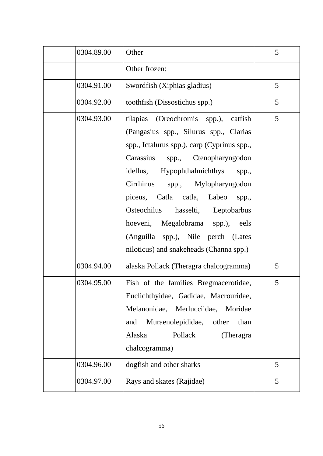| 0304.89.00 | Other                                                                                                                                                                                                                                                                                                                                                                                                                                                              | 5 |
|------------|--------------------------------------------------------------------------------------------------------------------------------------------------------------------------------------------------------------------------------------------------------------------------------------------------------------------------------------------------------------------------------------------------------------------------------------------------------------------|---|
|            | Other frozen:                                                                                                                                                                                                                                                                                                                                                                                                                                                      |   |
| 0304.91.00 | Swordfish (Xiphias gladius)                                                                                                                                                                                                                                                                                                                                                                                                                                        | 5 |
| 0304.92.00 | toothfish (Dissostichus spp.)                                                                                                                                                                                                                                                                                                                                                                                                                                      | 5 |
| 0304.93.00 | tilapias (Oreochromis spp.),<br>catfish<br>(Pangasius spp., Silurus spp., Clarias<br>spp., Ictalurus spp.), carp (Cyprinus spp.,<br>Carassius<br>spp., Ctenopharyngodon<br>Hypophthalmichthys<br>idellus,<br>spp.,<br>Cirrhinus<br>spp., Mylopharyngodon<br>piceus, Catla catla,<br>Labeo<br>spp.,<br>Osteochilus<br>hasselti, Leptobarbus<br>hoeveni, Megalobrama spp.),<br>eels<br>(Anguilla spp.), Nile perch (Lates<br>niloticus) and snakeheads (Channa spp.) | 5 |
| 0304.94.00 | alaska Pollack (Theragra chalcogramma)                                                                                                                                                                                                                                                                                                                                                                                                                             | 5 |
| 0304.95.00 | Fish of the families Bregmacerotidae,<br>Euclichthyidae, Gadidae, Macrouridae,<br>Melanonidae,<br>Merlucciidae,<br>Moridae<br>Muraenolepididae, other<br>and<br>than<br>Pollack<br>Alaska<br>(Theragra)<br>chalcogramma)                                                                                                                                                                                                                                           | 5 |
| 0304.96.00 | dogfish and other sharks                                                                                                                                                                                                                                                                                                                                                                                                                                           | 5 |
| 0304.97.00 | Rays and skates (Rajidae)                                                                                                                                                                                                                                                                                                                                                                                                                                          | 5 |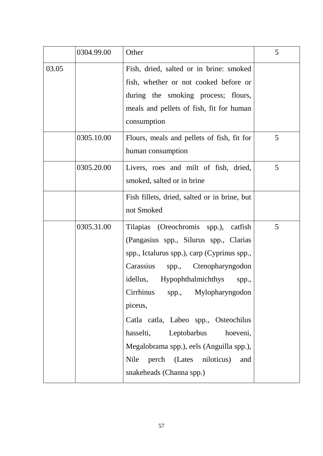|       | 0304.99.00 | Other                                                                                                                                                                                                                                                                                                                                                                                                                                                        | 5 |
|-------|------------|--------------------------------------------------------------------------------------------------------------------------------------------------------------------------------------------------------------------------------------------------------------------------------------------------------------------------------------------------------------------------------------------------------------------------------------------------------------|---|
| 03.05 |            | Fish, dried, salted or in brine: smoked<br>fish, whether or not cooked before or<br>during the smoking process; flours,<br>meals and pellets of fish, fit for human<br>consumption                                                                                                                                                                                                                                                                           |   |
|       | 0305.10.00 | Flours, meals and pellets of fish, fit for<br>human consumption                                                                                                                                                                                                                                                                                                                                                                                              | 5 |
|       | 0305.20.00 | Livers, roes and milt of fish, dried,<br>smoked, salted or in brine                                                                                                                                                                                                                                                                                                                                                                                          | 5 |
|       |            | Fish fillets, dried, salted or in brine, but<br>not Smoked                                                                                                                                                                                                                                                                                                                                                                                                   |   |
|       | 0305.31.00 | Tilapias (Oreochromis spp.), catfish<br>(Pangasius spp., Silurus spp., Clarias<br>spp., Ictalurus spp.), carp (Cyprinus spp.,<br>Carassius<br>spp., Ctenopharyngodon<br>idellus, Hypophthalmichthys<br>spp.,<br>Cirrhinus<br>spp., Mylopharyngodon<br>piceus,<br>Catla catla, Labeo spp., Osteochilus<br>hasselti, Leptobarbus<br>hoeveni,<br>Megalobrama spp.), eels (Anguilla spp.),<br>perch (Lates niloticus)<br>Nile<br>and<br>snakeheads (Channa spp.) | 5 |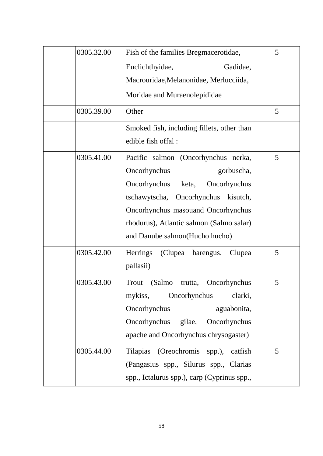| 0305.32.00 | Fish of the families Bregmacerotidae,       | 5 |
|------------|---------------------------------------------|---|
|            | Euclichthyidae,<br>Gadidae,                 |   |
|            | Macrouridae, Melanonidae, Merlucciida,      |   |
|            | Moridae and Muraenolepididae                |   |
| 0305.39.00 | Other                                       | 5 |
|            | Smoked fish, including fillets, other than  |   |
|            | edible fish offal:                          |   |
| 0305.41.00 | Pacific salmon (Oncorhynchus nerka,         | 5 |
|            | Oncorhynchus<br>gorbuscha,                  |   |
|            | Oncorhynchus<br>Oncorhynchus<br>keta,       |   |
|            | Oncorhynchus<br>tschawytscha,<br>kisutch,   |   |
|            | Oncorhynchus masouand Oncorhynchus          |   |
|            | rhodurus), Atlantic salmon (Salmo salar)    |   |
|            | and Danube salmon (Hucho hucho)             |   |
| 0305.42.00 | Herrings<br>(Clupea harengus,<br>Clupea     | 5 |
|            | pallasii)                                   |   |
| 0305.43.00 | Trout<br>(Salmo<br>Oncorhynchus<br>trutta,  | 5 |
|            | mykiss, Oncorhynchus<br>clarki,             |   |
|            | Oncorhynchus<br>aguabonita,                 |   |
|            | Oncorhynchus gilae,<br>Oncorhynchus         |   |
|            | apache and Oncorhynchus chrysogaster)       |   |
| 0305.44.00 | Tilapias (Oreochromis spp.), catfish        | 5 |
|            | (Pangasius spp., Silurus spp., Clarias      |   |
|            | spp., Ictalurus spp.), carp (Cyprinus spp., |   |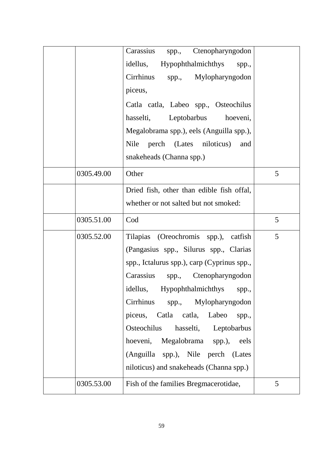| Carassius           | spp., Ctenopharyngodon                       |
|---------------------|----------------------------------------------|
| idellus,            | <b>Hypophthalmichthys</b><br>spp.,           |
| Cirrhinus           | spp., Mylopharyngodon                        |
| piceus,             |                                              |
|                     | Catla catla, Labeo spp., Osteochilus         |
| hasselti,           | Leptobarbus<br>hoeveni,                      |
|                     | Megalobrama spp.), eels (Anguilla spp.),     |
| Nile                | perch (Lates niloticus)<br>and               |
|                     | snakeheads (Channa spp.)                     |
| Other<br>0305.49.00 | 5                                            |
|                     | Dried fish, other than edible fish offal,    |
|                     | whether or not salted but not smoked:        |
| 0305.51.00<br>Cod   | 5                                            |
| 0305.52.00          | 5<br>Tilapias (Oreochromis spp.),<br>catfish |
|                     | (Pangasius spp., Silurus spp., Clarias       |
|                     | spp., Ictalurus spp.), carp (Cyprinus spp.,  |
| Carassius           | spp., Ctenopharyngodon                       |
| idellus,            | Hypophthalmichthys<br>spp.,                  |
| Cirrhinus           | spp., Mylopharyngodon                        |
| piceus,             | Catla catla,<br>Labeo<br>spp.,               |
| Osteochilus         | hasselti, Leptobarbus                        |
| hoeveni,            | Megalobrama spp.),<br>eels                   |
|                     | (Anguilla spp.), Nile perch (Lates           |
|                     | niloticus) and snakeheads (Channa spp.)      |
| 0305.53.00          | Fish of the families Bregmacerotidae,<br>5   |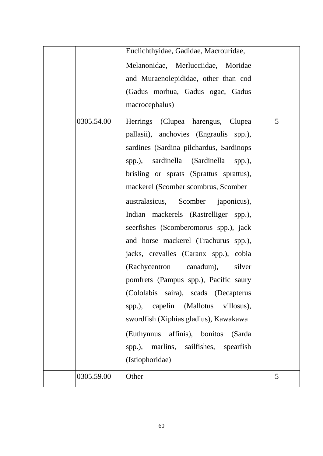|            | Euclichthyidae, Gadidae, Macrouridae,       |   |
|------------|---------------------------------------------|---|
|            | Melanonidae, Merlucciidae, Moridae          |   |
|            | and Muraenolepididae, other than cod        |   |
|            | (Gadus morhua, Gadus ogac, Gadus            |   |
|            | macrocephalus)                              |   |
| 0305.54.00 | Herrings (Clupea harengus, Clupea           | 5 |
|            | pallasii), anchovies (Engraulis spp.),      |   |
|            | sardines (Sardina pilchardus, Sardinops     |   |
|            | spp.), sardinella (Sardinella spp.),        |   |
|            | brisling or sprats (Sprattus sprattus),     |   |
|            | mackerel (Scomber scombrus, Scomber         |   |
|            | australasicus, Scomber japonicus),          |   |
|            | Indian mackerels (Rastrelliger spp.),       |   |
|            | seerfishes (Scomberomorus spp.), jack       |   |
|            | and horse mackerel (Trachurus spp.),        |   |
|            | jacks, crevalles (Caranx spp.), cobia       |   |
|            | (Rachycentron canadum),<br>silver           |   |
|            | pomfrets (Pampus spp.), Pacific saury       |   |
|            | (Cololabis saira), scads (Decapterus        |   |
|            | capelin (Mallotus<br>villosus),<br>spp.),   |   |
|            | swordfish (Xiphias gladius), Kawakawa       |   |
|            | (Euthynnus affinis), bonitos<br>(Sarda      |   |
|            | marlins, sailfishes, spearfish<br>$spp.$ ), |   |
|            | (Istiophoridae)                             |   |
| 0305.59.00 | Other                                       | 5 |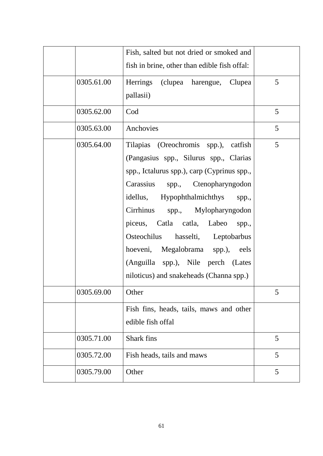|            | Fish, salted but not dried or smoked and<br>fish in brine, other than edible fish offal:                                                                                                                                                                                                                                                                                                                                                               |   |
|------------|--------------------------------------------------------------------------------------------------------------------------------------------------------------------------------------------------------------------------------------------------------------------------------------------------------------------------------------------------------------------------------------------------------------------------------------------------------|---|
| 0305.61.00 | Herrings (clupea harengue, Clupea<br>pallasii)                                                                                                                                                                                                                                                                                                                                                                                                         | 5 |
| 0305.62.00 | Cod                                                                                                                                                                                                                                                                                                                                                                                                                                                    | 5 |
| 0305.63.00 | Anchovies                                                                                                                                                                                                                                                                                                                                                                                                                                              | 5 |
| 0305.64.00 | Tilapias (Oreochromis spp.), catfish<br>(Pangasius spp., Silurus spp., Clarias<br>spp., Ictalurus spp.), carp (Cyprinus spp.,<br>Carassius spp., Ctenopharyngodon<br>idellus, Hypophthalmichthys<br>spp.,<br>Cirrhinus<br>spp., Mylopharyngodon<br>piceus, Catla catla, Labeo<br>spp.,<br>Osteochilus<br>hasselti, Leptobarbus<br>hoeveni, Megalobrama spp.),<br>eels<br>(Anguilla spp.), Nile perch (Lates<br>niloticus) and snakeheads (Channa spp.) | 5 |
| 0305.69.00 | Other                                                                                                                                                                                                                                                                                                                                                                                                                                                  | 5 |
|            | Fish fins, heads, tails, maws and other<br>edible fish offal                                                                                                                                                                                                                                                                                                                                                                                           |   |
| 0305.71.00 | Shark fins                                                                                                                                                                                                                                                                                                                                                                                                                                             | 5 |
| 0305.72.00 | Fish heads, tails and maws                                                                                                                                                                                                                                                                                                                                                                                                                             | 5 |
| 0305.79.00 | Other                                                                                                                                                                                                                                                                                                                                                                                                                                                  | 5 |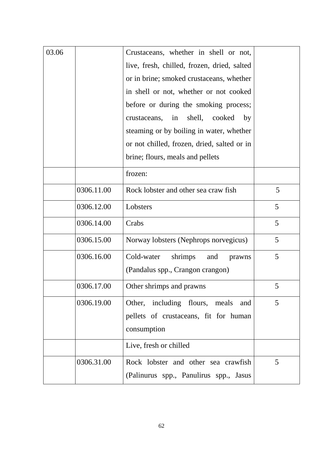| 03.06 |            | Crustaceans, whether in shell or not,       |   |
|-------|------------|---------------------------------------------|---|
|       |            | live, fresh, chilled, frozen, dried, salted |   |
|       |            | or in brine; smoked crustaceans, whether    |   |
|       |            | in shell or not, whether or not cooked      |   |
|       |            | before or during the smoking process;       |   |
|       |            | shell,<br>cooked<br>crustaceans, in<br>by   |   |
|       |            | steaming or by boiling in water, whether    |   |
|       |            | or not chilled, frozen, dried, salted or in |   |
|       |            | brine; flours, meals and pellets            |   |
|       |            | frozen:                                     |   |
|       | 0306.11.00 | Rock lobster and other sea craw fish        | 5 |
|       | 0306.12.00 | Lobsters                                    | 5 |
|       | 0306.14.00 | Crabs                                       | 5 |
|       | 0306.15.00 | Norway lobsters (Nephrops norvegicus)       | 5 |
|       | 0306.16.00 | Cold-water<br>shrimps<br>and<br>prawns      | 5 |
|       |            | (Pandalus spp., Crangon crangon)            |   |
|       | 0306.17.00 | Other shrimps and prawns                    | 5 |
|       | 0306.19.00 | Other, including flours, meals<br>and       | 5 |
|       |            | pellets of crustaceans, fit for human       |   |
|       |            | consumption                                 |   |
|       |            | Live, fresh or chilled                      |   |
|       | 0306.31.00 | Rock lobster and other sea crawfish         | 5 |
|       |            | (Palinurus spp., Panulirus spp., Jasus      |   |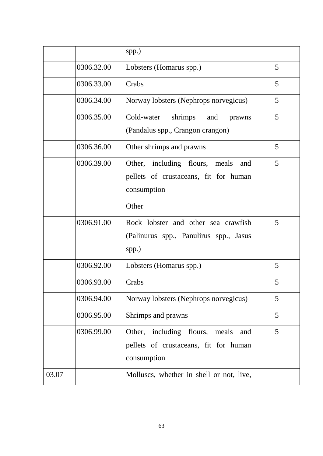|       |            | spp.)                                                                                         |   |
|-------|------------|-----------------------------------------------------------------------------------------------|---|
|       | 0306.32.00 | Lobsters (Homarus spp.)                                                                       | 5 |
|       | 0306.33.00 | Crabs                                                                                         | 5 |
|       | 0306.34.00 | Norway lobsters (Nephrops norvegicus)                                                         | 5 |
|       | 0306.35.00 | Cold-water shrimps and<br>prawns<br>(Pandalus spp., Crangon crangon)                          | 5 |
|       | 0306.36.00 | Other shrimps and prawns                                                                      | 5 |
|       | 0306.39.00 | Other, including flours, meals<br>and<br>pellets of crustaceans, fit for human<br>consumption | 5 |
|       |            | Other                                                                                         |   |
|       | 0306.91.00 | Rock lobster and other sea crawfish<br>(Palinurus spp., Panulirus spp., Jasus<br>spp.)        | 5 |
|       | 0306.92.00 | Lobsters (Homarus spp.)                                                                       | 5 |
|       | 0306.93.00 | Crabs                                                                                         | 5 |
|       | 0306.94.00 | Norway lobsters (Nephrops norvegicus)                                                         | 5 |
|       | 0306.95.00 | Shrimps and prawns                                                                            | 5 |
|       | 0306.99.00 | Other, including flours, meals<br>and<br>pellets of crustaceans, fit for human<br>consumption | 5 |
| 03.07 |            | Molluscs, whether in shell or not, live,                                                      |   |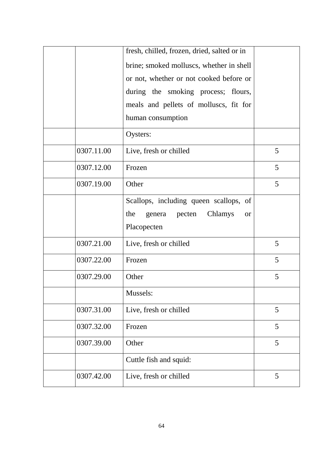|            | fresh, chilled, frozen, dried, salted or in  |   |
|------------|----------------------------------------------|---|
|            | brine; smoked molluscs, whether in shell     |   |
|            | or not, whether or not cooked before or      |   |
|            | during the smoking process; flours,          |   |
|            | meals and pellets of molluscs, fit for       |   |
|            | human consumption                            |   |
|            | Oysters:                                     |   |
| 0307.11.00 | Live, fresh or chilled                       | 5 |
| 0307.12.00 | Frozen                                       | 5 |
| 0307.19.00 | Other                                        | 5 |
|            | Scallops, including queen scallops, of       |   |
|            | Chlamys<br>the<br>genera pecten<br><b>or</b> |   |
|            | Placopecten                                  |   |
| 0307.21.00 | Live, fresh or chilled                       | 5 |
| 0307.22.00 | Frozen                                       | 5 |
| 0307.29.00 | Other                                        | 5 |
|            | Mussels:                                     |   |
| 0307.31.00 | Live, fresh or chilled                       | 5 |
| 0307.32.00 | Frozen                                       | 5 |
| 0307.39.00 | Other                                        | 5 |
|            | Cuttle fish and squid:                       |   |
| 0307.42.00 | Live, fresh or chilled                       | 5 |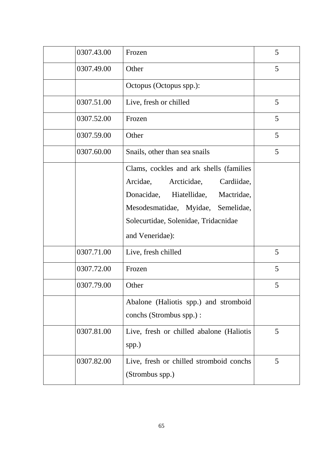| 0307.43.00 | Frozen                                                                                                                                                                                                            | 5 |
|------------|-------------------------------------------------------------------------------------------------------------------------------------------------------------------------------------------------------------------|---|
| 0307.49.00 | Other                                                                                                                                                                                                             | 5 |
|            | Octopus (Octopus spp.):                                                                                                                                                                                           |   |
| 0307.51.00 | Live, fresh or chilled                                                                                                                                                                                            | 5 |
| 0307.52.00 | Frozen                                                                                                                                                                                                            | 5 |
| 0307.59.00 | Other                                                                                                                                                                                                             | 5 |
| 0307.60.00 | Snails, other than sea snails                                                                                                                                                                                     | 5 |
|            | Clams, cockles and ark shells (families<br>Arcidae, Arcticidae, Cardiidae,<br>Donacidae, Hiatellidae, Mactridae,<br>Mesodesmatidae, Myidae, Semelidae,<br>Solecurtidae, Solenidae, Tridacnidae<br>and Veneridae): |   |
| 0307.71.00 | Live, fresh chilled                                                                                                                                                                                               | 5 |
| 0307.72.00 | Frozen                                                                                                                                                                                                            | 5 |
| 0307.79.00 | Other                                                                                                                                                                                                             | 5 |
|            | Abalone (Haliotis spp.) and stromboid<br>conchs (Strombus spp.) :                                                                                                                                                 |   |
| 0307.81.00 | Live, fresh or chilled abalone (Haliotis<br>spp.)                                                                                                                                                                 | 5 |
| 0307.82.00 | Live, fresh or chilled stromboid conchs<br>(Strombus spp.)                                                                                                                                                        | 5 |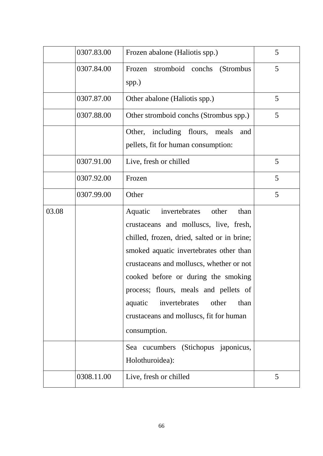|       | 0307.83.00 | Frozen abalone (Haliotis spp.)                                                                                                                                                                                                                                                                                                                                                                                                                           | 5 |
|-------|------------|----------------------------------------------------------------------------------------------------------------------------------------------------------------------------------------------------------------------------------------------------------------------------------------------------------------------------------------------------------------------------------------------------------------------------------------------------------|---|
|       | 0307.84.00 | Frozen stromboid conchs (Strombus<br>spp.)                                                                                                                                                                                                                                                                                                                                                                                                               | 5 |
|       | 0307.87.00 | Other abalone (Haliotis spp.)                                                                                                                                                                                                                                                                                                                                                                                                                            | 5 |
|       | 0307.88.00 | Other stromboid conchs (Strombus spp.)                                                                                                                                                                                                                                                                                                                                                                                                                   | 5 |
|       |            | Other,<br>including flours, meals<br>and<br>pellets, fit for human consumption:                                                                                                                                                                                                                                                                                                                                                                          |   |
|       | 0307.91.00 | Live, fresh or chilled                                                                                                                                                                                                                                                                                                                                                                                                                                   | 5 |
|       | 0307.92.00 | Frozen                                                                                                                                                                                                                                                                                                                                                                                                                                                   | 5 |
|       | 0307.99.00 | Other                                                                                                                                                                                                                                                                                                                                                                                                                                                    | 5 |
| 03.08 |            | Aquatic<br>invertebrates<br>other<br>than<br>crustaceans and molluscs, live, fresh,<br>chilled, frozen, dried, salted or in brine;<br>smoked aquatic invertebrates other than<br>crustaceans and molluscs, whether or not<br>cooked before or during the smoking<br>process; flours, meals and pellets of<br>other<br>invertebrates<br>aquatic<br>than<br>crustaceans and molluscs, fit for human<br>consumption.<br>Sea cucumbers (Stichopus japonicus, |   |
|       |            | Holothuroidea):                                                                                                                                                                                                                                                                                                                                                                                                                                          |   |
|       | 0308.11.00 | Live, fresh or chilled                                                                                                                                                                                                                                                                                                                                                                                                                                   | 5 |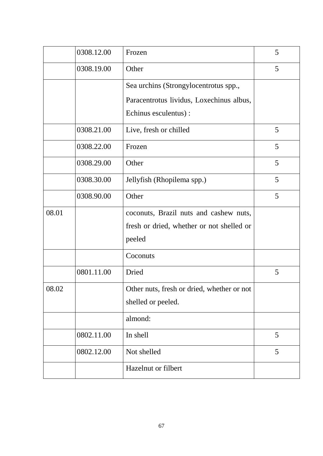|       | 0308.12.00 | Frozen                                     | 5 |
|-------|------------|--------------------------------------------|---|
|       | 0308.19.00 | Other                                      | 5 |
|       |            | Sea urchins (Strongylocentrotus spp.,      |   |
|       |            | Paracentrotus lividus, Loxechinus albus,   |   |
|       |            | Echinus esculentus) :                      |   |
|       | 0308.21.00 | Live, fresh or chilled                     | 5 |
|       | 0308.22.00 | Frozen                                     | 5 |
|       | 0308.29.00 | Other                                      | 5 |
|       | 0308.30.00 | Jellyfish (Rhopilema spp.)                 | 5 |
|       | 0308.90.00 | Other                                      | 5 |
| 08.01 |            | coconuts, Brazil nuts and cashew nuts,     |   |
|       |            | fresh or dried, whether or not shelled or  |   |
|       |            | peeled                                     |   |
|       |            | Coconuts                                   |   |
|       | 0801.11.00 | Dried                                      | 5 |
| 08.02 |            | Other nuts, fresh or dried, whether or not |   |
|       |            | shelled or peeled.                         |   |
|       |            | almond:                                    |   |
|       | 0802.11.00 | In shell                                   | 5 |
|       | 0802.12.00 | Not shelled                                | 5 |
|       |            | Hazelnut or filbert                        |   |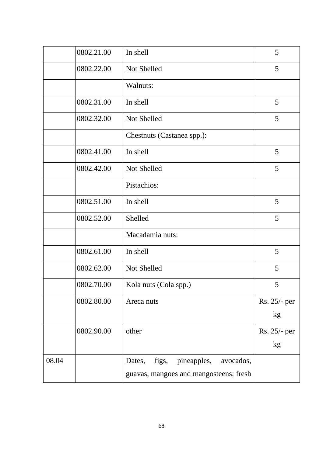|       | 0802.21.00 | In shell                                    | 5            |
|-------|------------|---------------------------------------------|--------------|
|       | 0802.22.00 | Not Shelled                                 | 5            |
|       |            | Walnuts:                                    |              |
|       | 0802.31.00 | In shell                                    | 5            |
|       | 0802.32.00 | Not Shelled                                 | 5            |
|       |            | Chestnuts (Castanea spp.):                  |              |
|       | 0802.41.00 | In shell                                    | 5            |
|       | 0802.42.00 | Not Shelled                                 | 5            |
|       |            | Pistachios:                                 |              |
|       | 0802.51.00 | In shell                                    | 5            |
|       | 0802.52.00 | Shelled                                     | 5            |
|       |            | Macadamia nuts:                             |              |
|       | 0802.61.00 | In shell                                    | 5            |
|       | 0802.62.00 | Not Shelled                                 | 5            |
|       | 0802.70.00 | Kola nuts (Cola spp.)                       | 5            |
|       | 0802.80.00 | Areca nuts                                  | Rs. 25/- per |
|       |            |                                             | kg           |
|       | 0802.90.00 | other                                       | Rs. 25/- per |
|       |            |                                             | kg           |
| 08.04 |            | pineapples,<br>Dates,<br>figs,<br>avocados, |              |
|       |            | guavas, mangoes and mangosteens; fresh      |              |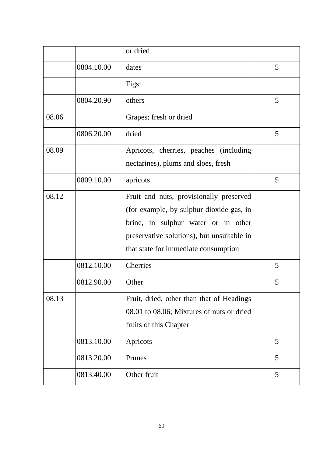|       |            | or dried                                                                                                                                                                                                         |   |
|-------|------------|------------------------------------------------------------------------------------------------------------------------------------------------------------------------------------------------------------------|---|
|       | 0804.10.00 | dates                                                                                                                                                                                                            | 5 |
|       |            | Figs:                                                                                                                                                                                                            |   |
|       | 0804.20.90 | others                                                                                                                                                                                                           | 5 |
| 08.06 |            | Grapes; fresh or dried                                                                                                                                                                                           |   |
|       | 0806.20.00 | dried                                                                                                                                                                                                            | 5 |
| 08.09 |            | Apricots, cherries, peaches (including<br>nectarines), plums and sloes, fresh                                                                                                                                    |   |
|       | 0809.10.00 | apricots                                                                                                                                                                                                         | 5 |
| 08.12 |            | Fruit and nuts, provisionally preserved<br>(for example, by sulphur dioxide gas, in<br>brine, in sulphur water or in other<br>preservative solutions), but unsuitable in<br>that state for immediate consumption |   |
|       | 0812.10.00 | <b>Cherries</b>                                                                                                                                                                                                  | 5 |
|       | 0812.90.00 | Other                                                                                                                                                                                                            | 5 |
| 08.13 |            | Fruit, dried, other than that of Headings<br>08.01 to 08.06; Mixtures of nuts or dried<br>fruits of this Chapter                                                                                                 |   |
|       | 0813.10.00 | Apricots                                                                                                                                                                                                         | 5 |
|       | 0813.20.00 | Prunes                                                                                                                                                                                                           | 5 |
|       | 0813.40.00 | Other fruit                                                                                                                                                                                                      | 5 |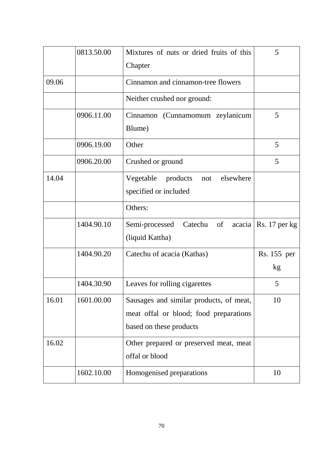|       | 0813.50.00 | Mixtures of nuts or dried fruits of this<br>Chapter             | 5               |
|-------|------------|-----------------------------------------------------------------|-----------------|
| 09.06 |            | Cinnamon and cinnamon-tree flowers                              |                 |
|       |            | Neither crushed nor ground:                                     |                 |
|       | 0906.11.00 | Cinnamon (Cunnamomum zeylanicum<br>Blume)                       | 5               |
|       | 0906.19.00 | Other                                                           | 5               |
|       | 0906.20.00 | Crushed or ground                                               | 5               |
| 14.04 |            | elsewhere<br>Vegetable products<br>not<br>specified or included |                 |
|       |            | Others:                                                         |                 |
|       | 1404.90.10 | Catechu of<br>Semi-processed<br>acacia<br>(liquid Kattha)       | $Rs. 17$ per kg |
|       | 1404.90.20 | Catechu of acacia (Kathas)                                      | Rs. 155 per     |
|       |            |                                                                 | kg              |
|       | 1404.30.90 | Leaves for rolling cigarettes                                   | 5               |
| 16.01 | 1601.00.00 | Sausages and similar products, of meat,                         | 10              |
|       |            | meat offal or blood; food preparations                          |                 |
|       |            | based on these products                                         |                 |
| 16.02 |            | Other prepared or preserved meat, meat<br>offal or blood        |                 |
|       | 1602.10.00 | Homogenised preparations                                        | 10              |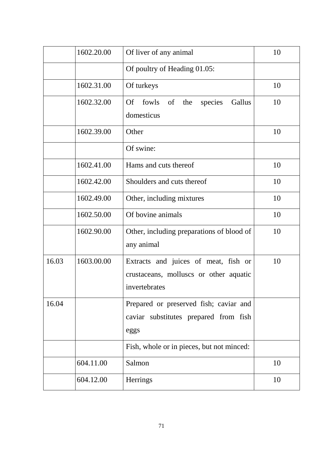|       | 1602.20.00 | Of liver of any animal                                                                          | 10 |
|-------|------------|-------------------------------------------------------------------------------------------------|----|
|       |            | Of poultry of Heading 01.05:                                                                    |    |
|       | 1602.31.00 | Of turkeys                                                                                      | 10 |
|       | 1602.32.00 | fowls of<br>species<br>Gallus<br><b>Of</b><br>the<br>domesticus                                 | 10 |
|       | 1602.39.00 | Other                                                                                           | 10 |
|       |            | Of swine:                                                                                       |    |
|       | 1602.41.00 | Hams and cuts thereof                                                                           | 10 |
|       | 1602.42.00 | Shoulders and cuts thereof                                                                      | 10 |
|       | 1602.49.00 | Other, including mixtures                                                                       | 10 |
|       | 1602.50.00 | Of bovine animals                                                                               | 10 |
|       | 1602.90.00 | Other, including preparations of blood of<br>any animal                                         | 10 |
| 16.03 | 1603.00.00 | Extracts and juices of meat, fish or<br>crustaceans, molluscs or other aquatic<br>invertebrates | 10 |
| 16.04 |            | Prepared or preserved fish; caviar and<br>caviar substitutes prepared from fish<br>eggs         |    |
|       |            | Fish, whole or in pieces, but not minced:                                                       |    |
|       | 604.11.00  | Salmon                                                                                          | 10 |
|       | 604.12.00  | Herrings                                                                                        | 10 |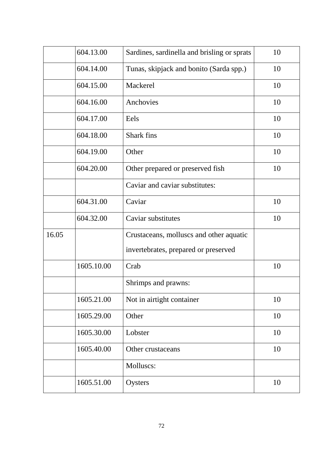|       | 604.13.00  | Sardines, sardinella and brisling or sprats | 10 |
|-------|------------|---------------------------------------------|----|
|       | 604.14.00  | Tunas, skipjack and bonito (Sarda spp.)     | 10 |
|       | 604.15.00  | Mackerel                                    | 10 |
|       | 604.16.00  | Anchovies                                   | 10 |
|       | 604.17.00  | Eels                                        | 10 |
|       | 604.18.00  | <b>Shark</b> fins                           | 10 |
|       | 604.19.00  | Other                                       | 10 |
|       | 604.20.00  | Other prepared or preserved fish            | 10 |
|       |            | Caviar and caviar substitutes:              |    |
|       | 604.31.00  | Caviar                                      | 10 |
|       | 604.32.00  | Caviar substitutes                          | 10 |
| 16.05 |            | Crustaceans, molluscs and other aquatic     |    |
|       |            | invertebrates, prepared or preserved        |    |
|       | 1605.10.00 | Crab                                        | 10 |
|       |            | Shrimps and prawns:                         |    |
|       | 1605.21.00 | Not in airtight container                   | 10 |
|       | 1605.29.00 | Other                                       | 10 |
|       | 1605.30.00 | Lobster                                     | 10 |
|       | 1605.40.00 | Other crustaceans                           | 10 |
|       |            | Molluscs:                                   |    |
|       | 1605.51.00 | Oysters                                     | 10 |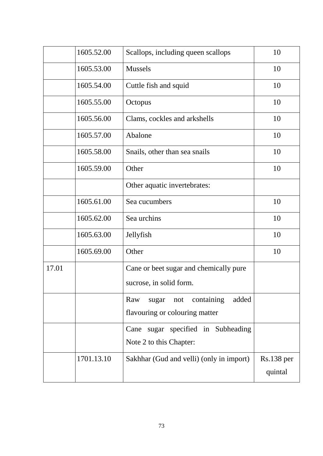|       | 1605.52.00 | Scallops, including queen scallops                                           | 10                      |
|-------|------------|------------------------------------------------------------------------------|-------------------------|
|       | 1605.53.00 | <b>Mussels</b>                                                               | 10                      |
|       | 1605.54.00 | Cuttle fish and squid                                                        | 10                      |
|       | 1605.55.00 | Octopus                                                                      | 10                      |
|       | 1605.56.00 | Clams, cockles and arkshells                                                 | 10                      |
|       | 1605.57.00 | Abalone                                                                      | 10                      |
|       | 1605.58.00 | Snails, other than sea snails                                                | 10                      |
|       | 1605.59.00 | Other                                                                        | 10                      |
|       |            | Other aquatic invertebrates:                                                 |                         |
|       | 1605.61.00 | Sea cucumbers                                                                | 10                      |
|       | 1605.62.00 | Sea urchins                                                                  | 10                      |
|       | 1605.63.00 | Jellyfish                                                                    | 10                      |
|       | 1605.69.00 | Other                                                                        | 10                      |
| 17.01 |            | Cane or beet sugar and chemically pure<br>sucrose, in solid form.            |                         |
|       |            | containing<br>Raw<br>added<br>sugar<br>not<br>flavouring or colouring matter |                         |
|       |            | Cane sugar specified in Subheading<br>Note 2 to this Chapter:                |                         |
|       | 1701.13.10 | Sakhhar (Gud and velli) (only in import)                                     | $Rs.138$ per<br>quintal |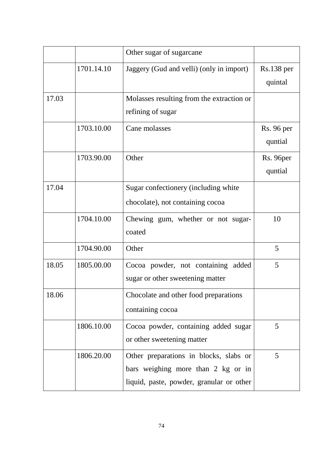|       |            | Other sugar of sugarcane                  |                   |
|-------|------------|-------------------------------------------|-------------------|
|       | 1701.14.10 | Jaggery (Gud and velli) (only in import)  | $Rs.138$ per      |
|       |            |                                           | quintal           |
| 17.03 |            | Molasses resulting from the extraction or |                   |
|       |            | refining of sugar                         |                   |
|       | 1703.10.00 | Cane molasses                             | <b>Rs.</b> 96 per |
|       |            |                                           | quntial           |
|       | 1703.90.00 | Other                                     | Rs. 96per         |
|       |            |                                           | quntial           |
| 17.04 |            | Sugar confectionery (including white      |                   |
|       |            | chocolate), not containing cocoa          |                   |
|       | 1704.10.00 | Chewing gum, whether or not sugar-        | 10                |
|       |            | coated                                    |                   |
|       | 1704.90.00 | Other                                     | 5                 |
| 18.05 | 1805.00.00 | Cocoa powder, not containing added        | 5                 |
|       |            | sugar or other sweetening matter          |                   |
| 18.06 |            | Chocolate and other food preparations     |                   |
|       |            | containing cocoa                          |                   |
|       | 1806.10.00 | Cocoa powder, containing added sugar      | 5                 |
|       |            | or other sweetening matter                |                   |
|       | 1806.20.00 | Other preparations in blocks, slabs or    | 5                 |
|       |            | bars weighing more than 2 kg or in        |                   |
|       |            | liquid, paste, powder, granular or other  |                   |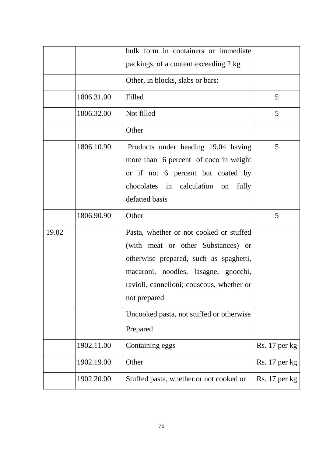|       |            | bulk form in containers or immediate                                                                                                                                                                                         |               |
|-------|------------|------------------------------------------------------------------------------------------------------------------------------------------------------------------------------------------------------------------------------|---------------|
|       |            | packings, of a content exceeding 2 kg                                                                                                                                                                                        |               |
|       |            | Other, in blocks, slabs or bars:                                                                                                                                                                                             |               |
|       | 1806.31.00 | Filled                                                                                                                                                                                                                       | 5             |
|       | 1806.32.00 | Not filled                                                                                                                                                                                                                   | 5             |
|       |            | Other                                                                                                                                                                                                                        |               |
|       | 1806.10.90 | Products under heading 19.04 having<br>more than 6 percent of coco in weight<br>or if not 6 percent but coated by<br>chocolates in calculation on<br>fully<br>defatted basis                                                 | 5             |
|       | 1806.90.90 | Other                                                                                                                                                                                                                        | 5             |
| 19.02 |            | Pasta, whether or not cooked or stuffed<br>(with meat or other Substances) or<br>otherwise prepared, such as spaghetti,<br>macaroni, noodles, lasagne, gnocchi,<br>ravioli, cannelloni; couscous, whether or<br>not prepared |               |
|       |            | Uncooked pasta, not stuffed or otherwise<br>Prepared                                                                                                                                                                         |               |
|       | 1902.11.00 | Containing eggs                                                                                                                                                                                                              | Rs. 17 per kg |
|       | 1902.19.00 | Other                                                                                                                                                                                                                        | Rs. 17 per kg |
|       | 1902.20.00 | Stuffed pasta, whether or not cooked or                                                                                                                                                                                      | Rs. 17 per kg |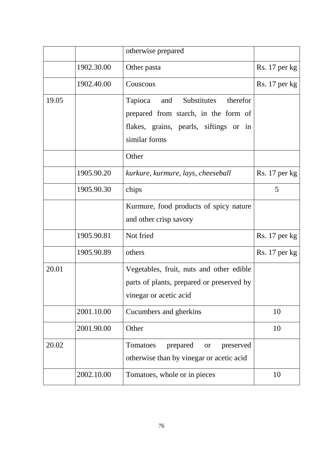|       |            | otherwise prepared                                                                                                                           |                 |
|-------|------------|----------------------------------------------------------------------------------------------------------------------------------------------|-----------------|
|       | 1902.30.00 | Other pasta                                                                                                                                  | Rs. 17 per kg   |
|       | 1902.40.00 | Couscous                                                                                                                                     | Rs. 17 per kg   |
| 19.05 |            | Substitutes<br>therefor<br>Tapioca<br>and<br>prepared from starch, in the form of<br>flakes, grains, pearls, siftings or in<br>similar forms |                 |
|       |            | Other                                                                                                                                        |                 |
|       | 1905.90.20 | kurkure, kurmure, lays, cheeseball                                                                                                           | $Rs. 17$ per kg |
|       | 1905.90.30 | chips                                                                                                                                        | 5               |
|       |            | Kurmure, food products of spicy nature<br>and other crisp savory                                                                             |                 |
|       | 1905.90.81 | Not fried                                                                                                                                    | $Rs. 17$ per kg |
|       | 1905.90.89 | others                                                                                                                                       | $Rs. 17$ per kg |
| 20.01 |            | Vegetables, fruit, nuts and other edible<br>parts of plants, prepared or preserved by<br>vinegar or acetic acid                              |                 |
|       | 2001.10.00 | Cucumbers and gherkins                                                                                                                       | 10              |
|       | 2001.90.00 | Other                                                                                                                                        | 10              |
| 20.02 |            | Tomatoes<br>prepared<br>preserved<br><b>or</b><br>otherwise than by vinegar or acetic acid                                                   |                 |
|       | 2002.10.00 | Tomatoes, whole or in pieces                                                                                                                 | 10              |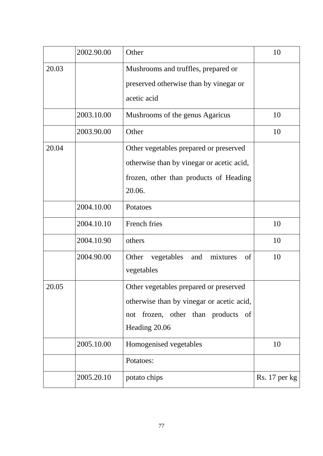|       | 2002.90.00 | Other                                                                                                                                         | 10            |
|-------|------------|-----------------------------------------------------------------------------------------------------------------------------------------------|---------------|
| 20.03 |            | Mushrooms and truffles, prepared or<br>preserved otherwise than by vinegar or<br>acetic acid                                                  |               |
|       | 2003.10.00 | Mushrooms of the genus Agaricus                                                                                                               | 10            |
|       | 2003.90.00 | Other                                                                                                                                         | 10            |
| 20.04 |            | Other vegetables prepared or preserved<br>otherwise than by vinegar or acetic acid,<br>frozen, other than products of Heading<br>20.06.       |               |
|       | 2004.10.00 | Potatoes                                                                                                                                      |               |
|       | 2004.10.10 | French fries                                                                                                                                  | 10            |
|       | 2004.10.90 | others                                                                                                                                        | 10            |
|       | 2004.90.00 | Other<br>mixtures<br>of<br>vegetables<br>and<br>vegetables                                                                                    | 10            |
| 20.05 |            | Other vegetables prepared or preserved<br>otherwise than by vinegar or acetic acid,<br>frozen, other than products of<br>not<br>Heading 20.06 |               |
|       | 2005.10.00 | Homogenised vegetables                                                                                                                        | 10            |
|       |            | Potatoes:                                                                                                                                     |               |
|       | 2005.20.10 | potato chips                                                                                                                                  | Rs. 17 per kg |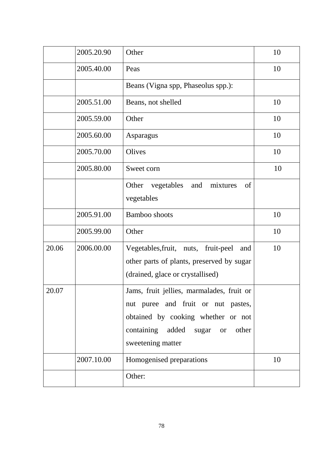|       | 2005.20.90 | Other                                                                                                                                                                            | 10 |
|-------|------------|----------------------------------------------------------------------------------------------------------------------------------------------------------------------------------|----|
|       | 2005.40.00 | Peas                                                                                                                                                                             | 10 |
|       |            | Beans (Vigna spp, Phaseolus spp.):                                                                                                                                               |    |
|       | 2005.51.00 | Beans, not shelled                                                                                                                                                               | 10 |
|       | 2005.59.00 | Other                                                                                                                                                                            | 10 |
|       | 2005.60.00 | Asparagus                                                                                                                                                                        | 10 |
|       | 2005.70.00 | Olives                                                                                                                                                                           | 10 |
|       | 2005.80.00 | Sweet corn                                                                                                                                                                       | 10 |
|       |            | Other<br>vegetables<br>and<br>mixtures<br>of<br>vegetables                                                                                                                       |    |
|       | 2005.91.00 | Bamboo shoots                                                                                                                                                                    | 10 |
|       | 2005.99.00 | Other                                                                                                                                                                            | 10 |
| 20.06 | 2006.00.00 | Vegetables, fruit, nuts, fruit-peel<br>and<br>other parts of plants, preserved by sugar<br>(drained, glace or crystallised)                                                      | 10 |
| 20.07 |            | Jams, fruit jellies, marmalades, fruit or<br>nut puree and fruit or nut pastes,<br>obtained by cooking whether or not<br>containing added sugar or<br>other<br>sweetening matter |    |
|       | 2007.10.00 | Homogenised preparations                                                                                                                                                         | 10 |
|       |            | Other:                                                                                                                                                                           |    |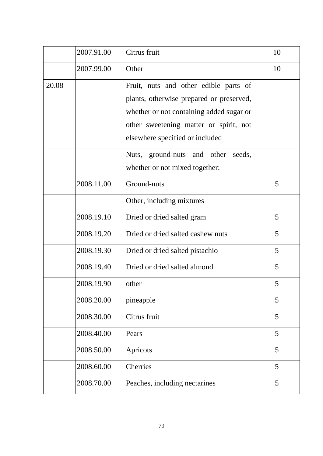|       | 2007.91.00 | Citrus fruit                                                                                                                                                                                               | 10 |
|-------|------------|------------------------------------------------------------------------------------------------------------------------------------------------------------------------------------------------------------|----|
|       | 2007.99.00 | Other                                                                                                                                                                                                      | 10 |
| 20.08 |            | Fruit, nuts and other edible parts of<br>plants, otherwise prepared or preserved,<br>whether or not containing added sugar or<br>other sweetening matter or spirit, not<br>elsewhere specified or included |    |
|       |            | Nuts, ground-nuts and other<br>seeds,<br>whether or not mixed together:                                                                                                                                    |    |
|       | 2008.11.00 | Ground-nuts                                                                                                                                                                                                | 5  |
|       |            | Other, including mixtures                                                                                                                                                                                  |    |
|       | 2008.19.10 | Dried or dried salted gram                                                                                                                                                                                 | 5  |
|       | 2008.19.20 | Dried or dried salted cashew nuts                                                                                                                                                                          | 5  |
|       | 2008.19.30 | Dried or dried salted pistachio                                                                                                                                                                            | 5  |
|       | 2008.19.40 | Dried or dried salted almond                                                                                                                                                                               | 5  |
|       | 2008.19.90 | other                                                                                                                                                                                                      | 5  |
|       | 2008.20.00 | pineapple                                                                                                                                                                                                  | 5  |
|       | 2008.30.00 | Citrus fruit                                                                                                                                                                                               | 5  |
|       | 2008.40.00 | Pears                                                                                                                                                                                                      | 5  |
|       | 2008.50.00 | Apricots                                                                                                                                                                                                   | 5  |
|       | 2008.60.00 | <b>Cherries</b>                                                                                                                                                                                            | 5  |
|       | 2008.70.00 | Peaches, including nectarines                                                                                                                                                                              | 5  |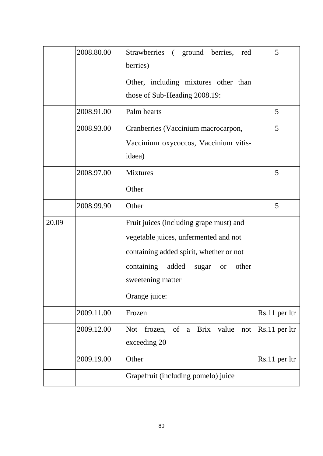|       | 2008.80.00 | Strawberries (ground berries,<br>red<br>berries)                                                                                                                                                       | 5             |
|-------|------------|--------------------------------------------------------------------------------------------------------------------------------------------------------------------------------------------------------|---------------|
|       |            | Other, including mixtures other than<br>those of Sub-Heading 2008.19:                                                                                                                                  |               |
|       | 2008.91.00 | Palm hearts                                                                                                                                                                                            | 5             |
|       | 2008.93.00 | Cranberries (Vaccinium macrocarpon,<br>Vaccinium oxycoccos, Vaccinium vitis-<br>idaea)                                                                                                                 | 5             |
|       | 2008.97.00 | <b>Mixtures</b>                                                                                                                                                                                        | 5             |
|       |            | Other                                                                                                                                                                                                  |               |
|       | 2008.99.90 | Other                                                                                                                                                                                                  | 5             |
| 20.09 |            | Fruit juices (including grape must) and<br>vegetable juices, unfermented and not<br>containing added spirit, whether or not<br>containing<br>added<br>other<br>sugar<br><b>or</b><br>sweetening matter |               |
|       |            | Orange juice:                                                                                                                                                                                          |               |
|       | 2009.11.00 | Frozen                                                                                                                                                                                                 | Rs.11 per ltr |
|       | 2009.12.00 | of a Brix value<br><b>Not</b><br>frozen,<br>not<br>exceeding 20                                                                                                                                        | Rs.11 per ltr |
|       | 2009.19.00 | Other                                                                                                                                                                                                  | Rs.11 per ltr |
|       |            | Grapefruit (including pomelo) juice                                                                                                                                                                    |               |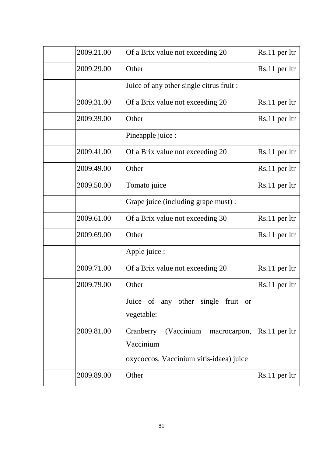| 2009.21.00 | Of a Brix value not exceeding 20                     | Rs.11 per ltr |
|------------|------------------------------------------------------|---------------|
| 2009.29.00 | Other                                                | Rs.11 per ltr |
|            | Juice of any other single citrus fruit :             |               |
| 2009.31.00 | Of a Brix value not exceeding 20                     | Rs.11 per ltr |
| 2009.39.00 | Other                                                | Rs.11 per ltr |
|            | Pineapple juice :                                    |               |
| 2009.41.00 | Of a Brix value not exceeding 20                     | Rs.11 per ltr |
| 2009.49.00 | Other                                                | Rs.11 per ltr |
| 2009.50.00 | Tomato juice                                         | Rs.11 per ltr |
|            | Grape juice (including grape must) :                 |               |
| 2009.61.00 | Of a Brix value not exceeding 30                     | Rs.11 per ltr |
| 2009.69.00 | Other                                                | Rs.11 per ltr |
|            | Apple juice :                                        |               |
| 2009.71.00 | Of a Brix value not exceeding 20                     | Rs.11 per ltr |
| 2009.79.00 | Other                                                | Rs.11 per ltr |
|            | Juice of any other single fruit or<br>vegetable:     |               |
| 2009.81.00 | Cranberry<br>(Vaccinium<br>macrocarpon,<br>Vaccinium | Rs.11 per ltr |
|            | oxycoccos, Vaccinium vitis-idaea) juice              |               |
| 2009.89.00 | Other                                                | Rs.11 per ltr |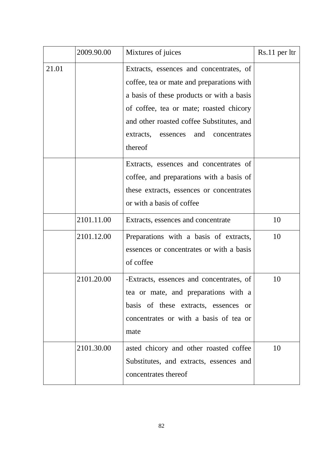|       | 2009.90.00 | Mixtures of juices                                                                                                                                                                                                                                                                | Rs.11 per ltr |
|-------|------------|-----------------------------------------------------------------------------------------------------------------------------------------------------------------------------------------------------------------------------------------------------------------------------------|---------------|
| 21.01 |            | Extracts, essences and concentrates, of<br>coffee, tea or mate and preparations with<br>a basis of these products or with a basis<br>of coffee, tea or mate; roasted chicory<br>and other roasted coffee Substitutes, and<br>extracts, essences<br>and<br>concentrates<br>thereof |               |
|       |            | Extracts, essences and concentrates of<br>coffee, and preparations with a basis of<br>these extracts, essences or concentrates<br>or with a basis of coffee                                                                                                                       |               |
|       | 2101.11.00 | Extracts, essences and concentrate                                                                                                                                                                                                                                                | 10            |
|       | 2101.12.00 | Preparations with a basis of extracts,<br>essences or concentrates or with a basis<br>of coffee                                                                                                                                                                                   | 10            |
|       | 2101.20.00 | -Extracts, essences and concentrates, of<br>tea or mate, and preparations with a<br>basis of these extracts, essences or<br>concentrates or with a basis of tea or<br>mate                                                                                                        | 10            |
|       | 2101.30.00 | asted chicory and other roasted coffee<br>Substitutes, and extracts, essences and<br>concentrates thereof                                                                                                                                                                         | 10            |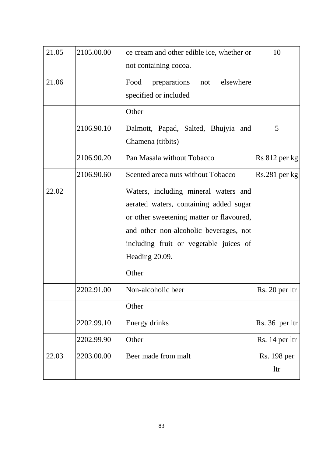| 21.05 | 2105.00.00 | ce cream and other edible ice, whether or<br>not containing cocoa. | 10              |
|-------|------------|--------------------------------------------------------------------|-----------------|
|       |            |                                                                    |                 |
| 21.06 |            | Food<br>elsewhere<br>preparations<br>not                           |                 |
|       |            | specified or included                                              |                 |
|       |            | Other                                                              |                 |
|       | 2106.90.10 | Dalmott, Papad, Salted, Bhujyia and                                | 5               |
|       |            | Chamena (titbits)                                                  |                 |
|       | 2106.90.20 | Pan Masala without Tobacco                                         | Rs 812 per kg   |
|       | 2106.90.60 | Scented areca nuts without Tobacco                                 | $Rs.281$ per kg |
| 22.02 |            | Waters, including mineral waters and                               |                 |
|       |            | aerated waters, containing added sugar                             |                 |
|       |            | or other sweetening matter or flavoured,                           |                 |
|       |            | and other non-alcoholic beverages, not                             |                 |
|       |            | including fruit or vegetable juices of                             |                 |
|       |            | Heading 20.09.                                                     |                 |
|       |            | Other                                                              |                 |
|       | 2202.91.00 | Non-alcoholic beer                                                 | Rs. 20 per ltr  |
|       |            | Other                                                              |                 |
|       | 2202.99.10 | Energy drinks                                                      | Rs. 36 per ltr  |
|       | 2202.99.90 | Other                                                              | Rs. 14 per ltr  |
| 22.03 | 2203.00.00 | Beer made from malt                                                | Rs. 198 per     |
|       |            |                                                                    | ltr             |
|       |            |                                                                    |                 |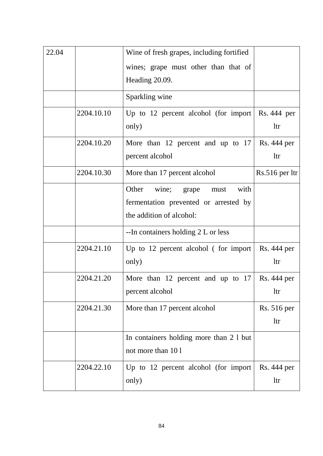| 22.04 |            | Wine of fresh grapes, including fortified |                    |
|-------|------------|-------------------------------------------|--------------------|
|       |            | wines; grape must other than that of      |                    |
|       |            | Heading 20.09.                            |                    |
|       |            | Sparkling wine                            |                    |
|       |            |                                           |                    |
|       | 2204.10.10 | Up to 12 percent alcohol (for import      | Rs. 444 per        |
|       |            | only)                                     | <b>ltr</b>         |
|       | 2204.10.20 | More than 12 percent and up to $17$       | <b>Rs.</b> 444 per |
|       |            | percent alcohol                           | <b>ltr</b>         |
|       | 2204.10.30 | More than 17 percent alcohol              | $Rs.516$ per ltr   |
|       |            | Other<br>wine;<br>with<br>grape<br>must   |                    |
|       |            | fermentation prevented or arrested by     |                    |
|       |            | the addition of alcohol:                  |                    |
|       |            | --In containers holding 2 L or less       |                    |
|       | 2204.21.10 | Up to $12$ percent alcohol (for import    | Rs. 444 per        |
|       |            | only)                                     | <b>ltr</b>         |
|       | 2204.21.20 | More than 12 percent and up to $17$       | <b>Rs.</b> 444 per |
|       |            | percent alcohol                           | <b>ltr</b>         |
|       | 2204.21.30 | More than 17 percent alcohol              | <b>Rs.</b> 516 per |
|       |            |                                           | <b>ltr</b>         |
|       |            | In containers holding more than 2 1 but   |                    |
|       |            | not more than 101                         |                    |
|       | 2204.22.10 | Up to 12 percent alcohol (for import)     | Rs. 444 per        |
|       |            | only)                                     | <b>ltr</b>         |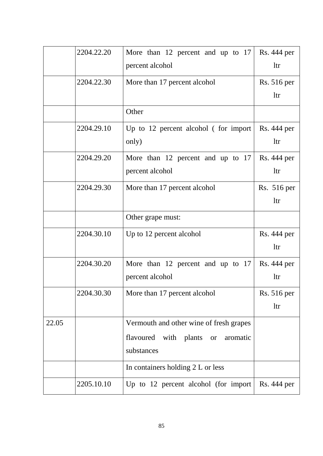|       | 2204.22.20 | More than 12 percent and up to 17                     | Rs. 444 per        |
|-------|------------|-------------------------------------------------------|--------------------|
|       |            | percent alcohol                                       | <b>ltr</b>         |
|       | 2204.22.30 | More than 17 percent alcohol                          | <b>Rs.</b> 516 per |
|       |            |                                                       | <b>ltr</b>         |
|       |            | Other                                                 |                    |
|       | 2204.29.10 | Up to $12$ percent alcohol (for import                | Rs. 444 per        |
|       |            | only)                                                 | <b>ltr</b>         |
|       | 2204.29.20 | More than 12 percent and up to 17                     | Rs. 444 per        |
|       |            | percent alcohol                                       | <b>ltr</b>         |
|       | 2204.29.30 | More than 17 percent alcohol                          | Rs. 516 per        |
|       |            |                                                       | <b>ltr</b>         |
|       |            | Other grape must:                                     |                    |
|       | 2204.30.10 | Up to 12 percent alcohol                              | Rs. 444 per        |
|       |            |                                                       | <b>ltr</b>         |
|       | 2204.30.20 | More than 12 percent and up to 17                     | Rs. 444 per        |
|       |            | percent alcohol                                       | <b>ltr</b>         |
|       | 2204.30.30 | More than 17 percent alcohol                          | Rs. 516 per        |
|       |            |                                                       | <b>ltr</b>         |
| 22.05 |            | Vermouth and other wine of fresh grapes               |                    |
|       |            | flavoured<br>with plants<br>aromatic<br><sub>or</sub> |                    |
|       |            | substances                                            |                    |
|       |            | In containers holding 2 L or less                     |                    |
|       | 2205.10.10 | Up to 12 percent alcohol (for import                  | Rs. 444 per        |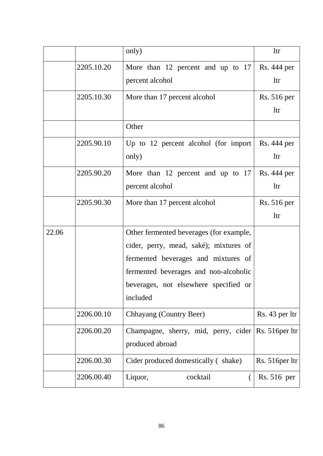|       |            | only)                                                                                                                                                                                                                  | <b>ltr</b>                |
|-------|------------|------------------------------------------------------------------------------------------------------------------------------------------------------------------------------------------------------------------------|---------------------------|
|       | 2205.10.20 | More than 12 percent and up to 17<br>percent alcohol                                                                                                                                                                   | Rs. 444 per<br><b>ltr</b> |
|       | 2205.10.30 | More than 17 percent alcohol                                                                                                                                                                                           | Rs. 516 per<br><b>ltr</b> |
|       |            | Other                                                                                                                                                                                                                  |                           |
|       | 2205.90.10 | Up to 12 percent alcohol (for import<br>only)                                                                                                                                                                          | Rs. 444 per<br><b>ltr</b> |
|       | 2205.90.20 | More than 12 percent and up to 17<br>percent alcohol                                                                                                                                                                   | Rs. 444 per<br><b>ltr</b> |
|       | 2205.90.30 | More than 17 percent alcohol                                                                                                                                                                                           | Rs. 516 per<br>ltr        |
| 22.06 |            | Other fermented beverages (for example,<br>cider, perry, mead, saké); mixtures of<br>fermented beverages and mixtures of<br>fermented beverages and non-alcoholic<br>beverages, not elsewhere specified or<br>included |                           |
|       | 2206.00.10 | Chhayang (Country Beer)                                                                                                                                                                                                | Rs. 43 per ltr            |
|       | 2206.00.20 | Champagne, sherry, mid, perry, cider $\left  \text{Rs. 516per} \right $<br>produced abroad                                                                                                                             |                           |
|       | 2206.00.30 | Cider produced domestically (shake)                                                                                                                                                                                    | Rs. 516 per 1tr           |
|       | 2206.00.40 | Liquor,<br>cocktail                                                                                                                                                                                                    | Rs. 516 per               |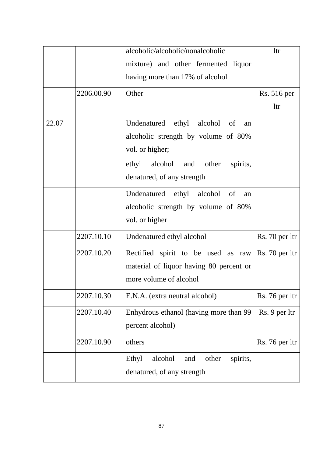|       |            | alcoholic/alcoholic/nonalcoholic             | <b>ltr</b>         |
|-------|------------|----------------------------------------------|--------------------|
|       |            | mixture) and other fermented liquor          |                    |
|       |            | having more than 17% of alcohol              |                    |
|       | 2206.00.90 | Other                                        | <b>Rs.</b> 516 per |
|       |            |                                              | <b>ltr</b>         |
| 22.07 |            | Undenatured ethyl alcohol of<br>an           |                    |
|       |            | alcoholic strength by volume of 80%          |                    |
|       |            | vol. or higher;                              |                    |
|       |            | alcohol and other<br>ethyl<br>spirits,       |                    |
|       |            | denatured, of any strength                   |                    |
|       |            | Undenatured ethyl alcohol of<br>an           |                    |
|       |            | alcoholic strength by volume of 80%          |                    |
|       |            | vol. or higher                               |                    |
|       | 2207.10.10 | Undenatured ethyl alcohol                    | Rs. 70 per ltr     |
|       | 2207.10.20 | Rectified spirit to be used as raw           | Rs. 70 per ltr     |
|       |            | material of liquor having 80 percent or      |                    |
|       |            | more volume of alcohol                       |                    |
|       | 2207.10.30 | E.N.A. (extra neutral alcohol)               | Rs. 76 per ltr     |
|       | 2207.10.40 | Enhydrous ethanol (having more than 99       | Rs. 9 per ltr      |
|       |            | percent alcohol)                             |                    |
|       | 2207.10.90 | others                                       | Rs. 76 per ltr     |
|       |            | Ethyl<br>alcohol<br>and<br>other<br>spirits, |                    |
|       |            | denatured, of any strength                   |                    |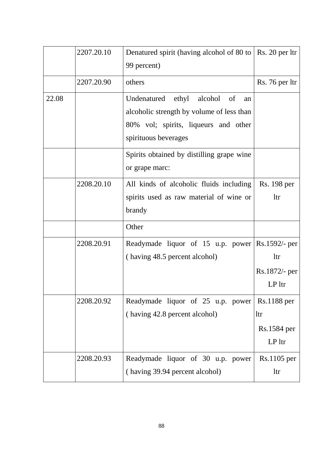|       | 2207.20.10 | Denatured spirit (having alcohol of 80 to<br>99 percent)                                                                                              | Rs. 20 per ltr                                              |
|-------|------------|-------------------------------------------------------------------------------------------------------------------------------------------------------|-------------------------------------------------------------|
|       | 2207.20.90 | others                                                                                                                                                | Rs. 76 per ltr                                              |
| 22.08 |            | Undenatured<br>ethyl<br>alcohol of<br>an<br>alcoholic strength by volume of less than<br>80% vol; spirits, liqueurs and other<br>spirituous beverages |                                                             |
|       |            | Spirits obtained by distilling grape wine<br>or grape marc:                                                                                           |                                                             |
|       | 2208.20.10 | All kinds of alcoholic fluids including<br>spirits used as raw material of wine or<br>brandy                                                          | Rs. 198 per<br><b>ltr</b>                                   |
|       |            | Other                                                                                                                                                 |                                                             |
|       | 2208.20.91 | Readymade liquor of 15 u.p. power<br>(having 48.5 percent alcohol)                                                                                    | Rs.1592/- per<br><b>ltr</b><br>$Rs.1872/-$ per<br>$LP$ ltr  |
|       | 2208.20.92 | Readymade liquor of 25 u.p. power<br>(having 42.8 percent alcohol)                                                                                    | <b>Rs.1188</b> per<br><b>ltr</b><br>Rs.1584 per<br>$LP$ ltr |
|       | 2208.20.93 | Readymade liquor of 30 u.p. power<br>(having 39.94 percent alcohol)                                                                                   | $Rs.1105$ per<br><b>ltr</b>                                 |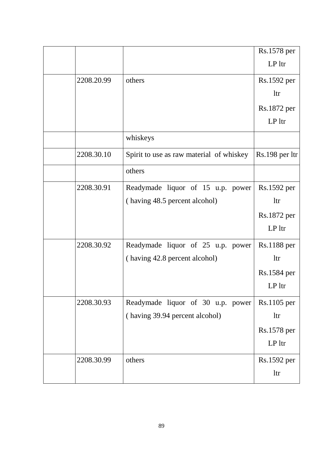|            |                                          | Rs.1578 per    |
|------------|------------------------------------------|----------------|
|            |                                          | $LP$ ltr       |
| 2208.20.99 | others                                   | Rs.1592 per    |
|            |                                          | <b>ltr</b>     |
|            |                                          | Rs.1872 per    |
|            |                                          | $LP$ ltr       |
|            | whiskeys                                 |                |
| 2208.30.10 | Spirit to use as raw material of whiskey | Rs.198 per ltr |
|            | others                                   |                |
| 2208.30.91 | Readymade liquor of 15 u.p. power        | Rs.1592 per    |
|            | (having 48.5 percent alcohol)            | <b>ltr</b>     |
|            |                                          | Rs.1872 per    |
|            |                                          | $LP$ ltr       |
| 2208.30.92 | Readymade liquor of 25 u.p. power        | Rs.1188 per    |
|            | (having 42.8 percent alcohol)            | <b>ltr</b>     |
|            |                                          | Rs.1584 per    |
|            |                                          | LP ltr         |
| 2208.30.93 | Readymade liquor of 30 u.p. power        | Rs.1105 per    |
|            | (having 39.94 percent alcohol)           | ltr            |
|            |                                          | Rs.1578 per    |
|            |                                          | $LP$ ltr       |
| 2208.30.99 | others                                   | Rs.1592 per    |
|            |                                          | ltr            |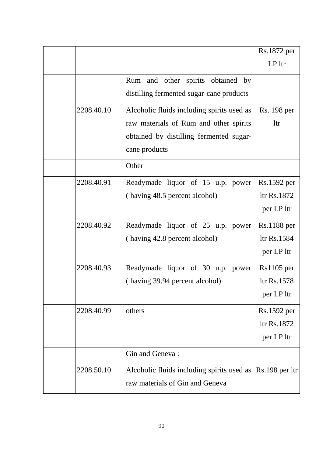|            |                                                                                   | Rs.1872 per  |
|------------|-----------------------------------------------------------------------------------|--------------|
|            |                                                                                   | $LP$ ltr     |
|            | Rum and other spirits obtained by                                                 |              |
|            | distilling fermented sugar-cane products                                          |              |
| 2208.40.10 | Alcoholic fluids including spirits used as                                        | Rs. 198 per  |
|            | raw materials of Rum and other spirits                                            | <b>ltr</b>   |
|            | obtained by distilling fermented sugar-                                           |              |
|            | cane products                                                                     |              |
|            | Other                                                                             |              |
| 2208.40.91 | Readymade liquor of 15 u.p. power                                                 | Rs.1592 per  |
|            | (having 48.5 percent alcohol)                                                     | ltr Rs.1872  |
|            |                                                                                   | per LP ltr   |
| 2208.40.92 | Readymade liquor of 25 u.p. power                                                 | Rs.1188 per  |
|            | (having 42.8 percent alcohol)                                                     | ltr Rs.1584  |
|            |                                                                                   | per LP ltr   |
| 2208.40.93 | Readymade liquor of 30 u.p. power                                                 | $Rs1105$ per |
|            | (having 39.94 percent alcohol)                                                    | ltr Rs.1578  |
|            |                                                                                   | per LP ltr   |
| 2208.40.99 | others                                                                            | Rs.1592 per  |
|            |                                                                                   | ltr Rs.1872  |
|            |                                                                                   | per LP ltr   |
|            | Gin and Geneva:                                                                   |              |
| 2208.50.10 | Alcoholic fluids including spirits used as $\left  \text{Rs.198 per lit} \right $ |              |
|            | raw materials of Gin and Geneva                                                   |              |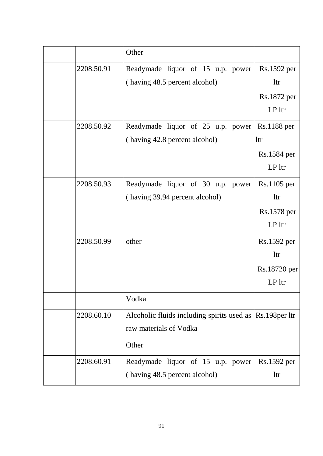|            | Other                                                     |               |
|------------|-----------------------------------------------------------|---------------|
| 2208.50.91 | Readymade liquor of 15 u.p. power                         | Rs.1592 per   |
|            | (having 48.5 percent alcohol)                             | <b>ltr</b>    |
|            |                                                           | Rs.1872 per   |
|            |                                                           | LP ltr        |
| 2208.50.92 | Readymade liquor of 25 u.p. power                         | Rs.1188 per   |
|            | (having 42.8 percent alcohol)                             | <b>ltr</b>    |
|            |                                                           | Rs.1584 per   |
|            |                                                           | $LP$ ltr      |
| 2208.50.93 | Readymade liquor of 30 u.p. power                         | $Rs.1105$ per |
|            | (having 39.94 percent alcohol)                            | <b>ltr</b>    |
|            |                                                           | Rs.1578 per   |
|            |                                                           | $LP$ ltr      |
| 2208.50.99 | other                                                     | Rs.1592 per   |
|            |                                                           | <b>ltr</b>    |
|            |                                                           | Rs.18720 per  |
|            |                                                           | $LP$ ltr      |
|            | Vodka                                                     |               |
| 2208.60.10 | Alcoholic fluids including spirits used as Rs.198 per ltr |               |
|            | raw materials of Vodka                                    |               |
|            | Other                                                     |               |
| 2208.60.91 | Readymade liquor of 15 u.p. power                         | Rs.1592 per   |
|            | (having 48.5 percent alcohol)                             | <b>ltr</b>    |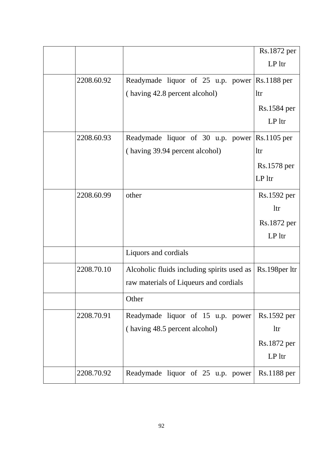|            |                                               | Rs.1872 per     |
|------------|-----------------------------------------------|-----------------|
|            |                                               | LP ltr          |
| 2208.60.92 | Readymade liquor of 25 u.p. power Rs.1188 per |                 |
|            | (having 42.8 percent alcohol)                 | <b>ltr</b>      |
|            |                                               | Rs.1584 per     |
|            |                                               | $LP$ ltr        |
| 2208.60.93 | Readymade liquor of 30 u.p. power             | $Rs.1105$ per   |
|            | (having 39.94 percent alcohol)                | <b>ltr</b>      |
|            |                                               | Rs.1578 per     |
|            |                                               | $LP$ ltr        |
| 2208.60.99 | other                                         | Rs.1592 per     |
|            |                                               | <b>ltr</b>      |
|            |                                               | Rs.1872 per     |
|            |                                               | $LP$ ltr        |
|            | Liquors and cordials                          |                 |
| 2208.70.10 | Alcoholic fluids including spirits used as    | Rs.198 per 1tr  |
|            | raw materials of Liqueurs and cordials        |                 |
|            | Other                                         |                 |
| 2208.70.91 | Readymade liquor of 15 u.p. power             | Rs.1592 per     |
|            | (having 48.5 percent alcohol)                 | <b>ltr</b>      |
|            |                                               | Rs.1872 per     |
|            |                                               | LP <sup>1</sup> |
| 2208.70.92 | Readymade liquor of 25 u.p. power             | Rs.1188 per     |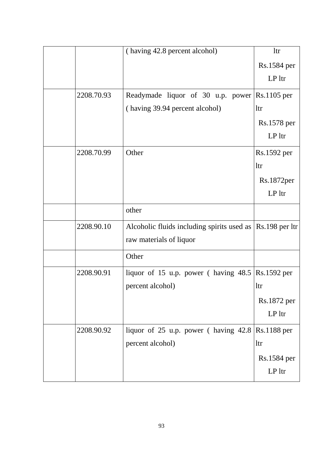|  |            | (having 42.8 percent alcohol)                                                     | ltr         |
|--|------------|-----------------------------------------------------------------------------------|-------------|
|  |            |                                                                                   | Rs.1584 per |
|  |            |                                                                                   | $LP$ ltr    |
|  | 2208.70.93 | Readymade liquor of 30 u.p. power $\left \text{Rs.1105}\right\rangle$ per         |             |
|  |            | (having 39.94 percent alcohol)                                                    | <b>ltr</b>  |
|  |            |                                                                                   | Rs.1578 per |
|  |            |                                                                                   | $LP$ ltr    |
|  | 2208.70.99 | Other                                                                             | Rs.1592 per |
|  |            |                                                                                   | ltr         |
|  |            |                                                                                   | Rs.1872per  |
|  |            |                                                                                   | $LP$ ltr    |
|  |            | other                                                                             |             |
|  | 2208.90.10 | Alcoholic fluids including spirits used as $\left  \text{Rs.198 per lit} \right $ |             |
|  |            | raw materials of liquor                                                           |             |
|  |            | Other                                                                             |             |
|  | 2208.90.91 | liquor of 15 u.p. power (having $48.5$ Rs.1592 per                                |             |
|  |            | percent alcohol)                                                                  | ltr         |
|  |            |                                                                                   | Rs.1872 per |
|  |            |                                                                                   | $LP$ ltr    |
|  | 2208.90.92 | liquor of 25 u.p. power (having $42.8 \text{ Rs}.1188 \text{ per}$ )              |             |
|  |            | percent alcohol)                                                                  | <b>ltr</b>  |
|  |            |                                                                                   | Rs.1584 per |
|  |            |                                                                                   | $LP$ ltr    |
|  |            |                                                                                   |             |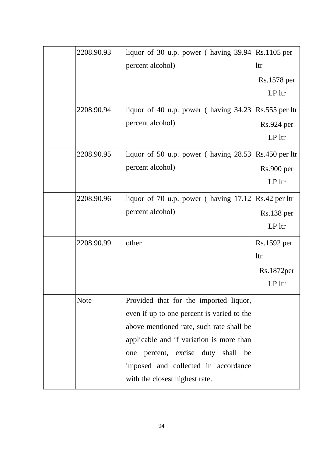| 2208.90.93  | liquor of 30 u.p. power (having 39.94)                | Rs.1105 per            |
|-------------|-------------------------------------------------------|------------------------|
|             | percent alcohol)                                      | <b>ltr</b>             |
|             |                                                       | Rs.1578 per            |
|             |                                                       | $LP$ ltr               |
| 2208.90.94  | liquor of 40 u.p. power (having 34.23)                | $Rs.555$ per ltr       |
|             | percent alcohol)                                      | Rs.924 per             |
|             |                                                       | $LP$ ltr               |
| 2208.90.95  | liquor of 50 u.p. power (having $28.53$ )             | Rs.450 per ltr         |
|             | percent alcohol)                                      | Rs.900 per             |
|             |                                                       | LP ltr                 |
| 2208.90.96  | liquor of 70 u.p. power (having $17.12$ Rs.42 per ltr |                        |
|             | percent alcohol)                                      | $Rs.138$ per           |
|             |                                                       | $LP$ ltr               |
| 2208.90.99  | other                                                 | Rs.1592 per            |
|             |                                                       | <b>ltr</b>             |
|             |                                                       | Rs.1872 <sub>per</sub> |
|             |                                                       | $LP$ ltr               |
| <u>Note</u> | Provided that for the imported liquor,                |                        |
|             | even if up to one percent is varied to the            |                        |
|             | above mentioned rate, such rate shall be              |                        |
|             | applicable and if variation is more than              |                        |
|             | percent, excise duty shall be<br>one                  |                        |
|             | imposed and collected in accordance                   |                        |
|             | with the closest highest rate.                        |                        |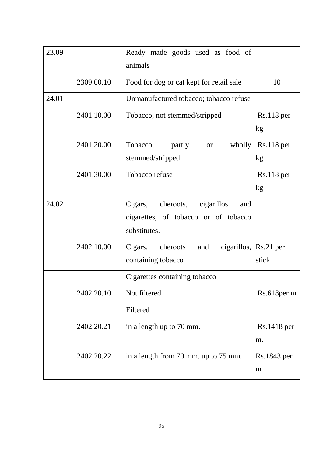| 23.09 |            | Ready made goods used as food of<br>animals                                                       |                    |
|-------|------------|---------------------------------------------------------------------------------------------------|--------------------|
|       | 2309.00.10 | Food for dog or cat kept for retail sale                                                          | 10                 |
| 24.01 |            | Unmanufactured tobacco; tobacco refuse                                                            |                    |
|       | 2401.10.00 | Tobacco, not stemmed/stripped                                                                     | $Rs.118$ per<br>kg |
|       | 2401.20.00 | Tobacco,<br>partly<br>wholly<br><b>or</b><br>stemmed/stripped                                     | $Rs.118$ per<br>kg |
|       | 2401.30.00 | Tobacco refuse                                                                                    | $Rs.118$ per<br>kg |
| 24.02 |            | cheroots,<br>cigarillos<br>Cigars,<br>and<br>cigarettes, of tobacco or of tobacco<br>substitutes. |                    |
|       | 2402.10.00 | cheroots<br>cigarillos, $\vert$ Rs.21 per<br>Cigars,<br>and<br>containing tobacco                 | stick              |
|       |            | Cigarettes containing tobacco                                                                     |                    |
|       | 2402.20.10 | Not filtered                                                                                      | Rs.618per m        |
|       |            | Filtered                                                                                          |                    |
|       | 2402.20.21 | in a length up to 70 mm.                                                                          | Rs.1418 per<br>m.  |
|       | 2402.20.22 | in a length from 70 mm. up to 75 mm.                                                              | Rs.1843 per<br>m   |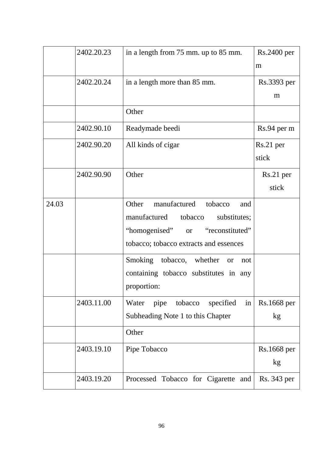|       | 2402.20.23 | in a length from 75 mm. up to 85 mm.               | Rs.2400 per |
|-------|------------|----------------------------------------------------|-------------|
|       |            |                                                    | m           |
|       | 2402.20.24 | in a length more than 85 mm.                       | Rs.3393 per |
|       |            |                                                    | m           |
|       |            | Other                                              |             |
|       | 2402.90.10 | Readymade beedi                                    | Rs.94 per m |
|       | 2402.90.20 | All kinds of cigar                                 | $Rs.21$ per |
|       |            |                                                    | stick       |
|       | 2402.90.90 | Other                                              | Rs.21 per   |
|       |            |                                                    | stick       |
| 24.03 |            | manufactured<br>Other<br>tobacco<br>and            |             |
|       |            | manufactured<br>tobacco<br>substitutes;            |             |
|       |            | "reconstituted"<br>"homogenised"<br><b>or</b>      |             |
|       |            | tobacco; tobacco extracts and essences             |             |
|       |            | Smoking<br>tobacco,<br>whether<br><b>or</b><br>not |             |
|       |            | containing tobacco substitutes in any              |             |
|       |            | proportion:                                        |             |
|       | 2403.11.00 | tobacco<br>specified<br>Water<br>pipe<br>in        | Rs.1668 per |
|       |            | Subheading Note 1 to this Chapter                  | kg          |
|       |            | Other                                              |             |
|       | 2403.19.10 | Pipe Tobacco                                       | Rs.1668 per |
|       |            |                                                    | kg          |
|       | 2403.19.20 | Processed Tobacco for Cigarette and                | Rs. 343 per |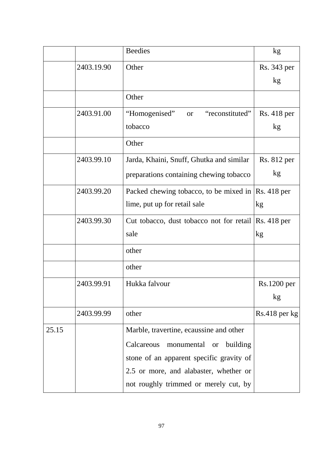|       |            | <b>Beedies</b>                                       | kg              |
|-------|------------|------------------------------------------------------|-----------------|
|       | 2403.19.90 | Other                                                | Rs. 343 per     |
|       |            |                                                      | kg              |
|       |            | Other                                                |                 |
|       | 2403.91.00 | "reconstituted"<br>"Homogenised"<br><b>or</b>        | Rs. 418 per     |
|       |            | tobacco                                              | kg              |
|       |            | Other                                                |                 |
|       | 2403.99.10 | Jarda, Khaini, Snuff, Ghutka and similar             | Rs. 812 per     |
|       |            | preparations containing chewing tobacco              | kg              |
|       | 2403.99.20 | Packed chewing tobacco, to be mixed in  Rs. 418 per  |                 |
|       |            | lime, put up for retail sale                         | kg              |
|       | 2403.99.30 | Cut tobacco, dust tobacco not for retail Rs. 418 per |                 |
|       |            | sale                                                 | kg              |
|       |            | other                                                |                 |
|       |            | other                                                |                 |
|       | 2403.99.91 | Hukka falvour                                        | Rs.1200 per     |
|       |            |                                                      | kg              |
|       | 2403.99.99 | other                                                | $Rs.418$ per kg |
| 25.15 |            | Marble, travertine, ecaussine and other              |                 |
|       |            | Calcareous<br>monumental or<br>building              |                 |
|       |            | stone of an apparent specific gravity of             |                 |
|       |            | 2.5 or more, and alabaster, whether or               |                 |
|       |            | not roughly trimmed or merely cut, by                |                 |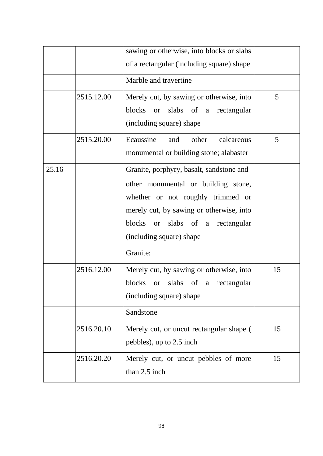|       |            | sawing or otherwise, into blocks or slabs<br>of a rectangular (including square) shape                                                                                                                                           |    |
|-------|------------|----------------------------------------------------------------------------------------------------------------------------------------------------------------------------------------------------------------------------------|----|
|       |            | Marble and travertine                                                                                                                                                                                                            |    |
|       | 2515.12.00 | Merely cut, by sawing or otherwise, into<br>blocks or slabs of a<br>rectangular<br>(including square) shape                                                                                                                      | 5  |
|       | 2515.20.00 | Ecaussine<br>calcareous<br>other<br>and<br>monumental or building stone; alabaster                                                                                                                                               | 5  |
| 25.16 |            | Granite, porphyry, basalt, sandstone and<br>other monumental or building stone,<br>whether or not roughly trimmed or<br>merely cut, by sawing or otherwise, into<br>blocks or slabs of a rectangular<br>(including square) shape |    |
|       |            | Granite:                                                                                                                                                                                                                         |    |
|       | 2516.12.00 | Merely cut, by sawing or otherwise, into<br>blocks<br>or slabs of a rectangular<br>(including square) shape                                                                                                                      | 15 |
|       |            | Sandstone                                                                                                                                                                                                                        |    |
|       | 2516.20.10 | Merely cut, or uncut rectangular shape (<br>pebbles), up to 2.5 inch                                                                                                                                                             | 15 |
|       | 2516.20.20 | Merely cut, or uncut pebbles of more<br>than 2.5 inch                                                                                                                                                                            | 15 |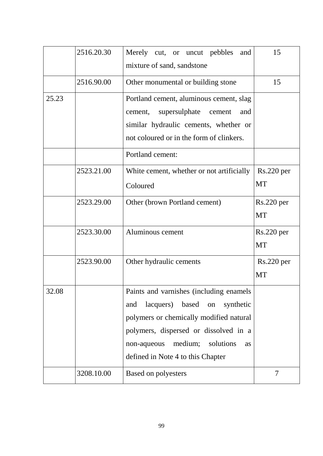|       | 2516.20.30 | Merely cut, or uncut pebbles<br>and<br>mixture of sand, sandstone                                                                                                                                                                                                    | 15                                 |
|-------|------------|----------------------------------------------------------------------------------------------------------------------------------------------------------------------------------------------------------------------------------------------------------------------|------------------------------------|
|       | 2516.90.00 | Other monumental or building stone                                                                                                                                                                                                                                   | 15                                 |
| 25.23 |            | Portland cement, aluminous cement, slag<br>supersulphate<br>cement,<br>cement<br>and<br>similar hydraulic cements, whether or<br>not coloured or in the form of clinkers.                                                                                            |                                    |
|       |            | Portland cement:                                                                                                                                                                                                                                                     |                                    |
|       | 2523.21.00 | White cement, whether or not artificially<br>Coloured                                                                                                                                                                                                                | $Rs.220$ per<br>MT                 |
|       | 2523.29.00 | Other (brown Portland cement)                                                                                                                                                                                                                                        | Rs.220~per<br><b>MT</b>            |
|       | 2523.30.00 | Aluminous cement                                                                                                                                                                                                                                                     | $Rs.220~\mathrm{per}$<br><b>MT</b> |
|       | 2523.90.00 | Other hydraulic cements                                                                                                                                                                                                                                              | $Rs.220$ per<br><b>MT</b>          |
| 32.08 |            | Paints and varnishes (including enamels<br>lacquers)<br>based<br>synthetic<br>and<br>on<br>polymers or chemically modified natural<br>polymers, dispersed or dissolved in a<br>medium;<br>solutions<br>non-aqueous<br><b>as</b><br>defined in Note 4 to this Chapter |                                    |
|       | 3208.10.00 | <b>Based on polyesters</b>                                                                                                                                                                                                                                           | $\overline{7}$                     |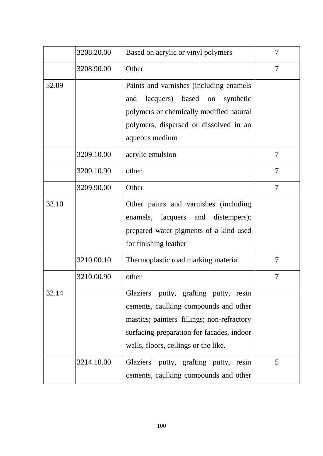|       | 3208.20.00 | Based on acrylic or vinyl polymers                                                                                                                                                                                  | 7              |
|-------|------------|---------------------------------------------------------------------------------------------------------------------------------------------------------------------------------------------------------------------|----------------|
|       | 3208.90.00 | Other                                                                                                                                                                                                               | 7              |
| 32.09 |            | Paints and varnishes (including enamels<br>lacquers) based<br>synthetic<br>and<br>on<br>polymers or chemically modified natural<br>polymers, dispersed or dissolved in an<br>aqueous medium                         |                |
|       | 3209.10.00 | acrylic emulsion                                                                                                                                                                                                    | 7              |
|       | 3209.10.90 | other                                                                                                                                                                                                               | $\overline{7}$ |
|       | 3209.90.00 | Other                                                                                                                                                                                                               | 7              |
| 32.10 |            | Other paints and varnishes (including<br>enamels, lacquers and<br>distempers);<br>prepared water pigments of a kind used<br>for finishing leather                                                                   |                |
|       | 3210.00.10 | Thermoplastic road marking material                                                                                                                                                                                 | 7              |
|       | 3210.00.90 | other                                                                                                                                                                                                               | 7              |
| 32.14 |            | Glaziers' putty, grafting putty, resin<br>cements, caulking compounds and other<br>mastics; painters' fillings; non-refractory<br>surfacing preparation for facades, indoor<br>walls, floors, ceilings or the like. |                |
|       | 3214.10.00 | Glaziers' putty, grafting putty, resin<br>cements, caulking compounds and other                                                                                                                                     | 5              |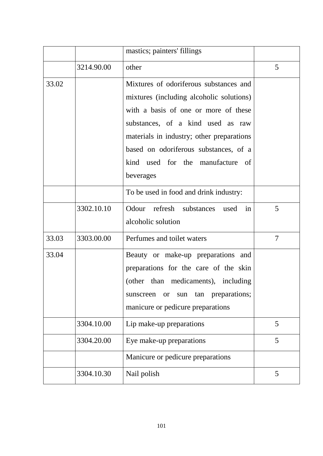|       |            | mastics; painters' fillings                                                                                                                                                                                                                                                                            |        |
|-------|------------|--------------------------------------------------------------------------------------------------------------------------------------------------------------------------------------------------------------------------------------------------------------------------------------------------------|--------|
|       | 3214.90.00 | other                                                                                                                                                                                                                                                                                                  | 5      |
| 33.02 |            | Mixtures of odoriferous substances and<br>mixtures (including alcoholic solutions)<br>with a basis of one or more of these<br>substances, of a kind used as raw<br>materials in industry; other preparations<br>based on odoriferous substances, of a<br>kind used for the manufacture of<br>beverages |        |
|       |            | To be used in food and drink industry:                                                                                                                                                                                                                                                                 |        |
|       | 3302.10.10 | Odour refresh substances used in<br>alcoholic solution                                                                                                                                                                                                                                                 | 5      |
| 33.03 | 3303.00.00 | Perfumes and toilet waters                                                                                                                                                                                                                                                                             | $\tau$ |
| 33.04 |            | Beauty or make-up preparations and<br>preparations for the care of the skin<br>(other than medicaments), including<br>tan preparations;<br>sunscreen<br>sun<br><b>or</b><br>manicure or pedicure preparations                                                                                          |        |
|       | 3304.10.00 | Lip make-up preparations                                                                                                                                                                                                                                                                               | 5      |
|       | 3304.20.00 | Eye make-up preparations                                                                                                                                                                                                                                                                               | 5      |
|       |            | Manicure or pedicure preparations                                                                                                                                                                                                                                                                      |        |
|       | 3304.10.30 | Nail polish                                                                                                                                                                                                                                                                                            | 5      |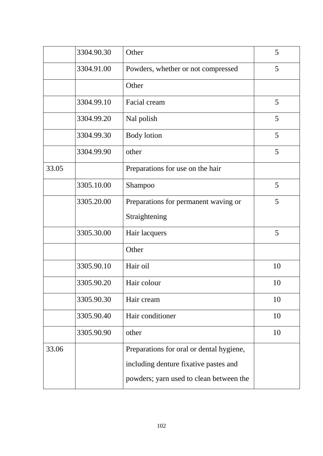|       | 3304.90.30 | Other                                    | 5  |
|-------|------------|------------------------------------------|----|
|       | 3304.91.00 | Powders, whether or not compressed       | 5  |
|       |            | Other                                    |    |
|       | 3304.99.10 | Facial cream                             | 5  |
|       | 3304.99.20 | Nal polish                               | 5  |
|       | 3304.99.30 | <b>Body</b> lotion                       | 5  |
|       | 3304.99.90 | other                                    | 5  |
| 33.05 |            | Preparations for use on the hair         |    |
|       | 3305.10.00 | Shampoo                                  | 5  |
|       | 3305.20.00 | Preparations for permanent waving or     | 5  |
|       |            | Straightening                            |    |
|       | 3305.30.00 | Hair lacquers                            | 5  |
|       |            | Other                                    |    |
|       | 3305.90.10 | Hair oil                                 | 10 |
|       | 3305.90.20 | Hair colour                              | 10 |
|       | 3305.90.30 | Hair cream                               | 10 |
|       | 3305.90.40 | Hair conditioner                         | 10 |
|       | 3305.90.90 | other                                    | 10 |
| 33.06 |            | Preparations for oral or dental hygiene, |    |
|       |            | including denture fixative pastes and    |    |
|       |            | powders; yarn used to clean between the  |    |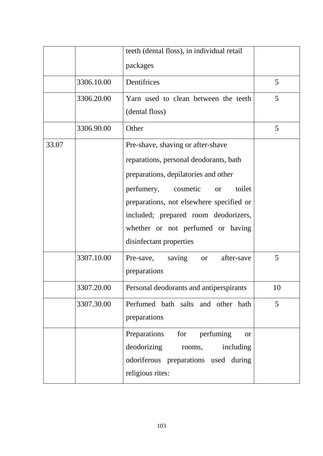|       |            | teeth (dental floss), in individual retail<br>packages                                                                                                                                                                                                                                                                |    |
|-------|------------|-----------------------------------------------------------------------------------------------------------------------------------------------------------------------------------------------------------------------------------------------------------------------------------------------------------------------|----|
|       | 3306.10.00 | Dentifrices                                                                                                                                                                                                                                                                                                           | 5  |
|       | 3306.20.00 | Yarn used to clean between the teeth<br>(dental floss)                                                                                                                                                                                                                                                                | 5  |
|       | 3306.90.00 | Other                                                                                                                                                                                                                                                                                                                 | 5  |
| 33.07 |            | Pre-shave, shaving or after-shave<br>reparations, personal deodorants, bath<br>preparations, depilatories and other<br>toilet<br>perfumery, cosmetic<br><b>or</b><br>preparations, not elsewhere specified or<br>included; prepared room deodorizers,<br>whether or not perfumed or having<br>disinfectant properties |    |
|       | 3307.10.00 | Pre-save, saving<br>after-save<br><sub>or</sub><br>preparations                                                                                                                                                                                                                                                       | 5  |
|       | 3307.20.00 | Personal deodorants and antiperspirants                                                                                                                                                                                                                                                                               | 10 |
|       | 3307.30.00 | Perfumed bath salts and other bath<br>preparations                                                                                                                                                                                                                                                                    | 5  |
|       |            | perfuming<br>Preparations<br>for<br><b>or</b><br>deodorizing<br>including<br>rooms,<br>odoriferous preparations used during<br>religious rites:                                                                                                                                                                       |    |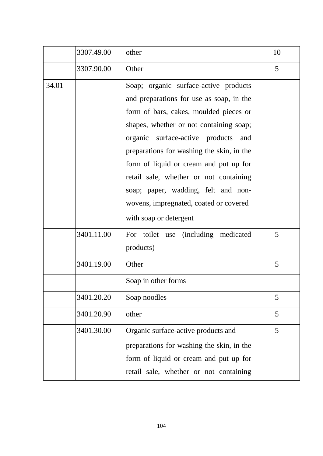|       | 3307.49.00 | other                                                                                                                                                                                                                                                                                                                                                                                                                                                        | 10 |
|-------|------------|--------------------------------------------------------------------------------------------------------------------------------------------------------------------------------------------------------------------------------------------------------------------------------------------------------------------------------------------------------------------------------------------------------------------------------------------------------------|----|
|       | 3307.90.00 | Other                                                                                                                                                                                                                                                                                                                                                                                                                                                        | 5  |
| 34.01 |            | Soap; organic surface-active products<br>and preparations for use as soap, in the<br>form of bars, cakes, moulded pieces or<br>shapes, whether or not containing soap;<br>organic surface-active products<br>and<br>preparations for washing the skin, in the<br>form of liquid or cream and put up for<br>retail sale, whether or not containing<br>soap; paper, wadding, felt and non-<br>wovens, impregnated, coated or covered<br>with soap or detergent |    |
|       | 3401.11.00 | For toilet use (including medicated<br>products)                                                                                                                                                                                                                                                                                                                                                                                                             | 5  |
|       | 3401.19.00 | Other                                                                                                                                                                                                                                                                                                                                                                                                                                                        | 5  |
|       |            | Soap in other forms                                                                                                                                                                                                                                                                                                                                                                                                                                          |    |
|       | 3401.20.20 | Soap noodles                                                                                                                                                                                                                                                                                                                                                                                                                                                 | 5  |
|       | 3401.20.90 | other                                                                                                                                                                                                                                                                                                                                                                                                                                                        | 5  |
|       | 3401.30.00 | Organic surface-active products and<br>preparations for washing the skin, in the<br>form of liquid or cream and put up for<br>retail sale, whether or not containing                                                                                                                                                                                                                                                                                         | 5  |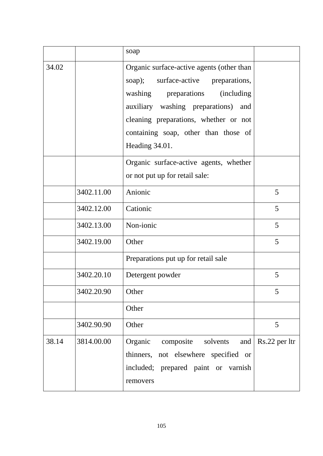|       |            | soap                                                                                                                                                                                                                                                                |                           |
|-------|------------|---------------------------------------------------------------------------------------------------------------------------------------------------------------------------------------------------------------------------------------------------------------------|---------------------------|
| 34.02 |            | Organic surface-active agents (other than<br>surface-active preparations,<br>soap);<br>washing preparations (including<br>auxiliary washing preparations)<br>and<br>cleaning preparations, whether or not<br>containing soap, other than those of<br>Heading 34.01. |                           |
|       |            | Organic surface-active agents, whether<br>or not put up for retail sale:                                                                                                                                                                                            |                           |
|       | 3402.11.00 | Anionic                                                                                                                                                                                                                                                             | 5                         |
|       | 3402.12.00 | Cationic                                                                                                                                                                                                                                                            | 5                         |
|       | 3402.13.00 | Non-ionic                                                                                                                                                                                                                                                           | 5                         |
|       | 3402.19.00 | Other                                                                                                                                                                                                                                                               | 5                         |
|       |            | Preparations put up for retail sale                                                                                                                                                                                                                                 |                           |
|       | 3402.20.10 | Detergent powder                                                                                                                                                                                                                                                    | 5                         |
|       | 3402.20.90 | Other                                                                                                                                                                                                                                                               | 5                         |
|       |            | Other                                                                                                                                                                                                                                                               |                           |
|       | 3402.90.90 | Other                                                                                                                                                                                                                                                               | 5                         |
| 38.14 | 3814.00.00 | Organic<br>composite<br>solvents<br>thinners, not elsewhere specified or<br>included; prepared paint or varnish<br>removers                                                                                                                                         | and $\vert$ Rs.22 per ltr |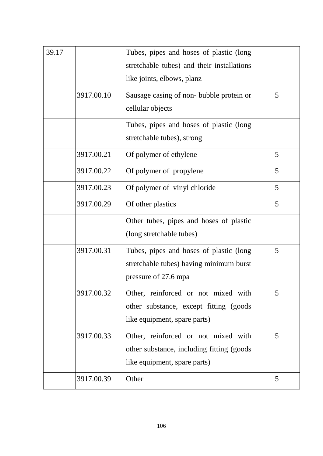| 39.17 |            | Tubes, pipes and hoses of plastic (long)<br>stretchable tubes) and their installations<br>like joints, elbows, planz |   |
|-------|------------|----------------------------------------------------------------------------------------------------------------------|---|
|       | 3917.00.10 | Sausage casing of non-bubble protein or<br>cellular objects                                                          | 5 |
|       |            | Tubes, pipes and hoses of plastic (long)<br>stretchable tubes), strong                                               |   |
|       | 3917.00.21 | Of polymer of ethylene                                                                                               | 5 |
|       | 3917.00.22 | Of polymer of propylene                                                                                              | 5 |
|       | 3917.00.23 | Of polymer of vinyl chloride                                                                                         | 5 |
|       | 3917.00.29 | Of other plastics                                                                                                    | 5 |
|       |            | Other tubes, pipes and hoses of plastic<br>(long stretchable tubes)                                                  |   |
|       | 3917.00.31 | Tubes, pipes and hoses of plastic (long<br>stretchable tubes) having minimum burst<br>pressure of 27.6 mpa           | 5 |
|       | 3917.00.32 | Other, reinforced or not mixed with<br>other substance, except fitting (goods)<br>like equipment, spare parts)       | 5 |
|       | 3917.00.33 | Other, reinforced or not mixed with<br>other substance, including fitting (goods)<br>like equipment, spare parts)    | 5 |
|       | 3917.00.39 | Other                                                                                                                | 5 |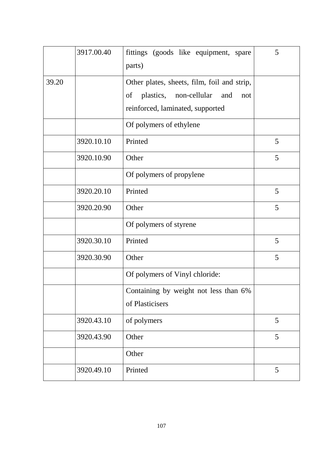|       | 3917.00.40 | fittings (goods like equipment, spare<br>parts)                                                                               | 5 |
|-------|------------|-------------------------------------------------------------------------------------------------------------------------------|---|
| 39.20 |            | Other plates, sheets, film, foil and strip,<br>plastics, non-cellular<br>of<br>and<br>not<br>reinforced, laminated, supported |   |
|       |            | Of polymers of ethylene                                                                                                       |   |
|       | 3920.10.10 | Printed                                                                                                                       | 5 |
|       | 3920.10.90 | Other                                                                                                                         | 5 |
|       |            | Of polymers of propylene                                                                                                      |   |
|       | 3920.20.10 | Printed                                                                                                                       | 5 |
|       | 3920.20.90 | Other                                                                                                                         | 5 |
|       |            | Of polymers of styrene                                                                                                        |   |
|       | 3920.30.10 | Printed                                                                                                                       | 5 |
|       | 3920.30.90 | Other                                                                                                                         | 5 |
|       |            | Of polymers of Vinyl chloride:                                                                                                |   |
|       |            | Containing by weight not less than 6%<br>of Plasticisers                                                                      |   |
|       | 3920.43.10 | of polymers                                                                                                                   | 5 |
|       | 3920.43.90 | Other                                                                                                                         | 5 |
|       |            | Other                                                                                                                         |   |
|       | 3920.49.10 | Printed                                                                                                                       | 5 |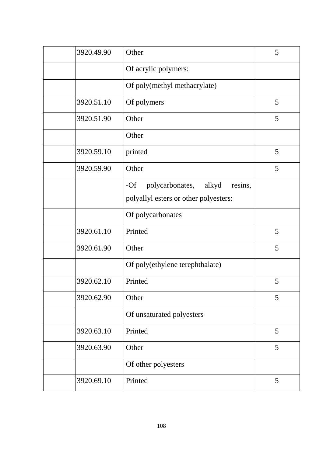| 3920.49.90 | Other                                        | 5 |
|------------|----------------------------------------------|---|
|            | Of acrylic polymers:                         |   |
|            | Of poly(methyl methacrylate)                 |   |
| 3920.51.10 | Of polymers                                  | 5 |
| 3920.51.90 | Other                                        | 5 |
|            | Other                                        |   |
| 3920.59.10 | printed                                      | 5 |
| 3920.59.90 | Other                                        | 5 |
|            | $-Of$<br>polycarbonates,<br>alkyd<br>resins, |   |
|            | polyallyl esters or other polyesters:        |   |
|            | Of polycarbonates                            |   |
| 3920.61.10 | Printed                                      | 5 |
| 3920.61.90 | Other                                        | 5 |
|            | Of poly(ethylene terephthalate)              |   |
| 3920.62.10 | Printed                                      | 5 |
| 3920.62.90 | Other                                        | 5 |
|            | Of unsaturated polyesters                    |   |
| 3920.63.10 | Printed                                      | 5 |
| 3920.63.90 | Other                                        | 5 |
|            | Of other polyesters                          |   |
| 3920.69.10 | Printed                                      | 5 |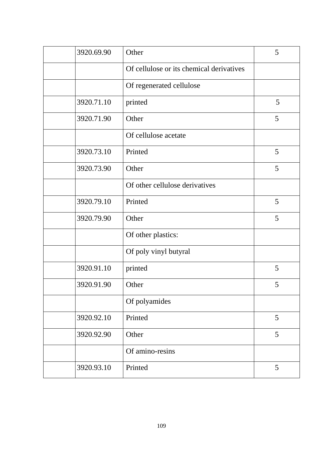| 3920.69.90 | Other                                    | 5 |
|------------|------------------------------------------|---|
|            | Of cellulose or its chemical derivatives |   |
|            | Of regenerated cellulose                 |   |
| 3920.71.10 | printed                                  | 5 |
| 3920.71.90 | Other                                    | 5 |
|            | Of cellulose acetate                     |   |
| 3920.73.10 | Printed                                  | 5 |
| 3920.73.90 | Other                                    | 5 |
|            | Of other cellulose derivatives           |   |
| 3920.79.10 | Printed                                  | 5 |
| 3920.79.90 | Other                                    | 5 |
|            | Of other plastics:                       |   |
|            | Of poly vinyl butyral                    |   |
| 3920.91.10 | printed                                  | 5 |
| 3920.91.90 | Other                                    | 5 |
|            | Of polyamides                            |   |
| 3920.92.10 | Printed                                  | 5 |
| 3920.92.90 | Other                                    | 5 |
|            | Of amino-resins                          |   |
| 3920.93.10 | Printed                                  | 5 |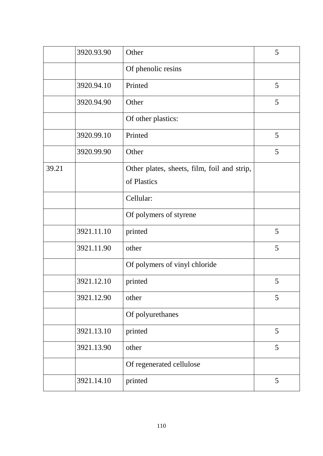|       | 3920.93.90 | Other                                                      | 5 |
|-------|------------|------------------------------------------------------------|---|
|       |            | Of phenolic resins                                         |   |
|       | 3920.94.10 | Printed                                                    | 5 |
|       | 3920.94.90 | Other                                                      | 5 |
|       |            | Of other plastics:                                         |   |
|       | 3920.99.10 | Printed                                                    | 5 |
|       | 3920.99.90 | Other                                                      | 5 |
| 39.21 |            | Other plates, sheets, film, foil and strip,<br>of Plastics |   |
|       |            |                                                            |   |
|       |            | Cellular:                                                  |   |
|       |            | Of polymers of styrene                                     |   |
|       | 3921.11.10 | printed                                                    | 5 |
|       | 3921.11.90 | other                                                      | 5 |
|       |            | Of polymers of vinyl chloride                              |   |
|       | 3921.12.10 | printed                                                    | 5 |
|       | 3921.12.90 | other                                                      | 5 |
|       |            | Of polyurethanes                                           |   |
|       | 3921.13.10 | printed                                                    | 5 |
|       | 3921.13.90 | other                                                      | 5 |
|       |            | Of regenerated cellulose                                   |   |
|       | 3921.14.10 | printed                                                    | 5 |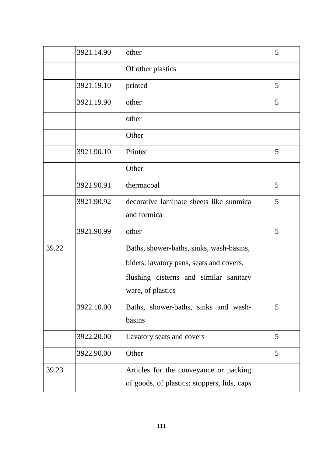|       | 3921.14.90 | other                                       | 5 |
|-------|------------|---------------------------------------------|---|
|       |            | Of other plastics                           |   |
|       | 3921.19.10 | printed                                     | 5 |
|       | 3921.19.90 | other                                       | 5 |
|       |            | other                                       |   |
|       |            | Other                                       |   |
|       | 3921.90.10 | Printed                                     | 5 |
|       |            | Other                                       |   |
|       | 3921.90.91 | thermacoal                                  | 5 |
|       | 3921.90.92 | decorative laminate sheets like sunmica     | 5 |
|       |            | and formica                                 |   |
|       | 3921.90.99 | other                                       | 5 |
| 39.22 |            | Baths, shower-baths, sinks, wash-basins,    |   |
|       |            | bidets, lavatory pans, seats and covers,    |   |
|       |            | flushing cisterns and similar sanitary      |   |
|       |            | ware, of plastics                           |   |
|       | 3922.10.00 | Baths, shower-baths, sinks and wash-        | 5 |
|       |            | basins                                      |   |
|       | 3922.20.00 | Lavatory seats and covers                   | 5 |
|       | 3922.90.00 | Other                                       | 5 |
| 39.23 |            | Articles for the conveyance or packing      |   |
|       |            | of goods, of plastics; stoppers, lids, caps |   |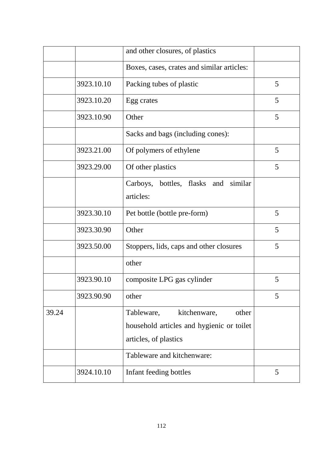|       |            | and other closures, of plastics                                                                           |   |
|-------|------------|-----------------------------------------------------------------------------------------------------------|---|
|       |            | Boxes, cases, crates and similar articles:                                                                |   |
|       | 3923.10.10 | Packing tubes of plastic                                                                                  | 5 |
|       | 3923.10.20 | Egg crates                                                                                                | 5 |
|       | 3923.10.90 | Other                                                                                                     | 5 |
|       |            | Sacks and bags (including cones):                                                                         |   |
|       | 3923.21.00 | Of polymers of ethylene                                                                                   | 5 |
|       | 3923.29.00 | Of other plastics                                                                                         | 5 |
|       |            | Carboys, bottles, flasks and<br>similar<br>articles:                                                      |   |
|       | 3923.30.10 | Pet bottle (bottle pre-form)                                                                              | 5 |
|       | 3923.30.90 | Other                                                                                                     | 5 |
|       | 3923.50.00 | Stoppers, lids, caps and other closures                                                                   | 5 |
|       |            | other                                                                                                     |   |
|       | 3923.90.10 | composite LPG gas cylinder                                                                                | 5 |
|       | 3923.90.90 | other                                                                                                     | 5 |
| 39.24 |            | kitchenware,<br>Tableware,<br>other<br>household articles and hygienic or toilet<br>articles, of plastics |   |
|       |            | Tableware and kitchenware:                                                                                |   |
|       | 3924.10.10 | Infant feeding bottles                                                                                    | 5 |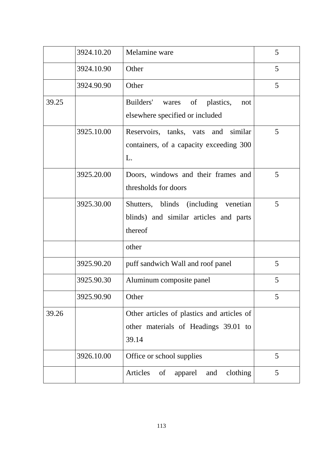|       | 3924.10.20 | Melamine ware                                | 5 |
|-------|------------|----------------------------------------------|---|
|       |            |                                              |   |
|       | 3924.10.90 | Other                                        | 5 |
|       | 3924.90.90 | Other                                        | 5 |
| 39.25 |            | Builders'<br>plastics,<br>wares of<br>not    |   |
|       |            | elsewhere specified or included              |   |
|       | 3925.10.00 | Reservoirs, tanks, vats and similar          | 5 |
|       |            | containers, of a capacity exceeding 300      |   |
|       |            | L.                                           |   |
|       | 3925.20.00 | Doors, windows and their frames and          | 5 |
|       |            | thresholds for doors                         |   |
|       | 3925.30.00 | Shutters, blinds (including venetian         | 5 |
|       |            | blinds) and similar articles and parts       |   |
|       |            | thereof                                      |   |
|       |            | other                                        |   |
|       | 3925.90.20 | puff sandwich Wall and roof panel            | 5 |
|       | 3925.90.30 | Aluminum composite panel                     | 5 |
|       | 3925.90.90 | Other                                        | 5 |
| 39.26 |            | Other articles of plastics and articles of   |   |
|       |            | other materials of Headings 39.01 to         |   |
|       |            | 39.14                                        |   |
|       | 3926.10.00 | Office or school supplies                    | 5 |
|       |            | Articles<br>clothing<br>of<br>apparel<br>and | 5 |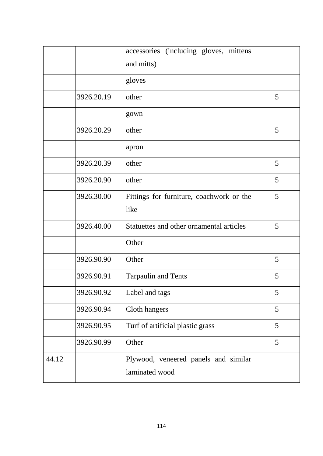|       |            | accessories (including gloves, mittens<br>and mitts)   |   |
|-------|------------|--------------------------------------------------------|---|
|       |            | gloves                                                 |   |
|       | 3926.20.19 | other                                                  | 5 |
|       |            | gown                                                   |   |
|       | 3926.20.29 | other                                                  | 5 |
|       |            | apron                                                  |   |
|       | 3926.20.39 | other                                                  | 5 |
|       | 3926.20.90 | other                                                  | 5 |
|       | 3926.30.00 | Fittings for furniture, coachwork or the               | 5 |
|       |            | like                                                   |   |
|       | 3926.40.00 | Statuettes and other ornamental articles               | 5 |
|       |            | Other                                                  |   |
|       | 3926.90.90 | Other                                                  | 5 |
|       | 3926.90.91 | <b>Tarpaulin and Tents</b>                             | 5 |
|       | 3926.90.92 | Label and tags                                         | 5 |
|       | 3926.90.94 | Cloth hangers                                          | 5 |
|       | 3926.90.95 | Turf of artificial plastic grass                       | 5 |
|       | 3926.90.99 | Other                                                  | 5 |
| 44.12 |            | Plywood, veneered panels and similar<br>laminated wood |   |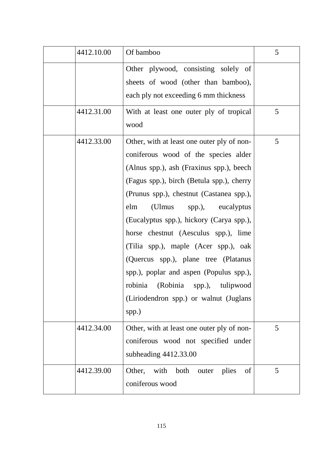| 4412.10.00 | Of bamboo                                                                                                                                                                                                                                                                                                                                                                                                                                                                                                                                                         | 5 |
|------------|-------------------------------------------------------------------------------------------------------------------------------------------------------------------------------------------------------------------------------------------------------------------------------------------------------------------------------------------------------------------------------------------------------------------------------------------------------------------------------------------------------------------------------------------------------------------|---|
|            | Other plywood, consisting solely of<br>sheets of wood (other than bamboo),<br>each ply not exceeding 6 mm thickness                                                                                                                                                                                                                                                                                                                                                                                                                                               |   |
| 4412.31.00 | With at least one outer ply of tropical<br>wood                                                                                                                                                                                                                                                                                                                                                                                                                                                                                                                   | 5 |
| 4412.33.00 | Other, with at least one outer ply of non-<br>coniferous wood of the species alder<br>(Alnus spp.), ash (Fraxinus spp.), beech<br>(Fagus spp.), birch (Betula spp.), cherry<br>(Prunus spp.), chestnut (Castanea spp.),<br>elm<br>(Ulmus spp.), eucalyptus<br>(Eucalyptus spp.), hickory (Carya spp.),<br>horse chestnut (Aesculus spp.), lime<br>(Tilia spp.), maple (Acer spp.), oak<br>(Quercus spp.), plane tree (Platanus<br>spp.), poplar and aspen (Populus spp.),<br>robinia (Robinia spp.), tulipwood<br>(Liriodendron spp.) or walnut (Juglans<br>spp.) | 5 |
| 4412.34.00 | Other, with at least one outer ply of non-<br>coniferous wood not specified under<br>subheading 4412.33.00                                                                                                                                                                                                                                                                                                                                                                                                                                                        | 5 |
| 4412.39.00 | Other, with<br>both<br>plies<br>outer<br>of<br>coniferous wood                                                                                                                                                                                                                                                                                                                                                                                                                                                                                                    | 5 |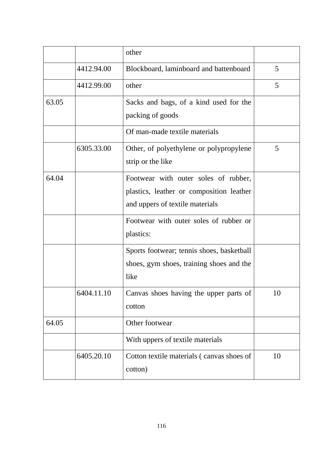|       |            | other                                                                                                               |    |
|-------|------------|---------------------------------------------------------------------------------------------------------------------|----|
|       | 4412.94.00 | Blockboard, laminboard and battenboard                                                                              | 5  |
|       | 4412.99.00 | other                                                                                                               | 5  |
| 63.05 |            | Sacks and bags, of a kind used for the<br>packing of goods                                                          |    |
|       |            | Of man-made textile materials                                                                                       |    |
|       | 6305.33.00 | Other, of polyethylene or polypropylene<br>strip or the like                                                        | 5  |
| 64.04 |            | Footwear with outer soles of rubber,<br>plastics, leather or composition leather<br>and uppers of textile materials |    |
|       |            | Footwear with outer soles of rubber or<br>plastics:                                                                 |    |
|       |            | Sports footwear; tennis shoes, basketball<br>shoes, gym shoes, training shoes and the<br>like                       |    |
|       | 6404.11.10 | Canvas shoes having the upper parts of<br>cotton                                                                    | 10 |
| 64.05 |            | Other footwear                                                                                                      |    |
|       |            | With uppers of textile materials                                                                                    |    |
|       | 6405.20.10 | Cotton textile materials (canvas shoes of<br>cotton)                                                                | 10 |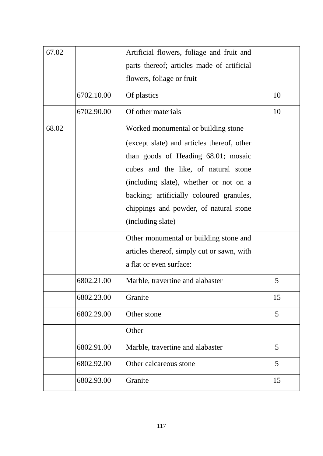| 67.02 |            | Artificial flowers, foliage and fruit and  |    |
|-------|------------|--------------------------------------------|----|
|       |            | parts thereof; articles made of artificial |    |
|       |            | flowers, foliage or fruit                  |    |
|       | 6702.10.00 | Of plastics                                | 10 |
|       | 6702.90.00 | Of other materials                         | 10 |
| 68.02 |            | Worked monumental or building stone        |    |
|       |            | (except slate) and articles thereof, other |    |
|       |            | than goods of Heading 68.01; mosaic        |    |
|       |            | cubes and the like, of natural stone       |    |
|       |            | (including slate), whether or not on a     |    |
|       |            | backing; artificially coloured granules,   |    |
|       |            | chippings and powder, of natural stone     |    |
|       |            | (including slate)                          |    |
|       |            | Other monumental or building stone and     |    |
|       |            | articles thereof, simply cut or sawn, with |    |
|       |            | a flat or even surface:                    |    |
|       | 6802.21.00 | Marble, travertine and alabaster           | 5  |
|       | 6802.23.00 | Granite                                    | 15 |
|       | 6802.29.00 | Other stone                                | 5  |
|       |            | Other                                      |    |
|       | 6802.91.00 | Marble, travertine and alabaster           | 5  |
|       | 6802.92.00 | Other calcareous stone                     | 5  |
|       | 6802.93.00 | Granite                                    | 15 |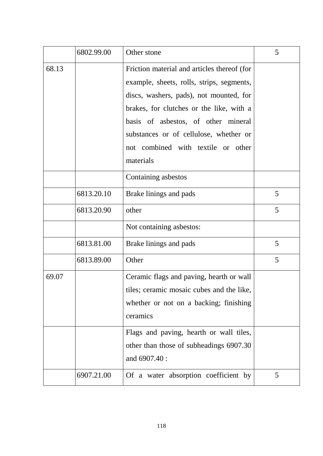|       | 6802.99.00 | Other stone                                                                                                                                                                                                                                                                                                         | 5 |
|-------|------------|---------------------------------------------------------------------------------------------------------------------------------------------------------------------------------------------------------------------------------------------------------------------------------------------------------------------|---|
| 68.13 |            | Friction material and articles thereof (for<br>example, sheets, rolls, strips, segments,<br>discs, washers, pads), not mounted, for<br>brakes, for clutches or the like, with a<br>basis of asbestos, of other mineral<br>substances or of cellulose, whether or<br>not combined with textile or other<br>materials |   |
|       |            | Containing asbestos                                                                                                                                                                                                                                                                                                 |   |
|       | 6813.20.10 | Brake linings and pads                                                                                                                                                                                                                                                                                              | 5 |
|       | 6813.20.90 | other                                                                                                                                                                                                                                                                                                               | 5 |
|       |            | Not containing asbestos:                                                                                                                                                                                                                                                                                            |   |
|       | 6813.81.00 | Brake linings and pads                                                                                                                                                                                                                                                                                              | 5 |
|       | 6813.89.00 | Other                                                                                                                                                                                                                                                                                                               | 5 |
| 69.07 |            | Ceramic flags and paving, hearth or wall<br>tiles; ceramic mosaic cubes and the like,<br>whether or not on a backing; finishing<br>ceramics                                                                                                                                                                         |   |
|       |            | Flags and paving, hearth or wall tiles,<br>other than those of subheadings 6907.30<br>and 6907.40 :                                                                                                                                                                                                                 |   |
|       | 6907.21.00 | Of a water absorption coefficient by                                                                                                                                                                                                                                                                                | 5 |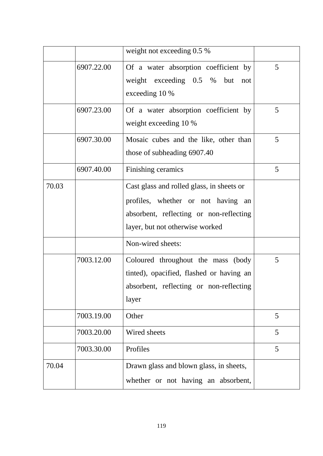|       |            | weight not exceeding 0.5 %                                                                                                                                    |   |
|-------|------------|---------------------------------------------------------------------------------------------------------------------------------------------------------------|---|
|       | 6907.22.00 | Of a water absorption coefficient by<br>weight exceeding $0.5\%$<br>but<br>not<br>exceeding 10 %                                                              | 5 |
|       | 6907.23.00 | Of a water absorption coefficient by<br>weight exceeding 10 %                                                                                                 | 5 |
|       | 6907.30.00 | Mosaic cubes and the like, other than<br>those of subheading 6907.40                                                                                          | 5 |
|       | 6907.40.00 | Finishing ceramics                                                                                                                                            | 5 |
| 70.03 |            | Cast glass and rolled glass, in sheets or<br>profiles, whether or not having an<br>absorbent, reflecting or non-reflecting<br>layer, but not otherwise worked |   |
|       |            | Non-wired sheets:                                                                                                                                             |   |
|       | 7003.12.00 | Coloured throughout the mass (body<br>tinted), opacified, flashed or having an<br>absorbent, reflecting or non-reflecting<br>layer                            | 5 |
|       | 7003.19.00 | Other                                                                                                                                                         | 5 |
|       | 7003.20.00 | Wired sheets                                                                                                                                                  | 5 |
|       | 7003.30.00 | Profiles                                                                                                                                                      | 5 |
| 70.04 |            | Drawn glass and blown glass, in sheets,<br>whether or not having an absorbent,                                                                                |   |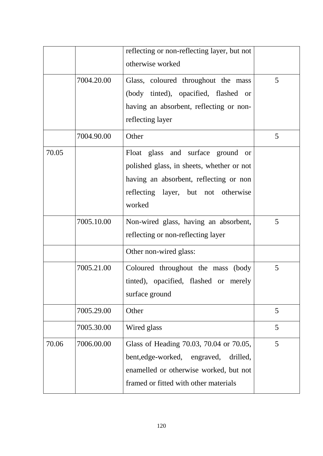|       |            | reflecting or non-reflecting layer, but not |   |
|-------|------------|---------------------------------------------|---|
|       |            | otherwise worked                            |   |
|       | 7004.20.00 | Glass, coloured throughout the mass         | 5 |
|       |            | (body tinted), opacified, flashed or        |   |
|       |            | having an absorbent, reflecting or non-     |   |
|       |            | reflecting layer                            |   |
|       | 7004.90.00 | Other                                       | 5 |
| 70.05 |            | Float glass and surface ground<br>or        |   |
|       |            | polished glass, in sheets, whether or not   |   |
|       |            | having an absorbent, reflecting or non      |   |
|       |            | reflecting layer, but not otherwise         |   |
|       |            | worked                                      |   |
|       | 7005.10.00 | Non-wired glass, having an absorbent,       | 5 |
|       |            | reflecting or non-reflecting layer          |   |
|       |            | Other non-wired glass:                      |   |
|       | 7005.21.00 | Coloured throughout the mass (body          | 5 |
|       |            | tinted), opacified, flashed or merely       |   |
|       |            | surface ground                              |   |
|       | 7005.29.00 | Other                                       | 5 |
|       | 7005.30.00 | Wired glass                                 | 5 |
| 70.06 | 7006.00.00 | Glass of Heading 70.03, 70.04 or 70.05,     | 5 |
|       |            | bent, edge-worked,<br>drilled,<br>engraved, |   |
|       |            | enamelled or otherwise worked, but not      |   |
|       |            | framed or fitted with other materials       |   |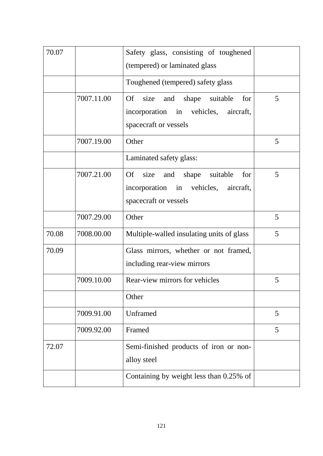| 70.07 |            | Safety glass, consisting of toughened<br>(tempered) or laminated glass                                             |   |
|-------|------------|--------------------------------------------------------------------------------------------------------------------|---|
|       |            | Toughened (tempered) safety glass                                                                                  |   |
|       | 7007.11.00 | <b>Of</b><br>size<br>shape suitable<br>and<br>for<br>incorporation in vehicles, aircraft,<br>spacecraft or vessels | 5 |
|       | 7007.19.00 | Other                                                                                                              | 5 |
|       |            | Laminated safety glass:                                                                                            |   |
|       | 7007.21.00 | and shape suitable<br><b>Of</b><br>size<br>for<br>incorporation in vehicles, aircraft,<br>spacecraft or vessels    | 5 |
|       | 7007.29.00 | Other                                                                                                              | 5 |
| 70.08 | 7008.00.00 | Multiple-walled insulating units of glass                                                                          | 5 |
| 70.09 |            | Glass mirrors, whether or not framed,<br>including rear-view mirrors                                               |   |
|       | 7009.10.00 | Rear-view mirrors for vehicles                                                                                     | 5 |
|       |            | Other                                                                                                              |   |
|       | 7009.91.00 | Unframed                                                                                                           | 5 |
|       | 7009.92.00 | Framed                                                                                                             | 5 |
| 72.07 |            | Semi-finished products of iron or non-<br>alloy steel                                                              |   |
|       |            | Containing by weight less than 0.25% of                                                                            |   |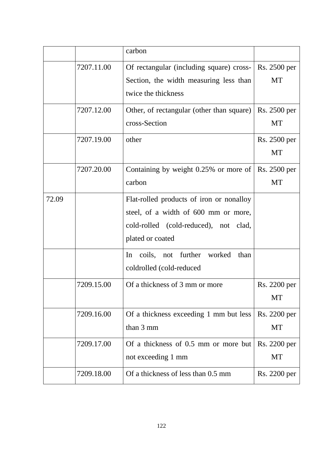|       |            | carbon                                                                                                                                        |                           |
|-------|------------|-----------------------------------------------------------------------------------------------------------------------------------------------|---------------------------|
|       | 7207.11.00 | Of rectangular (including square) cross-<br>Section, the width measuring less than<br>twice the thickness                                     | Rs. 2500 per<br><b>MT</b> |
|       | 7207.12.00 | Other, of rectangular (other than square)<br>cross-Section                                                                                    | Rs. 2500 per<br>MT        |
|       | 7207.19.00 | other                                                                                                                                         | Rs. 2500 per<br><b>MT</b> |
|       | 7207.20.00 | Containing by weight 0.25% or more of<br>carbon                                                                                               | Rs. 2500 per<br><b>MT</b> |
| 72.09 |            | Flat-rolled products of iron or nonalloy<br>steel, of a width of 600 mm or more,<br>cold-rolled (cold-reduced), not clad,<br>plated or coated |                           |
|       |            | In coils, not further<br>worked<br>than<br>coldrolled (cold-reduced                                                                           |                           |
|       | 7209.15.00 | Of a thickness of 3 mm or more                                                                                                                | Rs. 2200 per<br>MT        |
|       | 7209.16.00 | Of a thickness exceeding 1 mm but less<br>than 3 mm                                                                                           | Rs. 2200 per<br><b>MT</b> |
|       | 7209.17.00 | Of a thickness of 0.5 mm or more but<br>not exceeding 1 mm                                                                                    | Rs. 2200 per<br><b>MT</b> |
|       | 7209.18.00 | Of a thickness of less than 0.5 mm                                                                                                            | Rs. 2200 per              |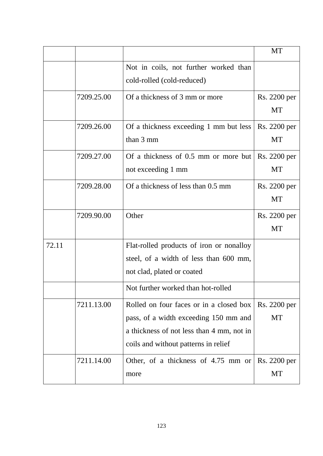|       |            |                                                                                                                                                                       | <b>MT</b>                 |
|-------|------------|-----------------------------------------------------------------------------------------------------------------------------------------------------------------------|---------------------------|
|       |            | Not in coils, not further worked than<br>cold-rolled (cold-reduced)                                                                                                   |                           |
|       | 7209.25.00 | Of a thickness of 3 mm or more                                                                                                                                        | Rs. 2200 per<br>MT        |
|       | 7209.26.00 | Of a thickness exceeding 1 mm but less<br>than 3 mm                                                                                                                   | Rs. 2200 per<br><b>MT</b> |
|       | 7209.27.00 | Of a thickness of 0.5 mm or more but<br>not exceeding 1 mm                                                                                                            | Rs. 2200 per<br><b>MT</b> |
|       | 7209.28.00 | Of a thickness of less than 0.5 mm                                                                                                                                    | Rs. 2200 per<br><b>MT</b> |
|       | 7209.90.00 | Other                                                                                                                                                                 | Rs. 2200 per<br>MT        |
| 72.11 |            | Flat-rolled products of iron or nonalloy<br>steel, of a width of less than 600 mm,<br>not clad, plated or coated                                                      |                           |
|       |            | Not further worked than hot-rolled                                                                                                                                    |                           |
|       | 7211.13.00 | Rolled on four faces or in a closed box<br>pass, of a width exceeding 150 mm and<br>a thickness of not less than 4 mm, not in<br>coils and without patterns in relief | Rs. 2200 per<br>MT        |
|       | 7211.14.00 | Other, of a thickness of $4.75$ mm or<br>more                                                                                                                         | Rs. 2200 per<br>MT        |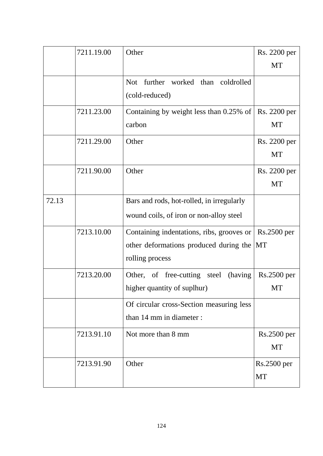| 7211.19.00 | Other                                        | Rs. 2200 per                                                                            |
|------------|----------------------------------------------|-----------------------------------------------------------------------------------------|
|            |                                              | MT                                                                                      |
|            | further worked than coldrolled<br><b>Not</b> |                                                                                         |
|            | (cold-reduced)                               |                                                                                         |
| 7211.23.00 |                                              | Rs. 2200 per                                                                            |
|            | carbon                                       | <b>MT</b>                                                                               |
| 7211.29.00 | Other                                        | Rs. 2200 per                                                                            |
|            |                                              | <b>MT</b>                                                                               |
| 7211.90.00 | Other                                        | Rs. 2200 per                                                                            |
|            |                                              | <b>MT</b>                                                                               |
|            | Bars and rods, hot-rolled, in irregularly    |                                                                                         |
|            | wound coils, of iron or non-alloy steel      |                                                                                         |
| 7213.10.00 | Containing indentations, ribs, grooves or    | Rs.2500 per                                                                             |
|            |                                              |                                                                                         |
|            | rolling process                              |                                                                                         |
| 7213.20.00 | Other, of free-cutting steel<br>(having      | $Rs.2500$ per                                                                           |
|            | higher quantity of suplhur)                  | MT                                                                                      |
|            | Of circular cross-Section measuring less     |                                                                                         |
|            | than 14 mm in diameter :                     |                                                                                         |
| 7213.91.10 | Not more than 8 mm                           | Rs.2500 per                                                                             |
|            |                                              | MT                                                                                      |
| 7213.91.90 | Other                                        | Rs.2500 per                                                                             |
|            |                                              | <b>MT</b>                                                                               |
|            |                                              | Containing by weight less than $0.25\%$ of<br>other deformations produced during the MT |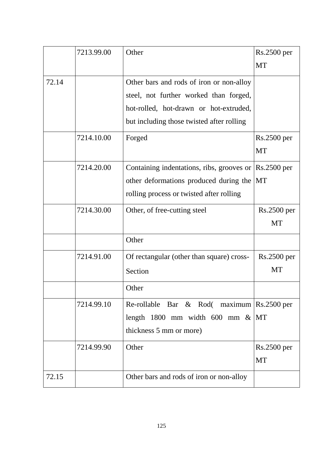|       | 7213.99.00 | Other                                                                  | Rs.2500 per   |
|-------|------------|------------------------------------------------------------------------|---------------|
|       |            |                                                                        | <b>MT</b>     |
| 72.14 |            | Other bars and rods of iron or non-alloy                               |               |
|       |            | steel, not further worked than forged,                                 |               |
|       |            | hot-rolled, hot-drawn or hot-extruded,                                 |               |
|       |            | but including those twisted after rolling                              |               |
|       | 7214.10.00 | Forged                                                                 | Rs.2500 per   |
|       |            |                                                                        | <b>MT</b>     |
|       | 7214.20.00 | Containing indentations, ribs, grooves or                              | $RS.2500$ per |
|       |            | other deformations produced during the MT                              |               |
|       |            | rolling process or twisted after rolling                               |               |
|       | 7214.30.00 | Other, of free-cutting steel                                           | Rs.2500 per   |
|       |            |                                                                        | <b>MT</b>     |
|       |            | Other                                                                  |               |
|       | 7214.91.00 | Of rectangular (other than square) cross-                              | $Rs.2500$ per |
|       |            | Section                                                                | MT            |
|       |            | Other                                                                  |               |
|       | 7214.99.10 | Re-rollable Bar & Rod( maximum $\left \text{Rs.}2500\right\rangle$ per |               |
|       |            | length 1800 mm width 600 mm $\&$ MT                                    |               |
|       |            | thickness 5 mm or more)                                                |               |
|       | 7214.99.90 | Other                                                                  | $Rs.2500$ per |
|       |            |                                                                        | <b>MT</b>     |
| 72.15 |            | Other bars and rods of iron or non-alloy                               |               |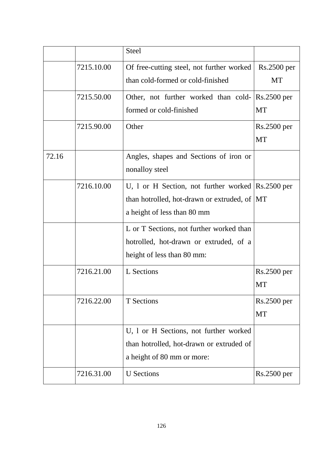|       |            | <b>Steel</b>                                                                                                                                                 |                            |
|-------|------------|--------------------------------------------------------------------------------------------------------------------------------------------------------------|----------------------------|
|       | 7215.10.00 | Of free-cutting steel, not further worked<br>than cold-formed or cold-finished                                                                               | $Rs.2500$ per<br>MT        |
|       | 7215.50.00 | Other, not further worked than cold- Rs.2500 per<br>formed or cold-finished                                                                                  | <b>MT</b>                  |
|       | 7215.90.00 | Other                                                                                                                                                        | $Rs.2500$ per<br><b>MT</b> |
| 72.16 |            | Angles, shapes and Sections of iron or<br>nonalloy steel                                                                                                     |                            |
|       | 7216.10.00 | U, 1 or H Section, not further worked $\left \text{Rs.}2500\right\rangle$ per<br>than hotrolled, hot-drawn or extruded, of MT<br>a height of less than 80 mm |                            |
|       |            | L or T Sections, not further worked than<br>hotrolled, hot-drawn or extruded, of a<br>height of less than 80 mm:                                             |                            |
|       | 7216.21.00 | L Sections                                                                                                                                                   | $Rs.2500$ per<br>MT        |
|       | 7216.22.00 | <b>T</b> Sections                                                                                                                                            | $Rs.2500$ per<br><b>MT</b> |
|       |            | U, 1 or H Sections, not further worked<br>than hotrolled, hot-drawn or extruded of<br>a height of 80 mm or more:                                             |                            |
|       | 7216.31.00 | <b>U</b> Sections                                                                                                                                            | Rs.2500 per                |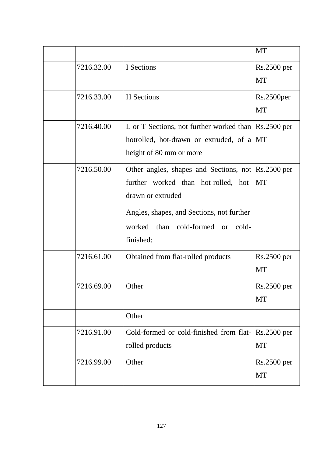|            |                                                                                  | MT                     |
|------------|----------------------------------------------------------------------------------|------------------------|
| 7216.32.00 | I Sections                                                                       | $Rs.2500$ per          |
|            |                                                                                  | MT                     |
| 7216.33.00 | H Sections                                                                       | Rs.2500 <sub>per</sub> |
|            |                                                                                  | <b>MT</b>              |
| 7216.40.00 | L or T Sections, not further worked than $\left \text{Rs.}2500\right\rangle$ per |                        |
|            | hotrolled, hot-drawn or extruded, of a MT                                        |                        |
|            | height of 80 mm or more                                                          |                        |
| 7216.50.00 | Other angles, shapes and Sections, not Rs.2500 per                               |                        |
|            | further worked than hot-rolled, hot- MT                                          |                        |
|            | drawn or extruded                                                                |                        |
|            | Angles, shapes, and Sections, not further                                        |                        |
|            | worked than cold-formed or cold-                                                 |                        |
|            | finished:                                                                        |                        |
| 7216.61.00 | Obtained from flat-rolled products                                               | Rs.2500 per            |
|            |                                                                                  | <b>MT</b>              |
| 7216.69.00 | Other                                                                            | Rs.2500 per            |
|            |                                                                                  | MT                     |
|            | Other                                                                            |                        |
| 7216.91.00 | Cold-formed or cold-finished from flat- Rs.2500 per                              |                        |
|            | rolled products                                                                  | <b>MT</b>              |
| 7216.99.00 | Other                                                                            | Rs.2500 per            |
|            |                                                                                  | MT                     |
|            |                                                                                  |                        |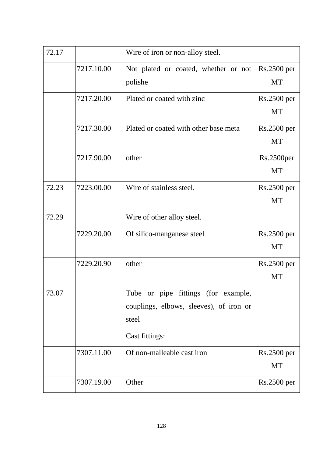| 72.17 |            | Wire of iron or non-alloy steel.                                                        |                                     |
|-------|------------|-----------------------------------------------------------------------------------------|-------------------------------------|
|       | 7217.10.00 | Not plated or coated, whether or not<br>polishe                                         | Rs.2500 per<br><b>MT</b>            |
|       | 7217.20.00 | Plated or coated with zinc                                                              | Rs.2500 per<br><b>MT</b>            |
|       | 7217.30.00 | Plated or coated with other base meta                                                   | $Rs.2500$ per<br><b>MT</b>          |
|       | 7217.90.00 | other                                                                                   | Rs.2500 <sub>per</sub><br><b>MT</b> |
| 72.23 | 7223.00.00 | Wire of stainless steel.                                                                | Rs.2500 per<br><b>MT</b>            |
| 72.29 |            | Wire of other alloy steel.                                                              |                                     |
|       | 7229.20.00 | Of silico-manganese steel                                                               | Rs.2500 per<br><b>MT</b>            |
|       | 7229.20.90 | other                                                                                   | $Rs.2500$ per<br>MT                 |
| 73.07 |            | Tube or pipe fittings (for example,<br>couplings, elbows, sleeves), of iron or<br>steel |                                     |
|       |            | Cast fittings:                                                                          |                                     |
|       | 7307.11.00 | Of non-malleable cast iron                                                              | $Rs.2500$ per<br>MT                 |
|       | 7307.19.00 | Other                                                                                   | Rs.2500 per                         |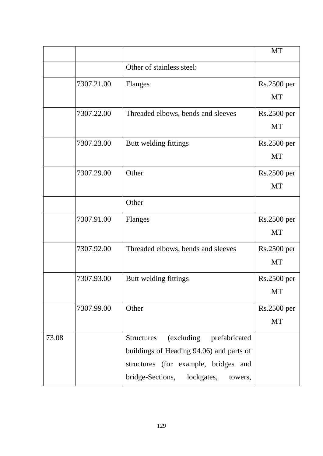|       |            |                                               | <b>MT</b>     |
|-------|------------|-----------------------------------------------|---------------|
|       |            | Other of stainless steel:                     |               |
|       | 7307.21.00 | Flanges                                       | Rs.2500 per   |
|       |            |                                               | <b>MT</b>     |
|       | 7307.22.00 | Threaded elbows, bends and sleeves            | $Rs.2500$ per |
|       |            |                                               | <b>MT</b>     |
|       | 7307.23.00 | Butt welding fittings                         | Rs.2500 per   |
|       |            |                                               | <b>MT</b>     |
|       | 7307.29.00 | Other                                         | Rs.2500 per   |
|       |            |                                               | <b>MT</b>     |
|       |            | Other                                         |               |
|       | 7307.91.00 | Flanges                                       | Rs.2500 per   |
|       |            |                                               | <b>MT</b>     |
|       | 7307.92.00 | Threaded elbows, bends and sleeves            | Rs.2500 per   |
|       |            |                                               | <b>MT</b>     |
|       | 7307.93.00 | Butt welding fittings                         | Rs.2500 per   |
|       |            |                                               | <b>MT</b>     |
|       | 7307.99.00 | Other                                         | Rs.2500 per   |
|       |            |                                               | <b>MT</b>     |
| 73.08 |            | (excluding prefabricated<br><b>Structures</b> |               |
|       |            | buildings of Heading 94.06) and parts of      |               |
|       |            | structures (for example, bridges and          |               |
|       |            | bridge-Sections, lockgates,<br>towers,        |               |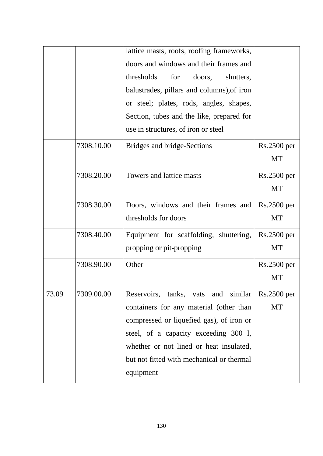|       |            | lattice masts, roofs, roofing frameworks,  |               |
|-------|------------|--------------------------------------------|---------------|
|       |            | doors and windows and their frames and     |               |
|       |            | thresholds<br>for<br>doors,<br>shutters,   |               |
|       |            | balustrades, pillars and columns), of iron |               |
|       |            | or steel; plates, rods, angles, shapes,    |               |
|       |            | Section, tubes and the like, prepared for  |               |
|       |            | use in structures, of iron or steel        |               |
|       | 7308.10.00 | Bridges and bridge-Sections                | Rs.2500 per   |
|       |            |                                            | <b>MT</b>     |
|       | 7308.20.00 | Towers and lattice masts                   | $Rs.2500$ per |
|       |            |                                            | <b>MT</b>     |
|       | 7308.30.00 | Doors, windows and their frames and        | $Rs.2500$ per |
|       |            | thresholds for doors                       | <b>MT</b>     |
|       | 7308.40.00 | Equipment for scaffolding, shuttering,     | $Rs.2500$ per |
|       |            | propping or pit-propping                   | <b>MT</b>     |
|       | 7308.90.00 | Other                                      | Rs.2500 per   |
|       |            |                                            | <b>MT</b>     |
| 73.09 | 7309.00.00 | Reservoirs, tanks, vats and similar        | $Rs.2500$ per |
|       |            | containers for any material (other than    | <b>MT</b>     |
|       |            | compressed or liquefied gas), of iron or   |               |
|       |            | steel, of a capacity exceeding 300 l,      |               |
|       |            | whether or not lined or heat insulated,    |               |
|       |            | but not fitted with mechanical or thermal  |               |
|       |            | equipment                                  |               |
|       |            |                                            |               |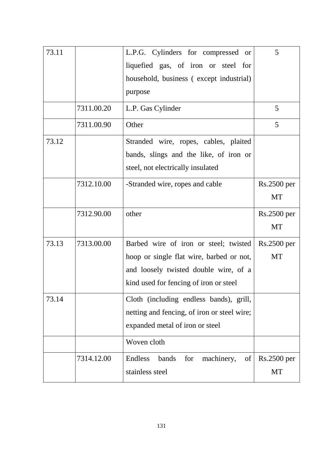| 73.11 |            | L.P.G. Cylinders for compressed or          | 5             |
|-------|------------|---------------------------------------------|---------------|
|       |            | liquefied gas, of iron or steel for         |               |
|       |            | household, business (except industrial)     |               |
|       |            | purpose                                     |               |
|       | 7311.00.20 | L.P. Gas Cylinder                           | 5             |
|       | 7311.00.90 | Other                                       | 5             |
| 73.12 |            | Stranded wire, ropes, cables, plaited       |               |
|       |            | bands, slings and the like, of iron or      |               |
|       |            | steel, not electrically insulated           |               |
|       | 7312.10.00 | -Stranded wire, ropes and cable             | Rs.2500 per   |
|       |            |                                             | <b>MT</b>     |
|       | 7312.90.00 | other                                       | Rs.2500 per   |
|       |            |                                             | <b>MT</b>     |
| 73.13 | 7313.00.00 | Barbed wire of iron or steel; twisted       | $Rs.2500$ per |
|       |            | hoop or single flat wire, barbed or not,    | <b>MT</b>     |
|       |            | and loosely twisted double wire, of a       |               |
|       |            | kind used for fencing of iron or steel      |               |
| 73.14 |            | Cloth (including endless bands), grill,     |               |
|       |            | netting and fencing, of iron or steel wire; |               |
|       |            | expanded metal of iron or steel             |               |
|       |            | Woven cloth                                 |               |
|       | 7314.12.00 | Endless<br>machinery,<br>bands<br>for<br>of | $Rs.2500$ per |
|       |            | stainless steel                             | <b>MT</b>     |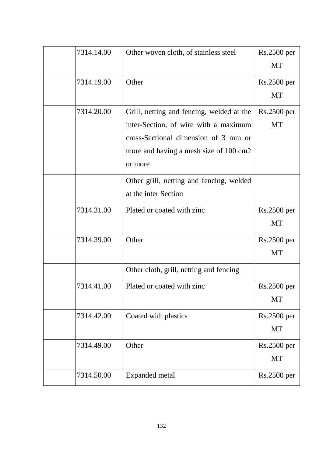| 7314.14.00 | Other woven cloth, of stainless steel     | Rs.2500 per        |
|------------|-------------------------------------------|--------------------|
|            |                                           | MT                 |
| 7314.19.00 | Other                                     | $Rs.2500$ per      |
|            |                                           | <b>MT</b>          |
| 7314.20.00 | Grill, netting and fencing, welded at the | <b>Rs.2500 per</b> |
|            | inter-Section, of wire with a maximum     | <b>MT</b>          |
|            | cross-Sectional dimension of 3 mm or      |                    |
|            | more and having a mesh size of 100 cm2    |                    |
|            | or more                                   |                    |
|            | Other grill, netting and fencing, welded  |                    |
|            | at the inter Section                      |                    |
| 7314.31.00 | Plated or coated with zinc                | Rs.2500 per        |
|            |                                           | <b>MT</b>          |
| 7314.39.00 | Other                                     | Rs.2500 per        |
|            |                                           | <b>MT</b>          |
|            | Other cloth, grill, netting and fencing   |                    |
| 7314.41.00 | Plated or coated with zinc                | Rs.2500 per        |
|            |                                           | <b>MT</b>          |
| 7314.42.00 | Coated with plastics                      | Rs.2500 per        |
|            |                                           | <b>MT</b>          |
| 7314.49.00 | Other                                     | Rs.2500 per        |
|            |                                           | <b>MT</b>          |
| 7314.50.00 | Expanded metal                            | Rs.2500 per        |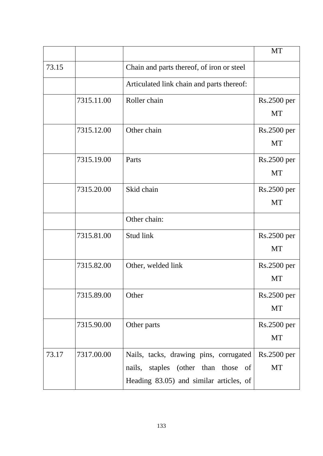|       |            |                                           | <b>MT</b>          |
|-------|------------|-------------------------------------------|--------------------|
| 73.15 |            | Chain and parts thereof, of iron or steel |                    |
|       |            | Articulated link chain and parts thereof: |                    |
|       | 7315.11.00 | Roller chain                              | Rs.2500 per        |
|       |            |                                           | <b>MT</b>          |
|       | 7315.12.00 | Other chain                               | Rs.2500 per        |
|       |            |                                           | MT                 |
|       | 7315.19.00 | Parts                                     | Rs.2500 per        |
|       |            |                                           | <b>MT</b>          |
|       | 7315.20.00 | Skid chain                                | $Rs.2500$ per      |
|       |            |                                           | <b>MT</b>          |
|       |            | Other chain:                              |                    |
|       | 7315.81.00 | Stud link                                 | $Rs.2500$ per      |
|       |            |                                           | <b>MT</b>          |
|       | 7315.82.00 | Other, welded link                        | Rs.2500 per        |
|       |            |                                           | MT                 |
|       | 7315.89.00 | Other                                     | <b>Rs.2500 per</b> |
|       |            |                                           | <b>MT</b>          |
|       | 7315.90.00 | Other parts                               | Rs.2500 per        |
|       |            |                                           | <b>MT</b>          |
| 73.17 | 7317.00.00 | Nails, tacks, drawing pins, corrugated    | <b>Rs.2500 per</b> |
|       |            | nails, staples (other than those of       | <b>MT</b>          |
|       |            | Heading 83.05) and similar articles, of   |                    |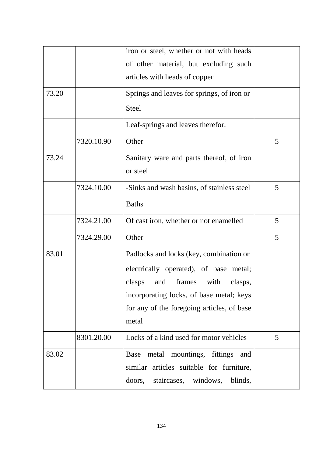|       |            | iron or steel, whether or not with heads<br>of other material, but excluding such<br>articles with heads of copper                                                                                                              |   |
|-------|------------|---------------------------------------------------------------------------------------------------------------------------------------------------------------------------------------------------------------------------------|---|
| 73.20 |            | Springs and leaves for springs, of iron or<br><b>Steel</b>                                                                                                                                                                      |   |
|       |            | Leaf-springs and leaves therefor:                                                                                                                                                                                               |   |
|       | 7320.10.90 | Other                                                                                                                                                                                                                           | 5 |
| 73.24 |            | Sanitary ware and parts thereof, of iron<br>or steel                                                                                                                                                                            |   |
|       | 7324.10.00 | -Sinks and wash basins, of stainless steel                                                                                                                                                                                      | 5 |
|       |            | <b>Baths</b>                                                                                                                                                                                                                    |   |
|       | 7324.21.00 | Of cast iron, whether or not enamelled                                                                                                                                                                                          | 5 |
|       | 7324.29.00 | Other                                                                                                                                                                                                                           | 5 |
| 83.01 |            | Padlocks and locks (key, combination or<br>electrically operated), of base metal;<br>and frames<br>clasps<br>with<br>clasps,<br>incorporating locks, of base metal; keys<br>for any of the foregoing articles, of base<br>metal |   |
|       | 8301.20.00 | Locks of a kind used for motor vehicles                                                                                                                                                                                         | 5 |
| 83.02 |            | metal mountings, fittings<br>Base<br>and<br>similar articles suitable for furniture,<br>staircases, windows,<br>doors,<br>blinds,                                                                                               |   |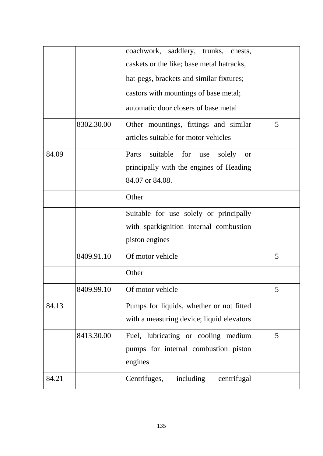|       |            | coachwork, saddlery, trunks, chests,                |   |
|-------|------------|-----------------------------------------------------|---|
|       |            | caskets or the like; base metal hatracks,           |   |
|       |            | hat-pegs, brackets and similar fixtures;            |   |
|       |            | castors with mountings of base metal;               |   |
|       |            | automatic door closers of base metal                |   |
|       | 8302.30.00 | Other mountings, fittings and similar               | 5 |
|       |            | articles suitable for motor vehicles                |   |
| 84.09 |            | Parts<br>suitable for<br>solely<br>use<br><b>or</b> |   |
|       |            | principally with the engines of Heading             |   |
|       |            | 84.07 or 84.08.                                     |   |
|       |            | Other                                               |   |
|       |            | Suitable for use solely or principally              |   |
|       |            | with sparkignition internal combustion              |   |
|       |            | piston engines                                      |   |
|       | 8409.91.10 | Of motor vehicle                                    | 5 |
|       |            | Other                                               |   |
|       | 8409.99.10 | Of motor vehicle                                    | 5 |
| 84.13 |            | Pumps for liquids, whether or not fitted            |   |
|       |            | with a measuring device; liquid elevators           |   |
|       | 8413.30.00 | Fuel, lubricating or cooling medium                 | 5 |
|       |            | pumps for internal combustion piston                |   |
|       |            | engines                                             |   |
| 84.21 |            | Centrifuges,<br>including<br>centrifugal            |   |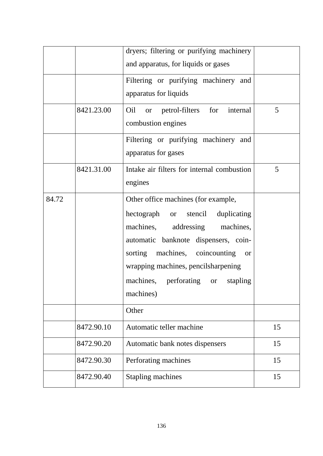|       |            | dryers; filtering or purifying machinery<br>and apparatus, for liquids or gases                                                                                                                                                                                                                  |    |
|-------|------------|--------------------------------------------------------------------------------------------------------------------------------------------------------------------------------------------------------------------------------------------------------------------------------------------------|----|
|       |            | Filtering or purifying machinery and<br>apparatus for liquids                                                                                                                                                                                                                                    |    |
|       | 8421.23.00 | Oil or petrol-filters for<br>internal<br>combustion engines                                                                                                                                                                                                                                      | 5  |
|       |            | Filtering or purifying machinery and<br>apparatus for gases                                                                                                                                                                                                                                      |    |
|       | 8421.31.00 | Intake air filters for internal combustion<br>engines                                                                                                                                                                                                                                            | 5  |
| 84.72 |            | Other office machines (for example,<br>hectograph or stencil<br>duplicating<br>machines, addressing machines,<br>automatic banknote dispensers, coin-<br>sorting machines, coincounting<br><b>or</b><br>wrapping machines, pencilsharpening<br>machines, perforating or<br>stapling<br>machines) |    |
|       |            | Other                                                                                                                                                                                                                                                                                            |    |
|       | 8472.90.10 | Automatic teller machine                                                                                                                                                                                                                                                                         | 15 |
|       | 8472.90.20 | Automatic bank notes dispensers                                                                                                                                                                                                                                                                  | 15 |
|       | 8472.90.30 | Perforating machines                                                                                                                                                                                                                                                                             | 15 |
|       | 8472.90.40 | <b>Stapling machines</b>                                                                                                                                                                                                                                                                         | 15 |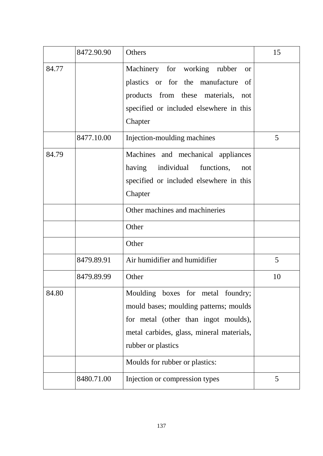|       | 8472.90.90 | Others                                                                                                                                                                                                                   | 15 |
|-------|------------|--------------------------------------------------------------------------------------------------------------------------------------------------------------------------------------------------------------------------|----|
| 84.77 |            | Machinery for working rubber<br><b>or</b><br>plastics or for the manufacture<br>of<br>products from these materials, not<br>specified or included elsewhere in this<br>Chapter                                           |    |
|       | 8477.10.00 | Injection-moulding machines                                                                                                                                                                                              | 5  |
| 84.79 |            | Machines and mechanical appliances<br>having individual functions,<br>not<br>specified or included elsewhere in this<br>Chapter                                                                                          |    |
|       |            | Other machines and machineries                                                                                                                                                                                           |    |
|       |            | Other                                                                                                                                                                                                                    |    |
|       |            | Other                                                                                                                                                                                                                    |    |
|       | 8479.89.91 | Air humidifier and humidifier                                                                                                                                                                                            | 5  |
|       | 8479.89.99 | Other                                                                                                                                                                                                                    | 10 |
| 84.80 |            | Moulding boxes for metal foundry;<br>mould bases; moulding patterns; moulds<br>for metal (other than ingot moulds),<br>metal carbides, glass, mineral materials,<br>rubber or plastics<br>Moulds for rubber or plastics: |    |
|       | 8480.71.00 | Injection or compression types                                                                                                                                                                                           | 5  |
|       |            |                                                                                                                                                                                                                          |    |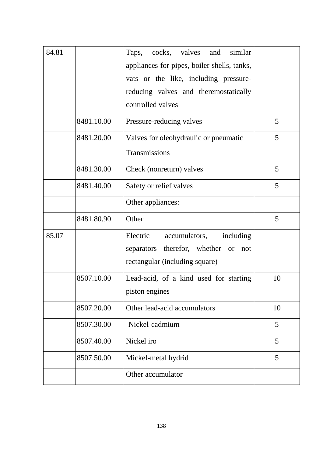| 84.81 |            | similar<br>cocks, valves and<br>Taps,<br>appliances for pipes, boiler shells, tanks,<br>vats or the like, including pressure-<br>reducing valves and theremostatically<br>controlled valves |    |
|-------|------------|---------------------------------------------------------------------------------------------------------------------------------------------------------------------------------------------|----|
|       | 8481.10.00 | Pressure-reducing valves                                                                                                                                                                    | 5  |
|       | 8481.20.00 | Valves for oleohydraulic or pneumatic<br>Transmissions                                                                                                                                      | 5  |
|       | 8481.30.00 | Check (nonreturn) valves                                                                                                                                                                    | 5  |
|       | 8481.40.00 | Safety or relief valves                                                                                                                                                                     | 5  |
|       |            | Other appliances:                                                                                                                                                                           |    |
|       | 8481.80.90 | Other                                                                                                                                                                                       | 5  |
| 85.07 |            | Electric<br>accumulators,<br>including<br>therefor, whether or<br>separators<br>not<br>rectangular (including square)                                                                       |    |
|       | 8507.10.00 | Lead-acid, of a kind used for starting<br>piston engines                                                                                                                                    | 10 |
|       | 8507.20.00 | Other lead-acid accumulators                                                                                                                                                                | 10 |
|       | 8507.30.00 | -Nickel-cadmium                                                                                                                                                                             | 5  |
|       | 8507.40.00 | Nickel iro                                                                                                                                                                                  | 5  |
|       | 8507.50.00 | Mickel-metal hydrid                                                                                                                                                                         | 5  |
|       |            | Other accumulator                                                                                                                                                                           |    |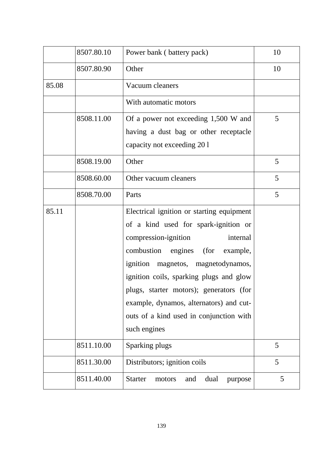|       | 8507.80.10 | Power bank (battery pack)                                                                                                                                                                                                                                                                                                                                                                         | 10 |
|-------|------------|---------------------------------------------------------------------------------------------------------------------------------------------------------------------------------------------------------------------------------------------------------------------------------------------------------------------------------------------------------------------------------------------------|----|
|       | 8507.80.90 | Other                                                                                                                                                                                                                                                                                                                                                                                             | 10 |
| 85.08 |            | Vacuum cleaners                                                                                                                                                                                                                                                                                                                                                                                   |    |
|       |            | With automatic motors                                                                                                                                                                                                                                                                                                                                                                             |    |
|       | 8508.11.00 | Of a power not exceeding 1,500 W and                                                                                                                                                                                                                                                                                                                                                              | 5  |
|       |            | having a dust bag or other receptacle                                                                                                                                                                                                                                                                                                                                                             |    |
|       |            | capacity not exceeding 201                                                                                                                                                                                                                                                                                                                                                                        |    |
|       | 8508.19.00 | Other                                                                                                                                                                                                                                                                                                                                                                                             | 5  |
|       | 8508.60.00 | Other vacuum cleaners                                                                                                                                                                                                                                                                                                                                                                             | 5  |
|       | 8508.70.00 | Parts                                                                                                                                                                                                                                                                                                                                                                                             | 5  |
| 85.11 |            | Electrical ignition or starting equipment<br>of a kind used for spark-ignition or<br>compression-ignition<br>internal<br>combustion engines<br>(for<br>example,<br>ignition magnetos, magnetodynamos,<br>ignition coils, sparking plugs and glow<br>plugs, starter motors); generators (for<br>example, dynamos, alternators) and cut-<br>outs of a kind used in conjunction with<br>such engines |    |
|       | 8511.10.00 | Sparking plugs                                                                                                                                                                                                                                                                                                                                                                                    | 5  |
|       | 8511.30.00 | Distributors; ignition coils                                                                                                                                                                                                                                                                                                                                                                      | 5  |
|       | 8511.40.00 | <b>Starter</b><br>dual<br>motors<br>and<br>purpose                                                                                                                                                                                                                                                                                                                                                | 5  |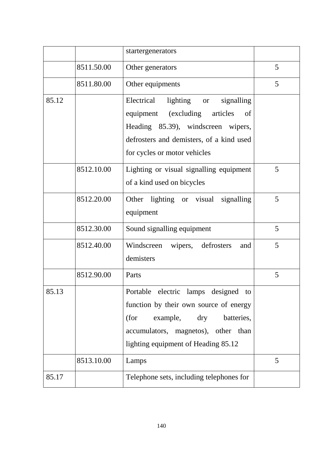|       |            | startergenerators                                                                                                                                                                                       |   |
|-------|------------|---------------------------------------------------------------------------------------------------------------------------------------------------------------------------------------------------------|---|
|       | 8511.50.00 | Other generators                                                                                                                                                                                        | 5 |
|       | 8511.80.00 | Other equipments                                                                                                                                                                                        | 5 |
| 85.12 |            | lighting or<br>signalling<br>Electrical<br>equipment (excluding<br>articles<br>of<br>Heading 85.39), windscreen wipers,<br>defrosters and demisters, of a kind used<br>for cycles or motor vehicles     |   |
|       | 8512.10.00 | Lighting or visual signalling equipment<br>of a kind used on bicycles                                                                                                                                   | 5 |
|       | 8512.20.00 | Other lighting or visual signalling<br>equipment                                                                                                                                                        | 5 |
|       | 8512.30.00 | Sound signalling equipment                                                                                                                                                                              | 5 |
|       | 8512.40.00 | Windscreen wipers, defrosters<br>and<br>demisters                                                                                                                                                       | 5 |
|       | 8512.90.00 | Parts                                                                                                                                                                                                   | 5 |
| 85.13 |            | Portable electric lamps designed<br>to<br>function by their own source of energy<br>(for<br>example,<br>dry<br>batteries,<br>accumulators, magnetos), other than<br>lighting equipment of Heading 85.12 |   |
|       | 8513.10.00 | Lamps                                                                                                                                                                                                   | 5 |
| 85.17 |            | Telephone sets, including telephones for                                                                                                                                                                |   |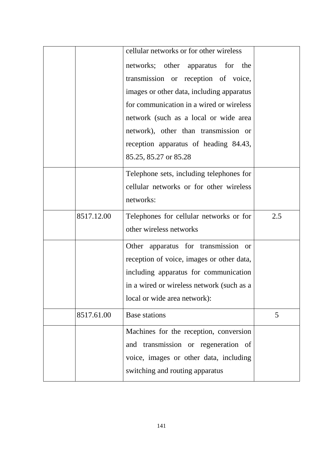|            | cellular networks or for other wireless   |     |
|------------|-------------------------------------------|-----|
|            | networks; other apparatus for the         |     |
|            | transmission or reception of voice,       |     |
|            | images or other data, including apparatus |     |
|            | for communication in a wired or wireless  |     |
|            | network (such as a local or wide area     |     |
|            | network), other than transmission or      |     |
|            | reception apparatus of heading 84.43,     |     |
|            | 85.25, 85.27 or 85.28                     |     |
|            | Telephone sets, including telephones for  |     |
|            | cellular networks or for other wireless   |     |
|            | networks:                                 |     |
| 8517.12.00 | Telephones for cellular networks or for   | 2.5 |
|            | other wireless networks                   |     |
|            | Other apparatus for transmission or       |     |
|            | reception of voice, images or other data, |     |
|            | including apparatus for communication     |     |
|            | in a wired or wireless network (such as a |     |
|            | local or wide area network):              |     |
| 8517.61.00 | <b>Base stations</b>                      | 5   |
|            | Machines for the reception, conversion    |     |
|            | and transmission or regeneration of       |     |
|            | voice, images or other data, including    |     |
|            | switching and routing apparatus           |     |
|            |                                           |     |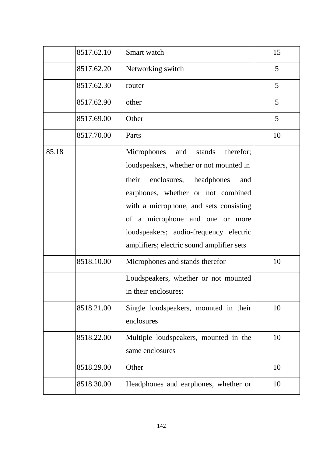|       | 8517.62.10 | Smart watch                                                                                                                                                                                                                                                                                                                           | 15 |
|-------|------------|---------------------------------------------------------------------------------------------------------------------------------------------------------------------------------------------------------------------------------------------------------------------------------------------------------------------------------------|----|
|       | 8517.62.20 | Networking switch                                                                                                                                                                                                                                                                                                                     | 5  |
|       | 8517.62.30 | router                                                                                                                                                                                                                                                                                                                                | 5  |
|       | 8517.62.90 | other                                                                                                                                                                                                                                                                                                                                 | 5  |
|       | 8517.69.00 | Other                                                                                                                                                                                                                                                                                                                                 | 5  |
|       | 8517.70.00 | Parts                                                                                                                                                                                                                                                                                                                                 | 10 |
| 85.18 |            | Microphones<br>therefor;<br>and<br>stands<br>loudspeakers, whether or not mounted in<br>their enclosures; headphones<br>and<br>earphones, whether or not combined<br>with a microphone, and sets consisting<br>of a microphone and one or more<br>loudspeakers; audio-frequency electric<br>amplifiers; electric sound amplifier sets |    |
|       | 8518.10.00 | Microphones and stands therefor                                                                                                                                                                                                                                                                                                       | 10 |
|       |            | Loudspeakers, whether or not mounted<br>in their enclosures:                                                                                                                                                                                                                                                                          |    |
|       | 8518.21.00 | Single loudspeakers, mounted in their<br>enclosures                                                                                                                                                                                                                                                                                   | 10 |
|       | 8518.22.00 | Multiple loudspeakers, mounted in the<br>same enclosures                                                                                                                                                                                                                                                                              | 10 |
|       | 8518.29.00 | Other                                                                                                                                                                                                                                                                                                                                 | 10 |
|       | 8518.30.00 | Headphones and earphones, whether or                                                                                                                                                                                                                                                                                                  | 10 |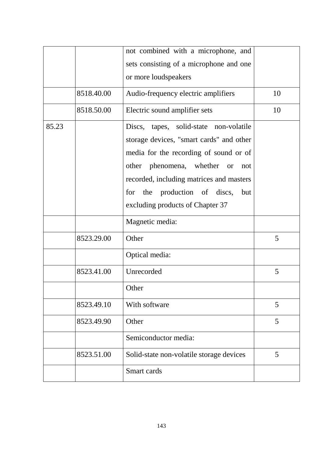|       |            | not combined with a microphone, and                                                                                                                                                                                                                                   |    |
|-------|------------|-----------------------------------------------------------------------------------------------------------------------------------------------------------------------------------------------------------------------------------------------------------------------|----|
|       |            | sets consisting of a microphone and one                                                                                                                                                                                                                               |    |
|       |            | or more loudspeakers                                                                                                                                                                                                                                                  |    |
|       | 8518.40.00 | Audio-frequency electric amplifiers                                                                                                                                                                                                                                   | 10 |
|       | 8518.50.00 | Electric sound amplifier sets                                                                                                                                                                                                                                         | 10 |
| 85.23 |            | tapes, solid-state non-volatile<br>Discs,<br>storage devices, "smart cards" and other<br>media for the recording of sound or of<br>other phenomena, whether<br><b>or</b><br>not<br>recorded, including matrices and masters<br>the production of discs,<br>for<br>but |    |
|       |            | excluding products of Chapter 37                                                                                                                                                                                                                                      |    |
|       |            | Magnetic media:                                                                                                                                                                                                                                                       |    |
|       | 8523.29.00 | Other                                                                                                                                                                                                                                                                 | 5  |
|       |            | Optical media:                                                                                                                                                                                                                                                        |    |
|       | 8523.41.00 | Unrecorded                                                                                                                                                                                                                                                            | 5  |
|       |            | Other                                                                                                                                                                                                                                                                 |    |
|       | 8523.49.10 | With software                                                                                                                                                                                                                                                         | 5  |
|       | 8523.49.90 | Other                                                                                                                                                                                                                                                                 | 5  |
|       |            | Semiconductor media:                                                                                                                                                                                                                                                  |    |
|       | 8523.51.00 | Solid-state non-volatile storage devices                                                                                                                                                                                                                              | 5  |
|       |            | Smart cards                                                                                                                                                                                                                                                           |    |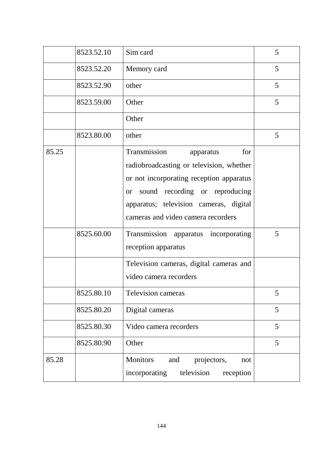|       | 8523.52.10 | Sim card                                                                                                                                                                                                                                                | 5 |
|-------|------------|---------------------------------------------------------------------------------------------------------------------------------------------------------------------------------------------------------------------------------------------------------|---|
|       | 8523.52.20 | Memory card                                                                                                                                                                                                                                             | 5 |
|       | 8523.52.90 | other                                                                                                                                                                                                                                                   | 5 |
|       | 8523.59.00 | Other                                                                                                                                                                                                                                                   | 5 |
|       |            | Other                                                                                                                                                                                                                                                   |   |
|       | 8523.80.00 | other                                                                                                                                                                                                                                                   | 5 |
| 85.25 |            | Transmission<br>for<br>apparatus<br>radiobroadcasting or television, whether<br>or not incorporating reception apparatus<br>sound recording or reproducing<br><b>or</b><br>apparatus; television cameras, digital<br>cameras and video camera recorders |   |
|       | 8525.60.00 | Transmission apparatus incorporating<br>reception apparatus                                                                                                                                                                                             | 5 |
|       |            | Television cameras, digital cameras and<br>video camera recorders                                                                                                                                                                                       |   |
|       | 8525.80.10 | Television cameras                                                                                                                                                                                                                                      | 5 |
|       | 8525.80.20 | Digital cameras                                                                                                                                                                                                                                         | 5 |
|       | 8525.80.30 | Video camera recorders                                                                                                                                                                                                                                  | 5 |
|       | 8525.80.90 | Other                                                                                                                                                                                                                                                   | 5 |
| 85.28 |            | <b>Monitors</b><br>projectors,<br>and<br>not<br>incorporating<br>television<br>reception                                                                                                                                                                |   |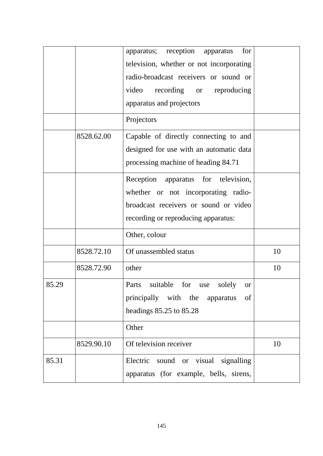|       |            | reception<br>for<br>apparatus;<br>apparatus            |    |
|-------|------------|--------------------------------------------------------|----|
|       |            | television, whether or not incorporating               |    |
|       |            | radio-broadcast receivers or sound or                  |    |
|       |            | video<br>recording or reproducing                      |    |
|       |            | apparatus and projectors                               |    |
|       |            | Projectors                                             |    |
|       | 8528.62.00 | Capable of directly connecting to and                  |    |
|       |            | designed for use with an automatic data                |    |
|       |            | processing machine of heading 84.71                    |    |
|       |            | Reception<br>apparatus for television,                 |    |
|       |            | whether or not incorporating radio-                    |    |
|       |            | broadcast receivers or sound or video                  |    |
|       |            | recording or reproducing apparatus:                    |    |
|       |            | Other, colour                                          |    |
|       | 8528.72.10 | Of unassembled status                                  | 10 |
|       | 8528.72.90 | other                                                  | 10 |
| 85.29 |            | Parts<br>for<br>suitable<br>solely<br>use<br><b>or</b> |    |
|       |            | principally with the apparatus<br>of                   |    |
|       |            | headings 85.25 to 85.28                                |    |
|       |            | Other                                                  |    |
|       | 8529.90.10 | Of television receiver                                 | 10 |
| 85.31 |            | Electric sound or visual signalling                    |    |
|       |            | apparatus (for example, bells, sirens,                 |    |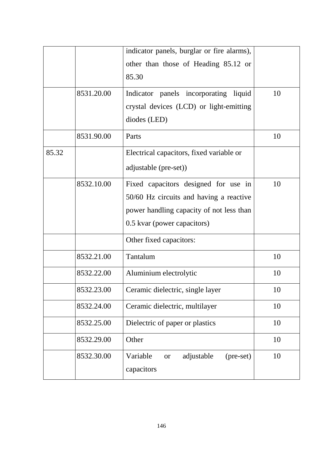|       |            | indicator panels, burglar or fire alarms),                     |    |
|-------|------------|----------------------------------------------------------------|----|
|       |            | other than those of Heading 85.12 or                           |    |
|       |            | 85.30                                                          |    |
|       |            |                                                                |    |
|       | 8531.20.00 | Indicator panels incorporating liquid                          | 10 |
|       |            | crystal devices (LCD) or light-emitting                        |    |
|       |            | diodes (LED)                                                   |    |
|       | 8531.90.00 | Parts                                                          | 10 |
| 85.32 |            | Electrical capacitors, fixed variable or                       |    |
|       |            | adjustable (pre-set))                                          |    |
|       | 8532.10.00 | Fixed capacitors designed for use in                           | 10 |
|       |            | 50/60 Hz circuits and having a reactive                        |    |
|       |            | power handling capacity of not less than                       |    |
|       |            | 0.5 kvar (power capacitors)                                    |    |
|       |            | Other fixed capacitors:                                        |    |
|       | 8532.21.00 | Tantalum                                                       | 10 |
|       | 8532.22.00 | Aluminium electrolytic                                         | 10 |
|       | 8532.23.00 | Ceramic dielectric, single layer                               | 10 |
|       | 8532.24.00 | Ceramic dielectric, multilayer                                 | 10 |
|       | 8532.25.00 | Dielectric of paper or plastics                                | 10 |
|       | 8532.29.00 | Other                                                          | 10 |
|       | 8532.30.00 | adjustable<br>Variable<br>(pre-set)<br><b>or</b><br>capacitors | 10 |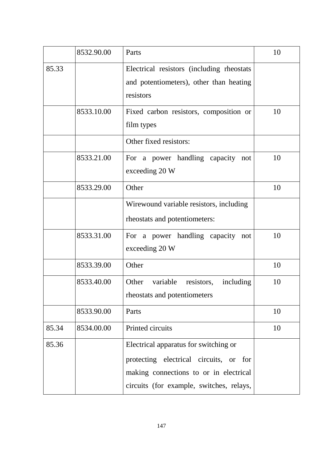|       | 8532.90.00 | Parts                                                                                                                                                                 | 10 |
|-------|------------|-----------------------------------------------------------------------------------------------------------------------------------------------------------------------|----|
| 85.33 |            | Electrical resistors (including rheostats<br>and potentiometers), other than heating<br>resistors                                                                     |    |
|       | 8533.10.00 | Fixed carbon resistors, composition or<br>film types                                                                                                                  | 10 |
|       |            | Other fixed resistors:                                                                                                                                                |    |
|       | 8533.21.00 | For a power handling capacity<br>not<br>exceeding 20 W                                                                                                                | 10 |
|       | 8533.29.00 | Other                                                                                                                                                                 | 10 |
|       |            | Wirewound variable resistors, including<br>rheostats and potentiometers:                                                                                              |    |
|       | 8533.31.00 | For a power handling capacity not<br>exceeding 20 W                                                                                                                   | 10 |
|       | 8533.39.00 | Other                                                                                                                                                                 | 10 |
|       | 8533.40.00 | Other<br>variable<br>including<br>resistors,<br>rheostats and potentiometers                                                                                          | 10 |
|       | 8533.90.00 | Parts                                                                                                                                                                 | 10 |
| 85.34 | 8534.00.00 | Printed circuits                                                                                                                                                      | 10 |
| 85.36 |            | Electrical apparatus for switching or<br>protecting electrical circuits, or for<br>making connections to or in electrical<br>circuits (for example, switches, relays, |    |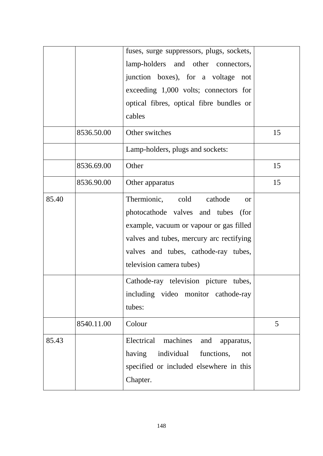|       |            | fuses, surge suppressors, plugs, sockets,<br>lamp-holders and other connectors,<br>junction boxes), for a voltage not<br>exceeding 1,000 volts; connectors for<br>optical fibres, optical fibre bundles or<br>cables                          |    |
|-------|------------|-----------------------------------------------------------------------------------------------------------------------------------------------------------------------------------------------------------------------------------------------|----|
|       | 8536.50.00 | Other switches<br>Lamp-holders, plugs and sockets:                                                                                                                                                                                            | 15 |
|       |            |                                                                                                                                                                                                                                               |    |
|       | 8536.69.00 | Other                                                                                                                                                                                                                                         | 15 |
|       | 8536.90.00 | Other apparatus                                                                                                                                                                                                                               | 15 |
| 85.40 |            | Thermionic, cold cathode<br><sub>or</sub><br>photocathode valves and tubes<br>(for<br>example, vacuum or vapour or gas filled<br>valves and tubes, mercury arc rectifying<br>valves and tubes, cathode-ray tubes,<br>television camera tubes) |    |
|       |            | Cathode-ray television picture tubes,<br>including video monitor cathode-ray<br>tubes:                                                                                                                                                        |    |
|       | 8540.11.00 | Colour                                                                                                                                                                                                                                        | 5  |
| 85.43 |            | Electrical<br>machines<br>and<br>apparatus,<br>having<br>individual functions,<br>not<br>specified or included elsewhere in this<br>Chapter.                                                                                                  |    |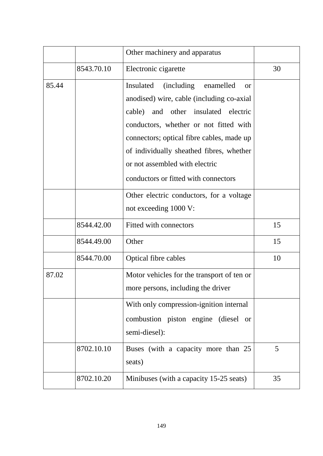|       |            | Other machinery and apparatus                                                                                                                                                                                                                                                                                                                       |    |
|-------|------------|-----------------------------------------------------------------------------------------------------------------------------------------------------------------------------------------------------------------------------------------------------------------------------------------------------------------------------------------------------|----|
|       | 8543.70.10 | Electronic cigarette                                                                                                                                                                                                                                                                                                                                | 30 |
| 85.44 |            | <i>(including)</i><br>Insulated<br>enamelled<br>or<br>anodised) wire, cable (including co-axial<br>cable) and other insulated electric<br>conductors, whether or not fitted with<br>connectors; optical fibre cables, made up<br>of individually sheathed fibres, whether<br>or not assembled with electric<br>conductors or fitted with connectors |    |
|       |            | Other electric conductors, for a voltage<br>not exceeding 1000 V:                                                                                                                                                                                                                                                                                   |    |
|       | 8544.42.00 | Fitted with connectors                                                                                                                                                                                                                                                                                                                              | 15 |
|       | 8544.49.00 | Other                                                                                                                                                                                                                                                                                                                                               | 15 |
|       | 8544.70.00 | Optical fibre cables                                                                                                                                                                                                                                                                                                                                | 10 |
| 87.02 |            | Motor vehicles for the transport of ten or<br>more persons, including the driver                                                                                                                                                                                                                                                                    |    |
|       |            | With only compression-ignition internal<br>combustion piston engine (diesel or<br>semi-diesel):                                                                                                                                                                                                                                                     |    |
|       | 8702.10.10 | Buses (with a capacity more than 25<br>seats)                                                                                                                                                                                                                                                                                                       | 5  |
|       | 8702.10.20 | Minibuses (with a capacity 15-25 seats)                                                                                                                                                                                                                                                                                                             | 35 |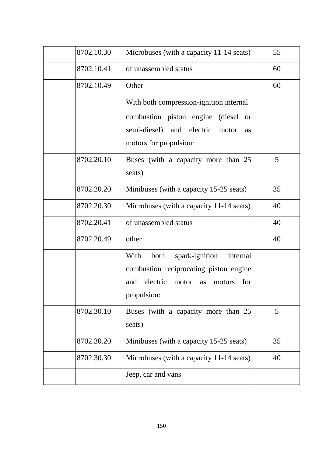| 8702.10.30 | Microbuses (with a capacity 11-14 seats)                                                                                                               | 55 |
|------------|--------------------------------------------------------------------------------------------------------------------------------------------------------|----|
| 8702.10.41 | of unassembled status                                                                                                                                  | 60 |
| 8702.10.49 | Other                                                                                                                                                  | 60 |
|            | With both compression-ignition internal<br>combustion piston engine (diesel or                                                                         |    |
|            | semi-diesel) and electric<br>motor<br>as<br>motors for propulsion:                                                                                     |    |
| 8702.20.10 | Buses (with a capacity more than 25<br>seats)                                                                                                          | 5  |
| 8702.20.20 | Minibuses (with a capacity 15-25 seats)                                                                                                                | 35 |
| 8702.20.30 | Microbuses (with a capacity 11-14 seats)                                                                                                               | 40 |
| 8702.20.41 | of unassembled status                                                                                                                                  | 40 |
| 8702.20.49 | other                                                                                                                                                  | 40 |
|            | With<br>both<br>spark-ignition<br>internal<br>combustion reciprocating piston engine<br>electric<br>and<br>motor<br>for<br>motors<br>as<br>propulsion: |    |
| 8702.30.10 | Buses (with a capacity more than 25<br>seats)                                                                                                          | 5  |
| 8702.30.20 | Minibuses (with a capacity 15-25 seats)                                                                                                                | 35 |
| 8702.30.30 | Microbuses (with a capacity 11-14 seats)                                                                                                               | 40 |
|            | Jeep, car and vans                                                                                                                                     |    |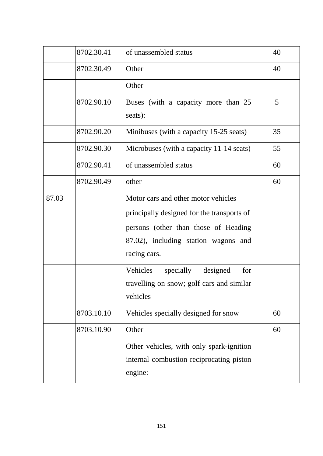|       | 8702.30.41 | of unassembled status                                                                                                                                                             | 40 |
|-------|------------|-----------------------------------------------------------------------------------------------------------------------------------------------------------------------------------|----|
|       | 8702.30.49 | Other                                                                                                                                                                             | 40 |
|       |            | Other                                                                                                                                                                             |    |
|       | 8702.90.10 | Buses (with a capacity more than 25<br>seats):                                                                                                                                    | 5  |
|       | 8702.90.20 | Minibuses (with a capacity 15-25 seats)                                                                                                                                           | 35 |
|       | 8702.90.30 | Microbuses (with a capacity 11-14 seats)                                                                                                                                          | 55 |
|       | 8702.90.41 | of unassembled status                                                                                                                                                             | 60 |
|       | 8702.90.49 | other                                                                                                                                                                             | 60 |
| 87.03 |            | Motor cars and other motor vehicles<br>principally designed for the transports of<br>persons (other than those of Heading<br>87.02), including station wagons and<br>racing cars. |    |
|       |            | designed<br>Vehicles<br>specially<br>for<br>travelling on snow; golf cars and similar<br>vehicles                                                                                 |    |
|       | 8703.10.10 | Vehicles specially designed for snow                                                                                                                                              | 60 |
|       | 8703.10.90 | Other                                                                                                                                                                             | 60 |
|       |            | Other vehicles, with only spark-ignition<br>internal combustion reciprocating piston<br>engine:                                                                                   |    |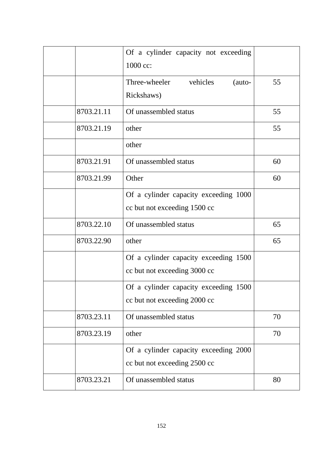|            | Of a cylinder capacity not exceeding<br>1000 cc:                      |    |
|------------|-----------------------------------------------------------------------|----|
|            | vehicles<br>Three-wheeler<br>(auto-<br>Rickshaws)                     | 55 |
| 8703.21.11 | Of unassembled status                                                 | 55 |
| 8703.21.19 | other                                                                 | 55 |
|            | other                                                                 |    |
| 8703.21.91 | Of unassembled status                                                 | 60 |
| 8703.21.99 | Other                                                                 | 60 |
|            | Of a cylinder capacity exceeding 1000<br>cc but not exceeding 1500 cc |    |
| 8703.22.10 | Of unassembled status                                                 | 65 |
| 8703.22.90 | other                                                                 | 65 |
|            | Of a cylinder capacity exceeding 1500<br>cc but not exceeding 3000 cc |    |
|            | Of a cylinder capacity exceeding 1500<br>cc but not exceeding 2000 cc |    |
| 8703.23.11 | Of unassembled status                                                 | 70 |
| 8703.23.19 | other                                                                 | 70 |
|            | Of a cylinder capacity exceeding 2000<br>cc but not exceeding 2500 cc |    |
| 8703.23.21 | Of unassembled status                                                 | 80 |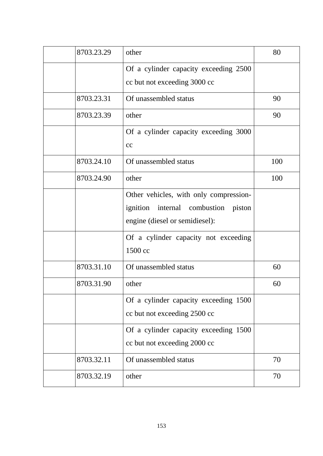| 8703.23.29 | other                                     | 80  |
|------------|-------------------------------------------|-----|
|            | Of a cylinder capacity exceeding 2500     |     |
|            | cc but not exceeding 3000 cc              |     |
| 8703.23.31 | Of unassembled status                     | 90  |
| 8703.23.39 | other                                     | 90  |
|            | Of a cylinder capacity exceeding 3000     |     |
|            | cc                                        |     |
| 8703.24.10 | Of unassembled status                     | 100 |
| 8703.24.90 | other                                     | 100 |
|            | Other vehicles, with only compression-    |     |
|            | ignition<br>internal combustion<br>piston |     |
|            | engine (diesel or semidiesel):            |     |
|            | Of a cylinder capacity not exceeding      |     |
|            | 1500 cc                                   |     |
| 8703.31.10 | Of unassembled status                     | 60  |
| 8703.31.90 | other                                     | 60  |
|            | Of a cylinder capacity exceeding 1500     |     |
|            | cc but not exceeding 2500 cc              |     |
|            | Of a cylinder capacity exceeding 1500     |     |
|            | cc but not exceeding 2000 cc              |     |
| 8703.32.11 | Of unassembled status                     | 70  |
| 8703.32.19 | other                                     | 70  |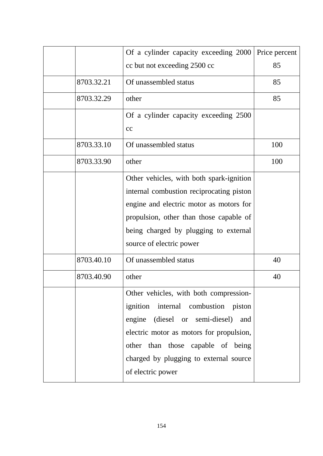|            | Of a cylinder capacity exceeding 2000                                                                                                                                                                                                                                     | Price percent |
|------------|---------------------------------------------------------------------------------------------------------------------------------------------------------------------------------------------------------------------------------------------------------------------------|---------------|
|            | cc but not exceeding 2500 cc                                                                                                                                                                                                                                              | 85            |
| 8703.32.21 | Of unassembled status                                                                                                                                                                                                                                                     | 85            |
| 8703.32.29 | other                                                                                                                                                                                                                                                                     | 85            |
|            | Of a cylinder capacity exceeding 2500<br>cc                                                                                                                                                                                                                               |               |
| 8703.33.10 | Of unassembled status                                                                                                                                                                                                                                                     | 100           |
| 8703.33.90 | other                                                                                                                                                                                                                                                                     | 100           |
|            | Other vehicles, with both spark-ignition<br>internal combustion reciprocating piston<br>engine and electric motor as motors for<br>propulsion, other than those capable of<br>being charged by plugging to external<br>source of electric power                           |               |
| 8703.40.10 | Of unassembled status                                                                                                                                                                                                                                                     | 40            |
| 8703.40.90 | other                                                                                                                                                                                                                                                                     | 40            |
|            | Other vehicles, with both compression-<br>ignition internal combustion<br>piston<br>engine (diesel or semi-diesel)<br>and<br>electric motor as motors for propulsion,<br>other than those capable of being<br>charged by plugging to external source<br>of electric power |               |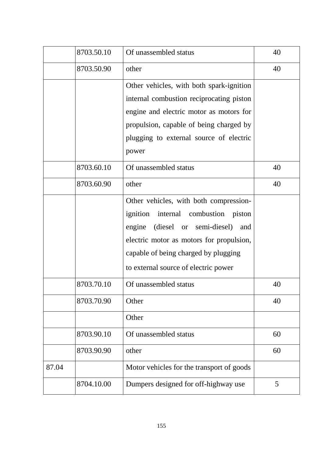|       | 8703.50.10 | Of unassembled status                                                                                                                                                                                                                                    | 40 |
|-------|------------|----------------------------------------------------------------------------------------------------------------------------------------------------------------------------------------------------------------------------------------------------------|----|
|       | 8703.50.90 | other                                                                                                                                                                                                                                                    | 40 |
|       |            | Other vehicles, with both spark-ignition<br>internal combustion reciprocating piston<br>engine and electric motor as motors for<br>propulsion, capable of being charged by<br>plugging to external source of electric<br>power                           |    |
|       | 8703.60.10 | Of unassembled status                                                                                                                                                                                                                                    | 40 |
|       | 8703.60.90 | other                                                                                                                                                                                                                                                    | 40 |
|       |            | Other vehicles, with both compression-<br>ignition internal combustion<br>piston<br>(diesel or semi-diesel)<br>engine<br>and<br>electric motor as motors for propulsion,<br>capable of being charged by plugging<br>to external source of electric power |    |
|       | 8703.70.10 | Of unassembled status                                                                                                                                                                                                                                    | 40 |
|       | 8703.70.90 | Other<br>Other                                                                                                                                                                                                                                           | 40 |
|       | 8703.90.10 | Of unassembled status                                                                                                                                                                                                                                    | 60 |
|       | 8703.90.90 | other                                                                                                                                                                                                                                                    | 60 |
| 87.04 |            | Motor vehicles for the transport of goods                                                                                                                                                                                                                |    |
|       | 8704.10.00 | Dumpers designed for off-highway use                                                                                                                                                                                                                     | 5  |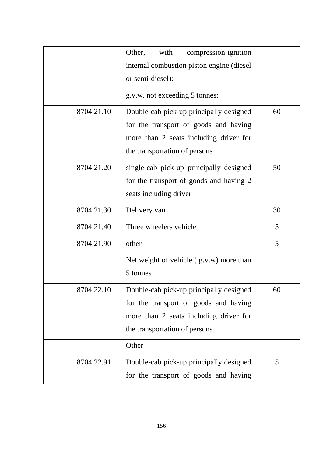|            | Other,<br>with<br>compression-ignition     |    |
|------------|--------------------------------------------|----|
|            | internal combustion piston engine (diesel) |    |
|            | or semi-diesel):                           |    |
|            | g.v.w. not exceeding 5 tonnes:             |    |
| 8704.21.10 | Double-cab pick-up principally designed    | 60 |
|            | for the transport of goods and having      |    |
|            | more than 2 seats including driver for     |    |
|            | the transportation of persons              |    |
| 8704.21.20 | single-cab pick-up principally designed    | 50 |
|            | for the transport of goods and having 2    |    |
|            | seats including driver                     |    |
| 8704.21.30 | Delivery van                               | 30 |
| 8704.21.40 | Three wheelers vehicle                     | 5  |
| 8704.21.90 | other                                      | 5  |
|            | Net weight of vehicle $(g.v.w)$ more than  |    |
|            | 5 tonnes                                   |    |
| 8704.22.10 | Double-cab pick-up principally designed    | 60 |
|            | for the transport of goods and having      |    |
|            | more than 2 seats including driver for     |    |
|            | the transportation of persons              |    |
|            | Other                                      |    |
| 8704.22.91 | Double-cab pick-up principally designed    | 5  |
|            | for the transport of goods and having      |    |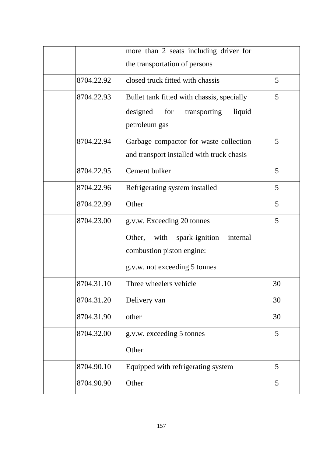|            | more than 2 seats including driver for       |    |
|------------|----------------------------------------------|----|
|            | the transportation of persons                |    |
| 8704.22.92 | closed truck fitted with chassis             | 5  |
| 8704.22.93 | Bullet tank fitted with chassis, specially   | 5  |
|            | designed<br>for<br>transporting<br>liquid    |    |
|            | petroleum gas                                |    |
| 8704.22.94 | Garbage compactor for waste collection       | 5  |
|            | and transport installed with truck chasis    |    |
| 8704.22.95 | Cement bulker                                | 5  |
| 8704.22.96 | Refrigerating system installed               | 5  |
| 8704.22.99 | Other                                        | 5  |
| 8704.23.00 | g.v.w. Exceeding 20 tonnes                   | 5  |
|            | with<br>Other,<br>spark-ignition<br>internal |    |
|            | combustion piston engine:                    |    |
|            | g.v.w. not exceeding 5 tonnes                |    |
| 8704.31.10 | Three wheelers vehicle                       | 30 |
| 8704.31.20 | Delivery van                                 | 30 |
| 8704.31.90 | other                                        | 30 |
| 8704.32.00 | g.v.w. exceeding 5 tonnes                    | 5  |
|            | Other                                        |    |
| 8704.90.10 | Equipped with refrigerating system           | 5  |
| 8704.90.90 | Other                                        | 5  |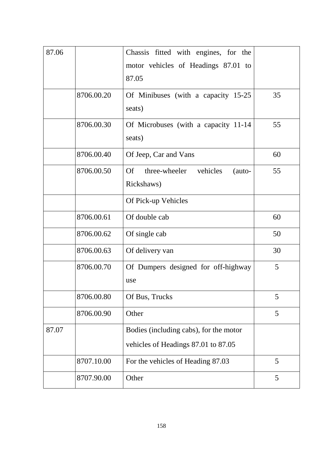| 87.06 |            | Chassis fitted with engines, for the<br>motor vehicles of Headings 87.01 to<br>87.05 |    |
|-------|------------|--------------------------------------------------------------------------------------|----|
|       | 8706.00.20 | Of Minibuses (with a capacity 15-25<br>seats)                                        | 35 |
|       | 8706.00.30 | Of Microbuses (with a capacity 11-14<br>seats)                                       | 55 |
|       | 8706.00.40 | Of Jeep, Car and Vans                                                                | 60 |
|       | 8706.00.50 | three-wheeler vehicles<br>Of<br>(auto-<br>Rickshaws)                                 | 55 |
|       |            | Of Pick-up Vehicles                                                                  |    |
|       | 8706.00.61 | Of double cab                                                                        | 60 |
|       | 8706.00.62 | Of single cab                                                                        | 50 |
|       | 8706.00.63 | Of delivery van                                                                      | 30 |
|       | 8706.00.70 | Of Dumpers designed for off-highway<br>use                                           | 5  |
|       | 8706.00.80 | Of Bus, Trucks                                                                       | 5  |
|       | 8706.00.90 | Other                                                                                | 5  |
| 87.07 |            | Bodies (including cabs), for the motor<br>vehicles of Headings 87.01 to 87.05        |    |
|       | 8707.10.00 | For the vehicles of Heading 87.03                                                    | 5  |
|       | 8707.90.00 | Other                                                                                | 5  |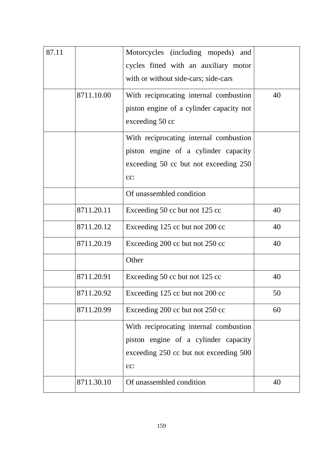| 87.11 |            | Motorcycles (including mopeds)<br>and<br>cycles fitted with an auxiliary motor<br>with or without side-cars; side-cars          |    |
|-------|------------|---------------------------------------------------------------------------------------------------------------------------------|----|
|       | 8711.10.00 | With reciprocating internal combustion<br>piston engine of a cylinder capacity not<br>exceeding 50 cc                           | 40 |
|       |            | With reciprocating internal combustion<br>piston engine of a cylinder capacity<br>exceeding 50 cc but not exceeding 250<br>cc:  |    |
|       |            | Of unassembled condition                                                                                                        |    |
|       | 8711.20.11 | Exceeding 50 cc but not 125 cc                                                                                                  | 40 |
|       | 8711.20.12 | Exceeding 125 cc but not 200 cc                                                                                                 | 40 |
|       | 8711.20.19 | Exceeding 200 cc but not 250 cc                                                                                                 | 40 |
|       |            | Other                                                                                                                           |    |
|       | 8711.20.91 | Exceeding 50 cc but not 125 cc                                                                                                  | 40 |
|       | 8711.20.92 | Exceeding 125 cc but not 200 cc                                                                                                 | 50 |
|       | 8711.20.99 | Exceeding 200 cc but not 250 cc                                                                                                 | 60 |
|       |            | With reciprocating internal combustion<br>piston engine of a cylinder capacity<br>exceeding 250 cc but not exceeding 500<br>cc: |    |
|       | 8711.30.10 | Of unassembled condition                                                                                                        | 40 |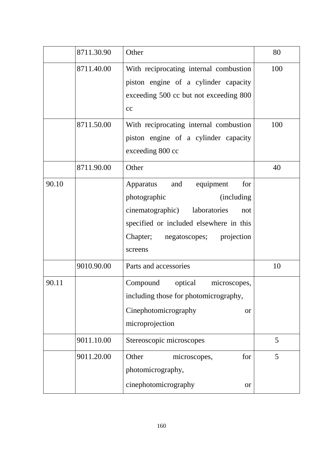|       | 8711.30.90 | Other                                                                                                                                                                                                     | 80  |
|-------|------------|-----------------------------------------------------------------------------------------------------------------------------------------------------------------------------------------------------------|-----|
|       | 8711.40.00 | With reciprocating internal combustion<br>piston engine of a cylinder capacity<br>exceeding 500 cc but not exceeding 800<br>cc                                                                            | 100 |
|       | 8711.50.00 | With reciprocating internal combustion<br>piston engine of a cylinder capacity<br>exceeding 800 cc                                                                                                        | 100 |
|       | 8711.90.00 | Other                                                                                                                                                                                                     | 40  |
| 90.10 |            | Apparatus<br>equipment<br>for<br>and<br>photographic<br>(including)<br>cinematographic) laboratories<br>not<br>specified or included elsewhere in this<br>Chapter;<br>negatoscopes; projection<br>screens |     |
|       | 9010.90.00 | Parts and accessories                                                                                                                                                                                     | 10  |
| 90.11 |            | Compound<br>optical<br>microscopes,<br>including those for photomicrography,<br>Cinephotomicrography<br><b>or</b><br>microprojection                                                                      |     |
|       | 9011.10.00 | Stereoscopic microscopes                                                                                                                                                                                  | 5   |
|       | 9011.20.00 | Other<br>for<br>microscopes,<br>photomicrography,<br>cinephotomicrography<br><b>or</b>                                                                                                                    | 5   |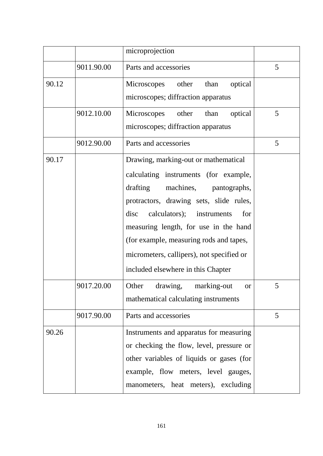|       |            | microprojection                                                                                                                                                                                                                                                                                                                                                                |   |
|-------|------------|--------------------------------------------------------------------------------------------------------------------------------------------------------------------------------------------------------------------------------------------------------------------------------------------------------------------------------------------------------------------------------|---|
|       | 9011.90.00 | Parts and accessories                                                                                                                                                                                                                                                                                                                                                          | 5 |
| 90.12 |            | optical<br>Microscopes other than<br>microscopes; diffraction apparatus                                                                                                                                                                                                                                                                                                        |   |
|       | 9012.10.00 | optical<br>Microscopes<br>other<br>than<br>microscopes; diffraction apparatus                                                                                                                                                                                                                                                                                                  | 5 |
|       | 9012.90.00 | Parts and accessories                                                                                                                                                                                                                                                                                                                                                          | 5 |
| 90.17 |            | Drawing, marking-out or mathematical<br>calculating instruments (for example,<br>drafting<br>machines, pantographs,<br>protractors, drawing sets, slide rules,<br>disc calculators); instruments<br>for<br>measuring length, for use in the hand<br>(for example, measuring rods and tapes,<br>micrometers, callipers), not specified or<br>included elsewhere in this Chapter |   |
|       | 9017.20.00 | Other drawing, marking-out<br><sub>or</sub><br>mathematical calculating instruments                                                                                                                                                                                                                                                                                            |   |
|       | 9017.90.00 | Parts and accessories                                                                                                                                                                                                                                                                                                                                                          | 5 |
| 90.26 |            | Instruments and apparatus for measuring<br>or checking the flow, level, pressure or<br>other variables of liquids or gases (for<br>example, flow meters, level gauges,<br>manometers, heat meters), excluding                                                                                                                                                                  |   |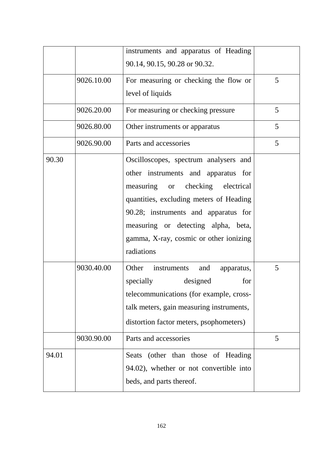|       |            | instruments and apparatus of Heading                                                                                                                                                                                                                                                               |   |
|-------|------------|----------------------------------------------------------------------------------------------------------------------------------------------------------------------------------------------------------------------------------------------------------------------------------------------------|---|
|       |            | 90.14, 90.15, 90.28 or 90.32.                                                                                                                                                                                                                                                                      |   |
|       | 9026.10.00 | For measuring or checking the flow or                                                                                                                                                                                                                                                              | 5 |
|       |            | level of liquids                                                                                                                                                                                                                                                                                   |   |
|       | 9026.20.00 | For measuring or checking pressure                                                                                                                                                                                                                                                                 | 5 |
|       | 9026.80.00 | Other instruments or apparatus                                                                                                                                                                                                                                                                     | 5 |
|       | 9026.90.00 | Parts and accessories                                                                                                                                                                                                                                                                              | 5 |
| 90.30 |            | Oscilloscopes, spectrum analysers and<br>other instruments and apparatus for<br>measuring or checking electrical<br>quantities, excluding meters of Heading<br>90.28; instruments and apparatus for<br>measuring or detecting alpha, beta,<br>gamma, X-ray, cosmic or other ionizing<br>radiations |   |
|       | 9030.40.00 | Other<br>instruments<br>and<br>apparatus,<br>designed<br>for<br>specially<br>telecommunications (for example, cross-<br>talk meters, gain measuring instruments,<br>distortion factor meters, psophometers)                                                                                        | 5 |
|       | 9030.90.00 | Parts and accessories                                                                                                                                                                                                                                                                              | 5 |
| 94.01 |            | Seats (other than those of Heading<br>94.02), whether or not convertible into<br>beds, and parts thereof.                                                                                                                                                                                          |   |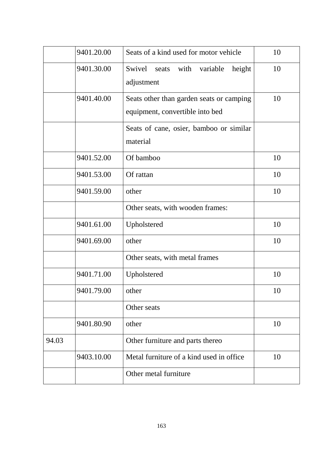|       | 9401.20.00 | Seats of a kind used for motor vehicle                                      | 10 |
|-------|------------|-----------------------------------------------------------------------------|----|
|       | 9401.30.00 | Swivel<br>with<br>variable<br>height<br>seats<br>adjustment                 | 10 |
|       | 9401.40.00 | Seats other than garden seats or camping<br>equipment, convertible into bed | 10 |
|       |            | Seats of cane, osier, bamboo or similar<br>material                         |    |
|       | 9401.52.00 | Of bamboo                                                                   | 10 |
|       | 9401.53.00 | Of rattan                                                                   | 10 |
|       | 9401.59.00 | other                                                                       | 10 |
|       |            | Other seats, with wooden frames:                                            |    |
|       | 9401.61.00 | Upholstered                                                                 | 10 |
|       | 9401.69.00 | other                                                                       | 10 |
|       |            | Other seats, with metal frames                                              |    |
|       | 9401.71.00 | Upholstered                                                                 | 10 |
|       | 9401.79.00 | other                                                                       | 10 |
|       |            | Other seats                                                                 |    |
|       | 9401.80.90 | other                                                                       | 10 |
| 94.03 |            | Other furniture and parts thereo                                            |    |
|       | 9403.10.00 | Metal furniture of a kind used in office.                                   | 10 |
|       |            | Other metal furniture                                                       |    |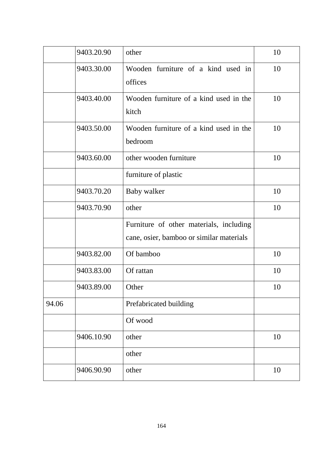|       | 9403.20.90 | other                                                                               | 10 |
|-------|------------|-------------------------------------------------------------------------------------|----|
|       | 9403.30.00 | Wooden furniture of a kind used in<br>offices                                       | 10 |
|       | 9403.40.00 | Wooden furniture of a kind used in the<br>kitch                                     | 10 |
|       | 9403.50.00 | Wooden furniture of a kind used in the<br>bedroom                                   | 10 |
|       | 9403.60.00 | other wooden furniture                                                              | 10 |
|       |            | furniture of plastic                                                                |    |
|       | 9403.70.20 | Baby walker                                                                         | 10 |
|       | 9403.70.90 | other                                                                               | 10 |
|       |            | Furniture of other materials, including<br>cane, osier, bamboo or similar materials |    |
|       | 9403.82.00 | Of bamboo                                                                           | 10 |
|       | 9403.83.00 | Of rattan                                                                           | 10 |
|       | 9403.89.00 | Other                                                                               | 10 |
| 94.06 |            | Prefabricated building                                                              |    |
|       |            | Of wood                                                                             |    |
|       | 9406.10.90 | other                                                                               | 10 |
|       |            | other                                                                               |    |
|       | 9406.90.90 | other                                                                               | 10 |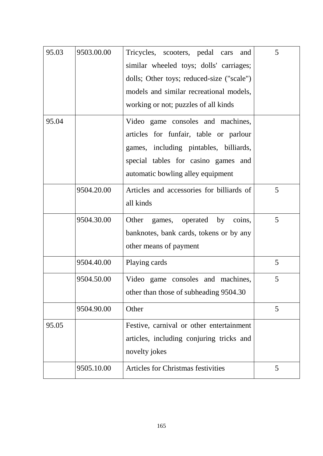| 95.03 | 9503.00.00 | Tricycles, scooters, pedal cars<br>and<br>similar wheeled toys; dolls' carriages;<br>dolls; Other toys; reduced-size ("scale")<br>models and similar recreational models,<br>working or not; puzzles of all kinds | 5 |
|-------|------------|-------------------------------------------------------------------------------------------------------------------------------------------------------------------------------------------------------------------|---|
| 95.04 |            | Video game consoles and machines,<br>articles for funfair, table or parlour<br>games, including pintables, billiards,<br>special tables for casino games and<br>automatic bowling alley equipment                 |   |
|       | 9504.20.00 | Articles and accessories for billiards of<br>all kinds                                                                                                                                                            | 5 |
|       | 9504.30.00 | Other<br>games, operated by coins,<br>banknotes, bank cards, tokens or by any<br>other means of payment                                                                                                           | 5 |
|       | 9504.40.00 | Playing cards                                                                                                                                                                                                     | 5 |
|       | 9504.50.00 | Video game consoles and machines,<br>other than those of subheading 9504.30                                                                                                                                       | 5 |
|       | 9504.90.00 | Other                                                                                                                                                                                                             | 5 |
| 95.05 |            | Festive, carnival or other entertainment<br>articles, including conjuring tricks and<br>novelty jokes                                                                                                             |   |
|       | 9505.10.00 | <b>Articles for Christmas festivities</b>                                                                                                                                                                         | 5 |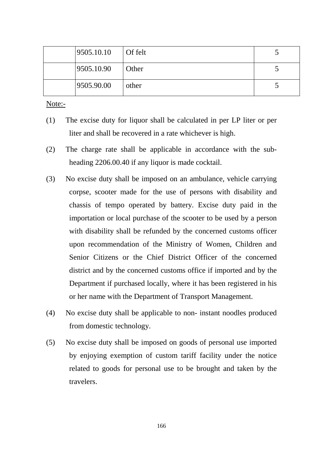| 9505.10.10 | $\int$ Of felt |  |
|------------|----------------|--|
| 9505.10.90 | <b>Other</b>   |  |
| 9505.90.00 | other          |  |

Note:-

- (1) The excise duty for liquor shall be calculated in per LP liter or per liter and shall be recovered in a rate whichever is high.
- (2) The charge rate shall be applicable in accordance with the subheading 2206.00.40 if any liquor is made cocktail.
- (3) No excise duty shall be imposed on an ambulance, vehicle carrying corpse, scooter made for the use of persons with disability and chassis of tempo operated by battery. Excise duty paid in the importation or local purchase of the scooter to be used by a person with disability shall be refunded by the concerned customs officer upon recommendation of the Ministry of Women, Children and Senior Citizens or the Chief District Officer of the concerned district and by the concerned customs office if imported and by the Department if purchased locally, where it has been registered in his or her name with the Department of Transport Management.
- (4) No excise duty shall be applicable to non- instant noodles produced from domestic technology.
- (5) No excise duty shall be imposed on goods of personal use imported by enjoying exemption of custom tariff facility under the notice related to goods for personal use to be brought and taken by the travelers.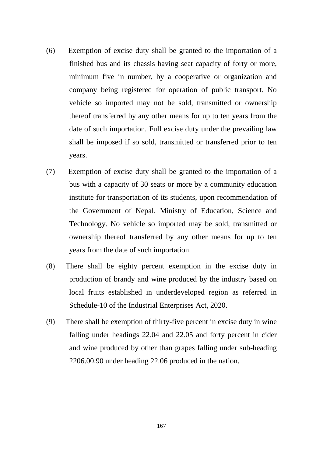- (6) Exemption of excise duty shall be granted to the importation of a finished bus and its chassis having seat capacity of forty or more, minimum five in number, by a cooperative or organization and company being registered for operation of public transport. No vehicle so imported may not be sold, transmitted or ownership thereof transferred by any other means for up to ten years from the date of such importation. Full excise duty under the prevailing law shall be imposed if so sold, transmitted or transferred prior to ten years.
- (7) Exemption of excise duty shall be granted to the importation of a bus with a capacity of 30 seats or more by a community education institute for transportation of its students, upon recommendation of the Government of Nepal, Ministry of Education, Science and Technology. No vehicle so imported may be sold, transmitted or ownership thereof transferred by any other means for up to ten years from the date of such importation.
- (8) There shall be eighty percent exemption in the excise duty in production of brandy and wine produced by the industry based on local fruits established in underdeveloped region as referred in Schedule-10 of the Industrial Enterprises Act, 2020.
- (9) There shall be exemption of thirty-five percent in excise duty in wine falling under headings 22.04 and 22.05 and forty percent in cider and wine produced by other than grapes falling under sub-heading 2206.00.90 under heading 22.06 produced in the nation.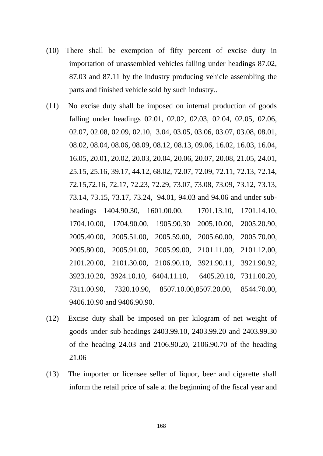- (10) There shall be exemption of fifty percent of excise duty in importation of unassembled vehicles falling under headings 87.02, 87.03 and 87.11 by the industry producing vehicle assembling the parts and finished vehicle sold by such industry..
- (11) No excise duty shall be imposed on internal production of goods falling under headings 02.01, 02.02, 02.03, 02.04, 02.05, 02.06, 02.07, 02.08, 02.09, 02.10, 3.04, 03.05, 03.06, 03.07, 03.08, 08.01, 08.02, 08.04, 08.06, 08.09, 08.12, 08.13, 09.06, 16.02, 16.03, 16.04, 16.05, 20.01, 20.02, 20.03, 20.04, 20.06, 20.07, 20.08, 21.05, 24.01, 25.15, 25.16, 39.17, 44.12, 68.02, 72.07, 72.09, 72.11, 72.13, 72.14, 72.15,72.16, 72.17, 72.23, 72.29, 73.07, 73.08, 73.09, 73.12, 73.13, 73.14, 73.15, 73.17, 73.24, 94.01, 94.03 and 94.06 and under subheadings 1404.90.30, 1601.00.00, 1701.13.10, 1701.14.10, 1704.10.00, 1704.90.00, 1905.90.30 2005.10.00, 2005.20.90, 2005.40.00, 2005.51.00, 2005.59.00, 2005.60.00, 2005.70.00, 2005.80.00, 2005.91.00, 2005.99.00, 2101.11.00, 2101.12.00, 2101.20.00, 2101.30.00, 2106.90.10, 3921.90.11, 3921.90.92, 3923.10.20, 3924.10.10, 6404.11.10, 6405.20.10, 7311.00.20, 7311.00.90, 7320.10.90, 8507.10.00,8507.20.00, 8544.70.00, 9406.10.90 and 9406.90.90.
- (12) Excise duty shall be imposed on per kilogram of net weight of goods under sub-headings 2403.99.10, 2403.99.20 and 2403.99.30 of the heading 24.03 and 2106.90.20, 2106.90.70 of the heading 21.06
- (13) The importer or licensee seller of liquor, beer and cigarette shall inform the retail price of sale at the beginning of the fiscal year and